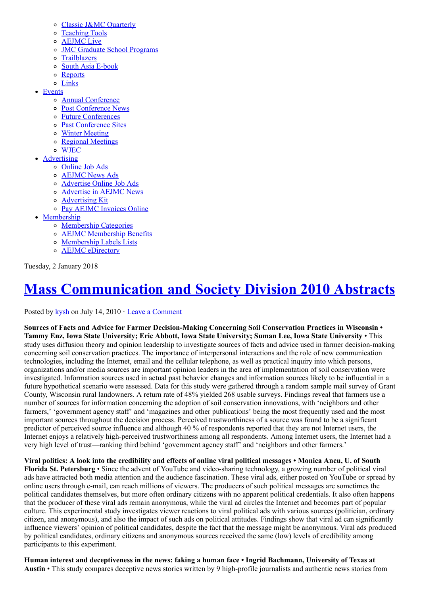- o [Classic J&MC Quarterly](http://www.aejmc.org/home/resources/classic-jmc-quarterly/)
- o [Teaching Tools](http://www.aejmc.org/home/resources/teaching-tools/)
- o **AEJMC** Live
- [JMC Graduate School Programs](http://www.aejmc.org/home/resources/jmc-graduate-school-programs/)
- o [Trailblazers](http://www.aejmc.org/home/resources/trailblazers/)
- o [South Asia E-book](http://www.aejmc.org/home/resources/southasia/)
- o [Reports](http://www.aejmc.org/home/resources/reports/)
- o [Links](http://www.aejmc.org/home/resources/links/)
- [Events](http://www.aejmc.org/home/events/)
	- o **[Annual Conference](http://www.aejmc.org/home/events/annual-conference/)**
	- [Post Conference News](http://www.aejmc.org/home/events/post-conference-news/)
	- [Future Conferences](http://www.aejmc.org/home/events/future-conventions/) [Past Conference Sites](http://www.aejmc.org/home/events/past-conference-sites/)
	- [Winter Meeting](http://www.aejmc.org/home/events/wintermeeting/)
	- [Regional Meetings](http://www.aejmc.org/home/events/regional-meetings/)
	- [WJEC](http://www.aejmc.org/home/events/wjec/)
	- [Advertising](http://www.aejmc.org/home/advertising/)
		- [Online Job Ads](http://www.aejmc.com/jobads/)
		- [AEJMC News Ads](http://www.aejmc.org/home/advertising/aejmc-news-ads/)
		- [Advertise Online Job Ads](http://www.aejmc.org/home/advertising/adonlinejobs/)
		- [Advertise in AEJMC News](http://www.aejmc.org/home/advertising/advertising-in-aejmc-news/)
		- [Advertising Kit](http://www.aejmc.org/home/wp-content/uploads/2016/11/AdvertisingKit2017.pdf)
		- [Pay AEJMC Invoices Online](https://aejmc2.wufoo.com/forms/aejmc-online-invoice-payment/)
- [Membership](http://www.aejmc.org/home/membership/)
	- [Membership Categories](http://www.aejmc.org/home/membership/membership-categories/)
	- [AEJMC Membership Benefits](http://www.aejmc.org/home/membership/benefits/)
	- o [Membership Labels Lists](http://www.aejmc.org/home/membership/order-labels/)
	- o **AEJMC** eDirectory

Tuesday, 2 January 2018

# [Mass Communication and Society Division 2010 Abstracts](http://www.aejmc.org/home/2010/07/mass-communication-and-society-division-2010-abstracts/)

Posted by [kysh](http://www.aejmc.org/home/author/kyshiab/) on July 14, 2010 · [Leave a Comment](http://www.aejmc.org/home/2010/07/mass-communication-and-society-division-2010-abstracts/#respond)

Sources of Facts and Advice for Farmer Decision-Making Concerning Soil Conservation Practices in Wisconsin • Tammy Enz, Iowa State University; Eric Abbott, Iowa State University; Suman Lee, Iowa State University • This study uses diffusion theory and opinion leadership to investigate sources of facts and advice used in farmer decision-making concerning soil conservation practices. The importance of interpersonal interactions and the role of new communication technologies, including the Internet, email and the cellular telephone, as well as practical inquiry into which persons, organizations and/or media sources are important opinion leaders in the area of implementation of soil conservation were investigated. Information sources used in actual past behavior changes and information sources likely to be influential in a future hypothetical scenario were assessed. Data for this study were gathered through a random sample mail survey of Grant County, Wisconsin rural landowners. A return rate of 48% yielded 268 usable surveys. Findings reveal that farmers use a number of sources for information concerning the adoption of soil conservation innovations, with 'neighbors and other farmers,' 'government agency staff' and 'magazines and other publications' being the most frequently used and the most important sources throughout the decision process. Perceived trustworthiness of a source was found to be a significant predictor of perceived source influence and although 40 % of respondents reported that they are not Internet users, the Internet enjoys a relatively high-perceived trustworthiness among all respondents. Among Internet users, the Internet had a very high level of trust—ranking third behind 'government agency staff' and 'neighbors and other farmers.'

Viral politics: A look into the credibility and effects of online viral political messages • Monica Ancu, U. of South Florida St. Petersburg • Since the advent of YouTube and video-sharing technology, a growing number of political viral ads have attracted both media attention and the audience fascination. These viral ads, either posted on YouTube or spread by online users through e-mail, can reach millions of viewers. The producers of such political messages are sometimes the political candidates themselves, but more often ordinary citizens with no apparent political credentials. It also often happens that the producer of these viral ads remain anonymous, while the viral ad circles the Internet and becomes part of popular culture. This experimental study investigates viewer reactions to viral political ads with various sources (politician, ordinary citizen, and anonymous), and also the impact of such ads on political attitudes. Findings show that viral ad can significantly influence viewers' opinion of political candidates, despite the fact that the message might be anonymous. Viral ads produced by political candidates, ordinary citizens and anonymous sources received the same (low) levels of credibility among participants to this experiment.

Human interest and deceptiveness in the news: faking a human face • Ingrid Bachmann, University of Texas at Austin • This study compares deceptive news stories written by 9 high-profile journalists and authentic news stories from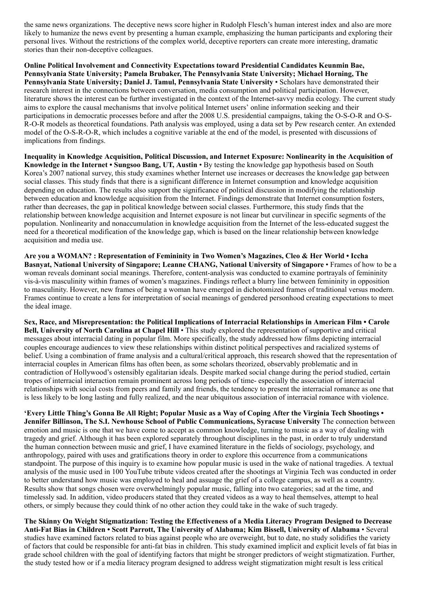the same news organizations. The deceptive news score higher in Rudolph Flesch's human interest index and also are more likely to humanize the news event by presenting a human example, emphasizing the human participants and exploring their personal lives. Without the restrictions of the complex world, deceptive reporters can create more interesting, dramatic stories than their non-deceptive colleagues.

Online Political Involvement and Connectivity Expectations toward Presidential Candidates Keunmin Bae, Pennsylvania State University; Pamela Brubaker, The Pennsylvania State University; Michael Horning, The Pennsylvania State University; Daniel J. Tamul, Pennsylvania State University • Scholars have demonstrated their research interest in the connections between conversation, media consumption and political participation. However, literature shows the interest can be further investigated in the context of the Internet-savvy media ecology. The current study aims to explore the causal mechanisms that involve political Internet users' online information seeking and their participations in democratic processes before and after the 2008 U.S. presidential campaigns, taking the O-S-O-R and O-S-R-O-R models as theoretical foundations. Path analysis was employed, using a data set by Pew research center. An extended model of the O-S-R-O-R, which includes a cognitive variable at the end of the model, is presented with discussions of implications from findings.

Inequality in Knowledge Acquisition, Political Discussion, and Internet Exposure: Nonlinearity in the Acquisition of Knowledge in the Internet • Sungsoo Bang, UT, Austin • By testing the knowledge gap hypothesis based on South Korea's 2007 national survey, this study examines whether Internet use increases or decreases the knowledge gap between social classes. This study finds that there is a significant difference in Internet consumption and knowledge acquisition depending on education. The results also support the significance of political discussion in modifying the relationship between education and knowledge acquisition from the Internet. Findings demonstrate that Internet consumption fosters, rather than decreases, the gap in political knowledge between social classes. Furthermore, this study finds that the relationship between knowledge acquisition and Internet exposure is not linear but curvilinear in specific segments of the population. Nonlinearity and nonaccumulation in knowledge acquisition from the Internet of the less-educated suggest the need for a theoretical modification of the knowledge gap, which is based on the linear relationship between knowledge acquisition and media use.

Are you a WOMAN? : Representation of Femininity in Two Women's Magazines, Cleo & Her World • Iccha Basnyat, National University of Singapore; Leanne CHANG, National University of Singapore • Frames of how to be a woman reveals dominant social meanings. Therefore, content-analysis was conducted to examine portrayals of femininity vis-à-vis masculinity within frames of women's magazines. Findings reflect a blurry line between femininity in opposition to masculinity. However, new frames of being a woman have emerged in dichotomized frames of traditional versus modern. Frames continue to create a lens for interpretation of social meanings of gendered personhood creating expectations to meet the ideal image.

Sex, Race, and Misrepresentation: the Political Implications of Interracial Relationships in American Film • Carole Bell, University of North Carolina at Chapel Hill • This study explored the representation of supportive and critical messages about interracial dating in popular film. More specifically, the study addressed how films depicting interracial couples encourage audiences to view these relationships within distinct political perspectives and racialized systems of belief. Using a combination of frame analysis and a cultural/critical approach, this research showed that the representation of interracial couples in American films has often been, as some scholars theorized, observably problematic and in contradiction of Hollywood's ostensibly egalitarian ideals. Despite marked social change during the period studied, certain tropes of interracial interaction remain prominent across long periods of time- especially the association of interracial relationships with social costs from peers and family and friends, the tendency to present the interracial romance as one that is less likely to be long lasting and fully realized, and the near ubiquitous association of interracial romance with violence.

'Every Little Thing's Gonna Be All Right; Popular Music as a Way of Coping After the Virginia Tech Shootings • Jennifer Billinson, The S.I. Newhouse School of Public Communications, Syracuse University The connection between emotion and music is one that we have come to accept as common knowledge, turning to music as a way of dealing with tragedy and grief. Although it has been explored separately throughout disciplines in the past, in order to truly understand the human connection between music and grief, I have examined literature in the fields of sociology, psychology, and anthropology, paired with uses and gratifications theory in order to explore this occurrence from a communications standpoint. The purpose of this inquiry is to examine how popular music is used in the wake of national tragedies. A textual analysis of the music used in 100 YouTube tribute videos created after the shootings at Virginia Tech was conducted in order to better understand how music was employed to heal and assuage the grief of a college campus, as well as a country. Results show that songs chosen were overwhelmingly popular music, falling into two categories; sad at the time, and timelessly sad. In addition, video producers stated that they created videos as a way to heal themselves, attempt to heal others, or simply because they could think of no other action they could take in the wake of such tragedy.

The Skinny On Weight Stigmatization: Testing the Effectiveness of a Media Literacy Program Designed to Decrease Anti-Fat Bias in Children • Scott Parrott, The University of Alabama; Kim Bissell, University of Alabama • Several studies have examined factors related to bias against people who are overweight, but to date, no study solidifies the variety of factors that could be responsible for anti-fat bias in children. This study examined implicit and explicit levels of fat bias in grade school children with the goal of identifying factors that might be stronger predictors of weight stigmatization. Further, the study tested how or if a media literacy program designed to address weight stigmatization might result is less critical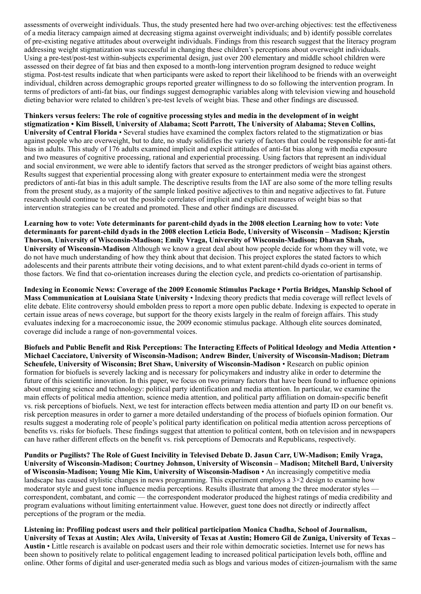assessments of overweight individuals. Thus, the study presented here had two over-arching objectives: test the effectiveness of a media literacy campaign aimed at decreasing stigma against overweight individuals; and b) identify possible correlates of pre-existing negative attitudes about overweight individuals. Findings from this research suggest that the literacy program addressing weight stigmatization was successful in changing these children's perceptions about overweight individuals. Using a pre-test/post-test within-subjects experimental design, just over 200 elementary and middle school children were assessed on their degree of fat bias and then exposed to a month-long intervention program designed to reduce weight stigma. Post-test results indicate that when participants were asked to report their likelihood to be friends with an overweight individual, children across demographic groups reported greater willingness to do so following the intervention program. In terms of predictors of anti-fat bias, our findings suggest demographic variables along with television viewing and household dieting behavior were related to children's pre-test levels of weight bias. These and other findings are discussed.

Thinkers versus feelers: The role of cognitive processing styles and media in the development of in weight stigmatization • Kim Bissell, University of Alabama; Scott Parrott, The University of Alabama; Steven Collins, University of Central Florida • Several studies have examined the complex factors related to the stigmatization or bias against people who are overweight, but to date, no study solidifies the variety of factors that could be responsible for anti-fat bias in adults. This study of 176 adults examined implicit and explicit attitudes of anti-fat bias along with media exposure and two measures of cognitive processing, rational and experiential processing. Using factors that represent an individual and social environment, we were able to identify factors that served as the stronger predictors of weight bias against others. Results suggest that experiential processing along with greater exposure to entertainment media were the strongest predictors of anti-fat bias in this adult sample. The descriptive results from the IAT are also some of the more telling results from the present study, as a majority of the sample linked positive adjectives to thin and negative adjectives to fat. Future research should continue to vet out the possible correlates of implicit and explicit measures of weight bias so that intervention strategies can be created and promoted. These and other findings are discussed.

Learning how to vote: Vote determinants for parent-child dyads in the 2008 election Learning how to vote: Vote determinants for parent-child dyads in the 2008 election Leticia Bode, University of Wisconsin – Madison; Kjerstin Thorson, University of Wisconsin-Madison; Emily Vraga, University of Wisconsin-Madison; Dhavan Shah, University of Wisconsin-Madison Although we know a great deal about how people decide for whom they will vote, we do not have much understanding of how they think about that decision. This project explores the stated factors to which adolescents and their parents attribute their voting decisions, and to what extent parent-child dyads co-orient in terms of those factors. We find that co-orientation increases during the election cycle, and predicts co-orientation of partisanship.

Indexing in Economic News: Coverage of the 2009 Economic Stimulus Package • Portia Bridges, Manship School of Mass Communication at Louisiana State University • Indexing theory predicts that media coverage will reflect levels of elite debate. Elite controversy should embolden press to report a more open public debate. Indexing is expected to operate in certain issue areas of news coverage, but support for the theory exists largely in the realm of foreign affairs. This study evaluates indexing for a macroeconomic issue, the 2009 economic stimulus package. Although elite sources dominated, coverage did include a range of non-governmental voices.

Biofuels and Public Benefit and Risk Perceptions: The Interacting Effects of Political Ideology and Media Attention • Michael Cacciatore, University of Wisconsin-Madison; Andrew Binder, University of Wisconsin-Madison; Dietram Scheufele, University of Wisconsin; Bret Shaw, University of Wisconsin-Madison • Research on public opinion formation for biofuels is severely lacking and is necessary for policymakers and industry alike in order to determine the future of this scientific innovation. In this paper, we focus on two primary factors that have been found to influence opinions about emerging science and technology: political party identification and media attention. In particular, we examine the main effects of political media attention, science media attention, and political party affiliation on domain-specific benefit vs. risk perceptions of biofuels. Next, we test for interaction effects between media attention and party ID on our benefit vs. risk perception measures in order to garner a more detailed understanding of the process of biofuels opinion formation. Our results suggest a moderating role of people's political party identification on political media attention across perceptions of benefits vs. risks for biofuels. These findings suggest that attention to political content, both on television and in newspapers can have rather different effects on the benefit vs. risk perceptions of Democrats and Republicans, respectively.

Pundits or Pugilists? The Role of Guest Incivility in Televised Debate D. Jasun Carr, UW-Madison; Emily Vraga, University of Wisconsin-Madison; Courtney Johnson, University of Wisconsin – Madison; Mitchell Bard, University of Wisconsin-Madison; Young Mie Kim, University of Wisconsin-Madison • An increasingly competitive media landscape has caused stylistic changes in news programming. This experiment employs a 3×2 design to examine how moderator style and guest tone influence media perceptions. Results illustrate that among the three moderator styles correspondent, combatant, and comic — the correspondent moderator produced the highest ratings of media credibility and program evaluations without limiting entertainment value. However, guest tone does not directly or indirectly affect perceptions of the program or the media.

Listening in: Profiling podcast users and their political participation Monica Chadha, School of Journalism, University of Texas at Austin; Alex Avila, University of Texas at Austin; Homero Gil de Zuniga, University of Texas – Austin • Little research is available on podcast users and their role within democratic societies. Internet use for news has been shown to positively relate to political engagement leading to increased political participation levels both, offline and online. Other forms of digital and user-generated media such as blogs and various modes of citizen-journalism with the same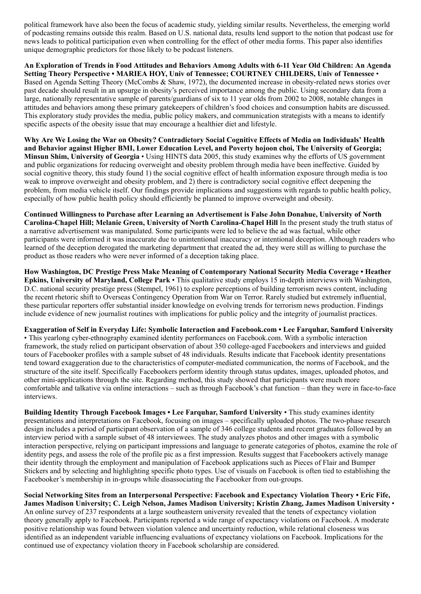political framework have also been the focus of academic study, yielding similar results. Nevertheless, the emerging world of podcasting remains outside this realm. Based on U.S. national data, results lend support to the notion that podcast use for news leads to political participation even when controlling for the effect of other media forms. This paper also identifies unique demographic predictors for those likely to be podcast listeners.

An Exploration of Trends in Food Attitudes and Behaviors Among Adults with 6-11 Year Old Children: An Agenda Setting Theory Perspective • MARIEA HOY, Univ of Tennessee; COURTNEY CHILDERS, Univ of Tennessee • Based on Agenda Setting Theory (McCombs & Shaw, 1972), the documented increase in obesity-related news stories over past decade should result in an upsurge in obesity's perceived importance among the public. Using secondary data from a large, nationally representative sample of parents/guardians of six to 11 year olds from 2002 to 2008, notable changes in attitudes and behaviors among these primary gatekeepers of children's food choices and consumption habits are discussed. This exploratory study provides the media, public policy makers, and communication strategists with a means to identify specific aspects of the obesity issue that may encourage a healthier diet and lifestyle.

Why Are We Losing the War on Obesity? Contradictory Social Cognitive Effects of Media on Individuals' Health and Behavior against Higher BMI, Lower Education Level, and Poverty hojoon choi, The University of Georgia; Minsun Shim, University of Georgia • Using HINTS data 2005, this study examines why the efforts of US government and public organizations for reducing overweight and obesity problem through media have been ineffective. Guided by social cognitive theory, this study found 1) the social cognitive effect of health information exposure through media is too weak to improve overweight and obesity problem, and 2) there is contradictory social cognitive effect deepening the problem, from media vehicle itself. Our findings provide implications and suggestions with regards to public health policy, especially of how public health policy should efficiently be planned to improve overweight and obesity.

Continued Willingness to Purchase after Learning an Advertisement is False John Donahue, University of North Carolina-Chapel Hill; Melanie Green, University of North Carolina-Chapel Hill In the present study the truth status of a narrative advertisement was manipulated. Some participants were led to believe the ad was factual, while other participants were informed it was inaccurate due to unintentional inaccuracy or intentional deception. Although readers who learned of the deception derogated the marketing department that created the ad, they were still as willing to purchase the product as those readers who were never informed of a deception taking place.

How Washington, DC Prestige Press Make Meaning of Contemporary National Security Media Coverage • Heather Epkins, University of Maryland, College Park • This qualitative study employs 15 in-depth interviews with Washington, D.C. national security prestige press (Stempel, 1961) to explore perceptions of building terrorism news content, including the recent rhetoric shift to Overseas Contingency Operation from War on Terror. Rarely studied but extremely influential, these particular reporters offer substantial insider knowledge on evolving trends for terrorism news production. Findings include evidence of new journalist routines with implications for public policy and the integrity of journalist practices.

#### Exaggeration of Self in Everyday Life: Symbolic Interaction and Facebook.com • Lee Farquhar, Samford University

• This yearlong cyber-ethnography examined identity performances on Facebook.com. With a symbolic interaction framework, the study relied on participant observation of about 350 college-aged Facebookers and interviews and guided tours of Facebooker profiles with a sample subset of 48 individuals. Results indicate that Facebook identity presentations tend toward exaggeration due to the characteristics of computer-mediated communication, the norms of Facebook, and the structure of the site itself. Specifically Facebookers perform identity through status updates, images, uploaded photos, and other mini-applications through the site. Regarding method, this study showed that participants were much more comfortable and talkative via online interactions – such as through Facebook's chat function – than they were in face-to-face interviews.

Building Identity Through Facebook Images • Lee Farquhar, Samford University • This study examines identity presentations and interpretations on Facebook, focusing on images – specifically uploaded photos. The two-phase research design includes a period of participant observation of a sample of 346 college students and recent graduates followed by an interview period with a sample subset of 48 interviewees. The study analyzes photos and other images with a symbolic interaction perspective, relying on participant impressions and language to generate categories of photos, examine the role of identity pegs, and assess the role of the profile pic as a first impression. Results suggest that Facebookers actively manage their identity through the employment and manipulation of Facebook applications such as Pieces of Flair and Bumper Stickers and by selecting and highlighting specific photo types. Use of visuals on Facebook is often tied to establishing the Facebooker's membership in in-groups while disassociating the Facebooker from out-groups.

Social Networking Sites from an Interpersonal Perspective: Facebook and Expectancy Violation Theory • Eric Fife, James Madison University; C. Leigh Nelson, James Madison University; Kristin Zhang, James Madison University • An online survey of 237 respondents at a large southeastern university revealed that the tenets of expectancy violation theory generally apply to Facebook. Participants reported a wide range of expectancy violations on Facebook. A moderate positive relationship was found between violation valence and uncertainty reduction, while relational closeness was identified as an independent variable influencing evaluations of expectancy violations on Facebook. Implications for the continued use of expectancy violation theory in Facebook scholarship are considered.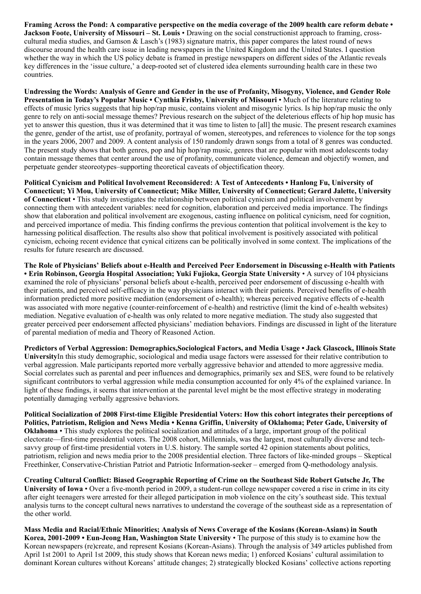Framing Across the Pond: A comparative perspective on the media coverage of the 2009 health care reform debate • Jackson Foote, University of Missouri – St. Louis • Drawing on the social constructionist approach to framing, crosscultural media studies, and Gamson & Lasch's (1983) signature matrix, this paper compares the latest round of news discourse around the health care issue in leading newspapers in the United Kingdom and the United States. I question whether the way in which the US policy debate is framed in prestige newspapers on different sides of the Atlantic reveals key differences in the 'issue culture,' a deep-rooted set of clustered idea elements surrounding health care in these two countries.

Undressing the Words: Analysis of Genre and Gender in the use of Profanity, Misogyny, Violence, and Gender Role Presentation in Today's Popular Music • Cynthia Frisby, University of Missouri • Much of the literature relating to effects of music lyrics suggests that hip hop/rap music, contains violent and misogynic lyrics. Is hip hop/rap music the only genre to rely on anti-social message themes? Previous research on the subject of the deleterious effects of hip hop music has yet to answer this question, thus it was determined that it was time to listen to [all] the music. The present research examines the genre, gender of the artist, use of profanity, portrayal of women, stereotypes, and references to violence for the top songs in the years 2006, 2007 and 2009. A content analysis of 150 randomly drawn songs from a total of 8 genres was conducted. The present study shows that both genres, pop and hip hop/rap music, genres that are popular with most adolescents today contain message themes that center around the use of profanity, communicate violence, demean and objectify women, and perpetuate gender steoreotypes–supporting theoretical caveats of objectification theory.

Political Cynicism and Political Involvement Reconsidered: A Test of Antecedents • Hanlong Fu, University of Connecticut; Yi Mou, University of Connecticut; Mike Miller, University of Connecticut; Gerard Jalette, University of Connecticut • This study investigates the relationship between political cynicism and political involvement by connecting them with antecedent variables: need for cognition, elaboration and perceived media importance. The findings show that elaboration and political involvement are exogenous, casting influence on political cynicism, need for cognition, and perceived importance of media. This finding confirms the previous contention that political involvement is the key to harnessing political disaffection. The results also show that political involvement is positively associated with political cynicism, echoing recent evidence that cynical citizens can be politically involved in some context. The implications of the results for future research are discussed.

The Role of Physicians' Beliefs about e-Health and Perceived Peer Endorsement in Discussing e-Health with Patients • Erin Robinson, Georgia Hospital Association; Yuki Fujioka, Georgia State University • A survey of 104 physicians examined the role of physicians' personal beliefs about e-health, perceived peer endorsement of discussing e-health with their patients, and perceived self-efficacy in the way physicians interact with their patients. Perceived benefits of e-health information predicted more positive mediation (endorsement of e-health); whereas perceived negative effects of e-health was associated with more negative (counter-reinforcement of e-health) and restrictive (limit the kind of e-health websites) mediation. Negative evaluation of e-health was only related to more negative mediation. The study also suggested that greater perceived peer endorsement affected physicians' mediation behaviors. Findings are discussed in light of the literature of parental mediation of media and Theory of Reasoned Action.

Predictors of Verbal Aggression: Demographics,Sociological Factors, and Media Usage • Jack Glascock, Illinois State UniversityIn this study demographic, sociological and media usage factors were assessed for their relative contribution to verbal aggression. Male participants reported more verbally aggressive behavior and attended to more aggressive media. Social correlates such as parental and peer influences and demographics, primarily sex and SES, were found to be relatively significant contributors to verbal aggression while media consumption accounted for only 4% of the explained variance. In light of these findings, it seems that intervention at the parental level might be the most effective strategy in moderating potentially damaging verbally aggressive behaviors.

Political Socialization of 2008 First-time Eligible Presidential Voters: How this cohort integrates their perceptions of Politics, Patriotism, Religion and News Media • Kenna Griffin, University of Oklahoma; Peter Gade, University of Oklahoma • This study explores the political socialization and attitudes of a large, important group of the political electorate—first-time presidential voters. The 2008 cohort, Millennials, was the largest, most culturally diverse and techsavvy group of first-time presidential voters in U.S. history. The sample sorted 42 opinion statements about politics, patriotism, religion and news media prior to the 2008 presidential election. Three factors of like-minded groups – Skeptical Freethinker, Conservative-Christian Patriot and Patriotic Information-seeker – emerged from Q-methodology analysis.

Creating Cultural Conflict: Biased Geographic Reporting of Crime on the Southeast Side Robert Gutsche Jr, The University of Iowa • Over a five-month period in 2009, a student-run college newspaper covered a rise in crime in its city after eight teenagers were arrested for their alleged participation in mob violence on the city's southeast side. This textual analysis turns to the concept cultural news narratives to understand the coverage of the southeast side as a representation of the other world.

Mass Media and Racial/Ethnic Minorities; Analysis of News Coverage of the Kosians (Korean-Asians) in South Korea, 2001-2009 • Eun-Jeong Han, Washington State University • The purpose of this study is to examine how the Korean newspapers (re)create, and represent Kosians (Korean-Asians). Through the analysis of 349 articles published from April 1st 2001 to April 1st 2009, this study shows that Korean news media; 1) enforced Kosians' cultural assimilation to dominant Korean cultures without Koreans' attitude changes; 2) strategically blocked Kosians' collective actions reporting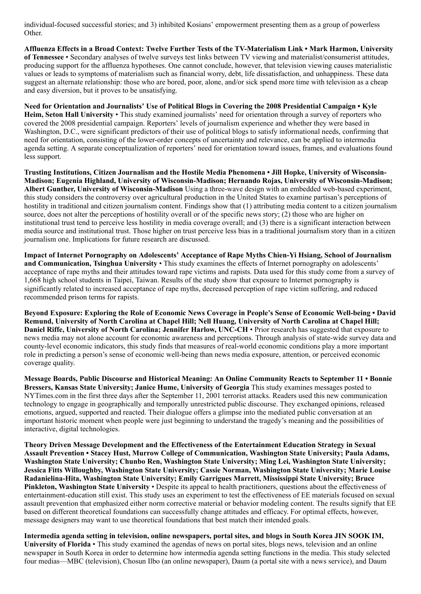individual-focused successful stories; and 3) inhibited Kosians' empowerment presenting them as a group of powerless Other.

Affluenza Effects in a Broad Context: Twelve Further Tests of the TV-Materialism Link • Mark Harmon, University of Tennessee • Secondary analyses of twelve surveys test links between TV viewing and materialist/consumerist attitudes, producing support for the affluenza hypotheses. One cannot conclude, however, that television viewing causes materialistic values or leads to symptoms of materialism such as financial worry, debt, life dissatisfaction, and unhappiness. These data suggest an alternate relationship: those who are bored, poor, alone, and/or sick spend more time with television as a cheap and easy diversion, but it proves to be unsatisfying.

Need for Orientation and Journalists' Use of Political Blogs in Covering the 2008 Presidential Campaign • Kyle Heim, Seton Hall University • This study examined journalists' need for orientation through a survey of reporters who covered the 2008 presidential campaign. Reporters' levels of journalism experience and whether they were based in Washington, D.C., were significant predictors of their use of political blogs to satisfy informational needs, confirming that need for orientation, consisting of the lower-order concepts of uncertainty and relevance, can be applied to intermedia agenda setting. A separate conceptualization of reporters' need for orientation toward issues, frames, and evaluations found less support.

Trusting Institutions, Citizen Journalism and the Hostile Media Phenomena • Jill Hopke, University of Wisconsin-Madison; Eugenia Highland, University of Wisconsin-Madison; Hernando Rojas, University of Wisconsin-Madison; Albert Gunther, University of Wisconsin-Madison Using a three-wave design with an embedded web-based experiment, this study considers the controversy over agricultural production in the United States to examine partisan's perceptions of hostility in traditional and citizen journalism content. Findings show that (1) attributing media content to a citizen journalism source, does not alter the perceptions of hostility overall or of the specific news story; (2) those who are higher on institutional trust tend to perceive less hostility in media coverage overall; and (3) there is a significant interaction between media source and institutional trust. Those higher on trust perceive less bias in a traditional journalism story than in a citizen journalism one. Implications for future research are discussed.

Impact of Internet Pornography on Adolescents' Acceptance of Rape Myths Chien-Yi Hsiang, School of Journalism and Communication, Tsinghua University • This study examines the effects of Internet pornography on adolescents' acceptance of rape myths and their attitudes toward rape victims and rapists. Data used for this study come from a survey of 1,668 high school students in Taipei, Taiwan. Results of the study show that exposure to Internet pornography is significantly related to increased acceptance of rape myths, decreased perception of rape victim suffering, and reduced recommended prison terms for rapists.

Beyond Exposure: Exploring the Role of Economic News Coverage in People's Sense of Economic Well-being • David Remund, University of North Carolina at Chapel Hill; Nell Huang, University of North Carolina at Chapel Hill; Daniel Riffe, University of North Carolina; Jennifer Harlow, UNC-CH • Prior research has suggested that exposure to news media may not alone account for economic awareness and perceptions. Through analysis of state-wide survey data and county-level economic indicators, this study finds that measures of real-world economic conditions play a more important role in predicting a person's sense of economic well-being than news media exposure, attention, or perceived economic coverage quality.

Message Boards, Public Discourse and Historical Meaning: An Online Community Reacts to September 11 • Bonnie Bressers, Kansas State University; Janice Hume, University of Georgia This study examines messages posted to NYTimes.com in the first three days after the September 11, 2001 terrorist attacks. Readers used this new communication technology to engage in geographically and temporally unrestricted public discourse. They exchanged opinions, released emotions, argued, supported and reacted. Their dialogue offers a glimpse into the mediated public conversation at an important historic moment when people were just beginning to understand the tragedy's meaning and the possibilities of interactive, digital technologies.

Theory Driven Message Development and the Effectiveness of the Entertainment Education Strategy in Sexual Assault Prevention • Stacey Hust, Murrow College of Communication, Washington State University; Paula Adams, Washington State University; Chunbo Ren, Washington State University; Ming Lei, Washington State University; Jessica Fitts Willoughby, Washington State University; Cassie Norman, Washington State University; Marie Louise Radanielina-Hita, Washington State University; Emily Garrigues Marrett, Mississippi State University; Bruce Pinkleton, Washington State University • Despite its appeal to health practitioners, questions about the effectiveness of entertainment-education still exist. This study uses an experiment to test the effectiveness of EE materials focused on sexual assault prevention that emphasized either norm corrective material or behavior modeling content. The results signify that EE based on different theoretical foundations can successfully change attitudes and efficacy. For optimal effects, however, message designers may want to use theoretical foundations that best match their intended goals.

Intermedia agenda setting in television, online newspapers, portal sites, and blogs in South Korea JIN SOOK IM, University of Florida • This study examined the agendas of news on portal sites, blogs news, television and an online newspaper in South Korea in order to determine how intermedia agenda setting functions in the media. This study selected four medias—MBC (television), Chosun Ilbo (an online newspaper), Daum (a portal site with a news service), and Daum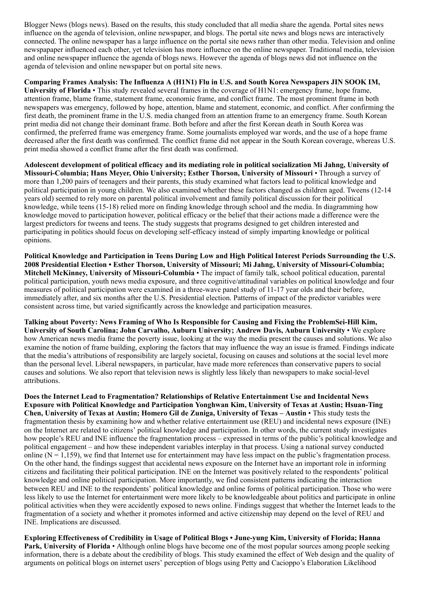Blogger News (blogs news). Based on the results, this study concluded that all media share the agenda. Portal sites news influence on the agenda of television, online newspaper, and blogs. The portal site news and blogs news are interactively connected. The online newspaper has a large influence on the portal site news rather than other media. Television and online newspapaper influenced each other, yet television has more influence on the online newspaper. Traditional media, television and online newspaper influence the agenda of blogs news. However the agenda of blogs news did not influence on the agenda of television and online newspaper but on portal site news.

Comparing Frames Analysis: The Influenza A (H1N1) Flu in U.S. and South Korea Newspapers JIN SOOK IM, University of Florida • This study revealed several frames in the coverage of H1N1: emergency frame, hope frame, attention frame, blame frame, statement frame, economic frame, and conflict frame. The most prominent frame in both newspapers was emergency, followed by hope, attention, blame and statement, economic, and conflict. After confirming the first death, the prominent frame in the U.S. media changed from an attention frame to an emergency frame. South Korean print media did not change their dominant frame. Both before and after the first Korean death in South Korea was confirmed, the preferred frame was emergency frame. Some journalists employed war words, and the use of a hope frame decreased after the first death was confirmed. The conflict frame did not appear in the South Korean coverage, whereas U.S. print media showed a conflict frame after the first death was confirmed.

Adolescent development of political efficacy and its mediating role in political socialization Mi Jahng, University of Missouri-Columbia; Hans Meyer, Ohio University; Esther Thorson, University of Missouri • Through a survey of more than 1,200 pairs of teenagers and their parents, this study examined what factors lead to political knowledge and political participation in young children. We also examined whether these factors changed as children aged. Tweens (12-14 years old) seemed to rely more on parental political involvement and family political discussion for their political knowledge, while teens (15-18) relied more on finding knowledge through school and the media. In diagramming how knowledge moved to participation however, political efficacy or the belief that their actions made a difference were the largest predictors for tweens and teens. The study suggests that programs designed to get children interested and participating in politics should focus on developing self-efficacy instead of simply imparting knowledge or political opinions.

Political Knowledge and Participation in Teens During Low and High Political Interest Periods Surrounding the U.S. 2008 Presidential Election • Esther Thorson, University of Missouri; Mi Jahng, University of Missouri-Columbia; Mitchell McKinney, University of Missouri-Columbia • The impact of family talk, school political education, parental political participation, youth news media exposure, and three cognitive/attitudinal variables on political knowledge and four measures of political participation were examined in a three-wave panel study of 11-17 year olds and their before, immediately after, and six months after the U.S. Presidential election. Patterns of impact of the predictor variables were consistent across time, but varied significantly across the knowledge and participation measures.

Talking about Poverty: News Framing of Who Is Responsible for Causing and Fixing the ProblemSei-Hill Kim, University of South Carolina; John Carvalho, Auburn University; Andrew Davis, Auburn University • We explore how American news media frame the poverty issue, looking at the way the media present the causes and solutions. We also examine the notion of frame building, exploring the factors that may influence the way an issue is framed. Findings indicate that the media's attributions of responsibility are largely societal, focusing on causes and solutions at the social level more than the personal level. Liberal newspapers, in particular, have made more references than conservative papers to social causes and solutions. We also report that television news is slightly less likely than newspapers to make social-level attributions.

Does the Internet Lead to Fragmentation? Relationships of Relative Entertainment Use and Incidental News Exposure with Political Knowledge and Participation Yonghwan Kim, University of Texas at Austin; Hsuan-Ting Chen, University of Texas at Austin; Homero Gil de Zuniga, University of Texas – Austin • This study tests the fragmentation thesis by examining how and whether relative entertainment use (REU) and incidental news exposure (INE) on the Internet are related to citizens' political knowledge and participation. In other words, the current study investigates how people's REU and INE influence the fragmentation process – expressed in terms of the public's political knowledge and political engagement – and how these independent variables interplay in that process. Using a national survey conducted online ( $N = 1,159$ ), we find that Internet use for entertainment may have less impact on the public's fragmentation process. On the other hand, the findings suggest that accidental news exposure on the Internet have an important role in informing citizens and facilitating their political participation. INE on the Internet was positively related to the respondents' political knowledge and online political participation. More importantly, we find consistent patterns indicating the interaction between REU and INE to the respondents' political knowledge and online forms of political participation. Those who were less likely to use the Internet for entertainment were more likely to be knowledgeable about politics and participate in online political activities when they were accidently exposed to news online. Findings suggest that whether the Internet leads to the fragmentation of a society and whether it promotes informed and active citizenship may depend on the level of REU and INE. Implications are discussed.

Exploring Effectiveness of Credibility in Usage of Political Blogs • June-yung Kim, University of Florida; Hanna Park, University of Florida • Although online blogs have become one of the most popular sources among people seeking information, there is a debate about the credibility of blogs. This study examined the effect of Web design and the quality of arguments on political blogs on internet users' perception of blogs using Petty and Cacioppo's Elaboration Likelihood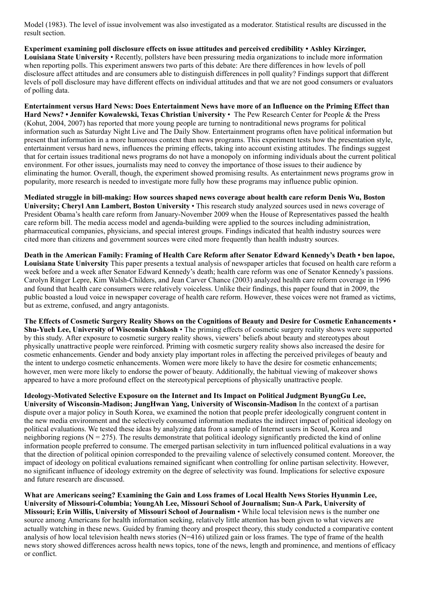Model (1983). The level of issue involvement was also investigated as a moderator. Statistical results are discussed in the result section.

Experiment examining poll disclosure effects on issue attitudes and perceived credibility • Ashley Kirzinger, Louisiana State University • Recently, pollsters have been pressuring media organizations to include more information when reporting polls. This experiment answers two parts of this debate: Are there differences in how levels of poll disclosure affect attitudes and are consumers able to distinguish differences in poll quality? Findings support that different levels of poll disclosure may have different effects on individual attitudes and that we are not good consumers or evaluators of polling data.

Entertainment versus Hard News: Does Entertainment News have more of an Influence on the Priming Effect than Hard News? • Jennifer Kowalewski, Texas Christian University • The Pew Research Center for People & the Press (Kohut, 2004, 2007) has reported that more young people are turning to nontraditional news programs for political information such as Saturday Night Live and The Daily Show. Entertainment programs often have political information but present that information in a more humorous context than news programs. This experiment tests how the presentation style, entertainment versus hard news, influences the priming effects, taking into account existing attitudes. The findings suggest that for certain issues traditional news programs do not have a monopoly on informing individuals about the current political environment. For other issues, journalists may need to convey the importance of those issues to their audience by eliminating the humor. Overall, though, the experiment showed promising results. As entertainment news programs grow in popularity, more research is needed to investigate more fully how these programs may influence public opinion.

Mediated struggle in bill-making: How sources shaped news coverage about health care reform Denis Wu, Boston University; Cheryl Ann Lambert, Boston University • This research study analyzed sources used in news coverage of President Obama's health care reform from January-November 2009 when the House of Representatives passed the health care reform bill. The media access model and agenda-building were applied to the sources including administration, pharmaceutical companies, physicians, and special interest groups. Findings indicated that health industry sources were cited more than citizens and government sources were cited more frequently than health industry sources.

Death in the American Family: Framing of Health Care Reform after Senator Edward Kennedy's Death • ben lapoe, Louisiana State University This paper presents a textual analysis of newspaper articles that focused on health care reform a week before and a week after Senator Edward Kennedy's death; health care reform was one of Senator Kennedy's passions. Carolyn Ringer Lepre, Kim Walsh-Childers, and Jean Carver Chance (2003) analyzed health care reform coverage in 1996 and found that health care consumers were relatively voiceless. Unlike their findings, this paper found that in 2009, the public boasted a loud voice in newspaper coverage of health care reform. However, these voices were not framed as victims, but as extreme, confused, and angry antagonists.

The Effects of Cosmetic Surgery Reality Shows on the Cognitions of Beauty and Desire for Cosmetic Enhancements • Shu-Yueh Lee, University of Wisconsin Oshkosh • The priming effects of cosmetic surgery reality shows were supported by this study. After exposure to cosmetic surgery reality shows, viewers' beliefs about beauty and stereotypes about physically unattractive people were reinforced. Priming with cosmetic surgery reality shows also increased the desire for cosmetic enhancements. Gender and body anxiety play important roles in affecting the perceived privileges of beauty and the intent to undergo cosmetic enhancements. Women were more likely to have the desire for cosmetic enhancements; however, men were more likely to endorse the power of beauty. Additionally, the habitual viewing of makeover shows appeared to have a more profound effect on the stereotypical perceptions of physically unattractive people.

Ideology-Motivated Selective Exposure on the Internet and Its Impact on Political Judgment ByungGu Lee, University of Wisconsin-Madison; JungHwan Yang, University of Wisconsin-Madison In the context of a partisan dispute over a major policy in South Korea, we examined the notion that people prefer ideologically congruent content in the new media environment and the selectively consumed information mediates the indirect impact of political ideology on political evaluations. We tested these ideas by analyzing data from a sample of Internet users in Seoul, Korea and neighboring regions ( $N = 275$ ). The results demonstrate that political ideology significantly predicted the kind of online information people preferred to consume. The emerged partisan selectivity in turn influenced political evaluations in a way that the direction of political opinion corresponded to the prevailing valence of selectively consumed content. Moreover, the impact of ideology on political evaluations remained significant when controlling for online partisan selectivity. However, no significant influence of ideology extremity on the degree of selectivity was found. Implications for selective exposure and future research are discussed.

What are Americans seeing? Examining the Gain and Loss frames of Local Health News Stories Hyunmin Lee, University of Missouri-Columbia; YoungAh Lee, Missouri School of Journalism; Sun-A Park, University of Missouri; Erin Willis, University of Missouri School of Journalism • While local television news is the number one source among Americans for health information seeking, relatively little attention has been given to what viewers are actually watching in these news. Guided by framing theory and prospect theory, this study conducted a comparative content analysis of how local television health news stories (N=416) utilized gain or loss frames. The type of frame of the health news story showed differences across health news topics, tone of the news, length and prominence, and mentions of efficacy or conflict.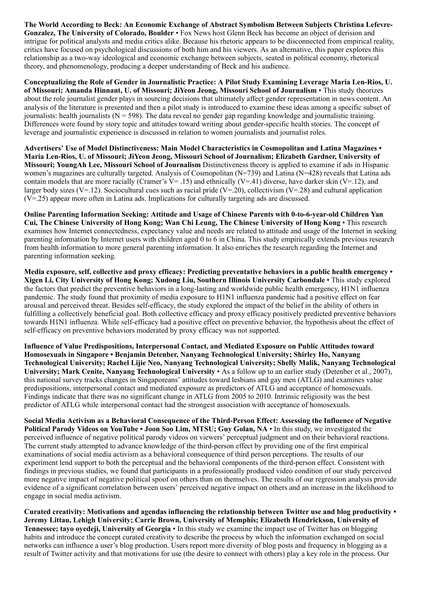The World According to Beck: An Economic Exchange of Abstract Symbolism Between Subjects Christina Lefevre-Gonzalez, The University of Colorado, Boulder • Fox News host Glenn Beck has become an object of derision and intrigue for political analysts and media critics alike. Because his rhetoric appears to be disconnected from empirical reality, critics have focused on psychological discussions of both him and his viewers. As an alternative, this paper explores this relationship as a two-way ideological and economic exchange between subjects, seated in political economy, rhetorical theory, and phenomenology, producing a deeper understanding of Beck and his audience.

Conceptualizing the Role of Gender in Journalistic Practice: A Pilot Study Examining Leverage Maria Len-Rios, U. of Missouri; Amanda Hinnant, U. of Missouri; JiYeon Jeong, Missouri School of Journalism • This study theorizes about the role journalist gender plays in sourcing decisions that ultimately affect gender representation in news content. An analysis of the literature is presented and then a pilot study is introduced to examine these ideas among a specific subset of journalists: health journalists  $(N = 598)$ . The data reveal no gender gap regarding knowledge and journalistic training. Differences were found by story topic and attitudes toward writing about gender-specific health stories. The concept of leverage and journalistic experience is discussed in relation to women journalists and journalist roles.

Advertisers' Use of Model Distinctiveness: Main Model Characteristics in Cosmopolitan and Latina Magazines • Maria Len-Rios, U. of Missouri; JiYeon Jeong, Missouri School of Journalism; Elizabeth Gardner, University of Missouri; YoungAh Lee, Missouri School of Journalism Distinctiveness theory is applied to examine if ads in Hispanic women's magazines are culturally targeted. Analysis of Cosmopolitan (N=739) and Latina (N=428) reveals that Latina ads contain models that are more racially (Cramer's V= .15) and ethnically (V=.41) diverse, have darker skin (V=.12), and larger body sizes (V=.12). Sociocultural cues such as racial pride (V=.20), collectivism (V=.28) and cultural application (V=.25) appear more often in Latina ads. Implications for culturally targeting ads are discussed.

Online Parenting Information Seeking: Attitude and Usage of Chinese Parents with 0-to-6-year-old Children Yan Cui, The Chinese University of Hong Kong; Wan Chi Leung, The Chinese University of Hong Kong • This research examines how Internet connectedness, expectancy value and needs are related to attitude and usage of the Internet in seeking parenting information by Internet users with children aged 0 to 6 in China. This study empirically extends previous research from health information to more general parenting information. It also enriches the research regarding the Internet and parenting information seeking.

Media exposure, self, collective and proxy efficacy: Predicting preventative behaviors in a public health emergency • Xigen Li, City University of Hong Kong; Xudong Liu, Southern Illinois University Carbondale • This study explored the factors that predict the preventive behaviors in a long-lasting and worldwide public health emergency, H1N1 influenza pandemic. The study found that proximity of media exposure to H1N1 influenza pandemic had a positive effect on fear arousal and perceived threat. Besides self-efficacy, the study explored the impact of the belief in the ability of others in fulfilling a collectively beneficial goal. Both collective efficacy and proxy efficacy positively predicted preventive behaviors towards H1N1 influenza. While self-efficacy had a positive effect on preventive behavior, the hypothesis about the effect of self-efficacy on preventive behaviors moderated by proxy efficacy was not supported.

Influence of Value Predispositions, Interpersonal Contact, and Mediated Exposure on Public Attitudes toward Homosexuals in Singapore • Benjamin Detenber, Nanyang Technological University; Shirley Ho, Nanyang Technological University; Rachel Lijie Neo, Nanyang Technological University; Shelly Malik, Nanyang Technological University; Mark Cenite, Nanyang Technological University • As a follow up to an earlier study (Detenber et al., 2007), this national survey tracks changes in Singaporeans' attitudes toward lesbians and gay men (ATLG) and examines value predispositions, interpersonal contact and mediated exposure as predictors of ATLG and acceptance of homosexuals. Findings indicate that there was no significant change in ATLG from 2005 to 2010. Intrinsic religiosity was the best predictor of ATLG while interpersonal contact had the strongest association with acceptance of homosexuals.

Social Media Activism as a Behavioral Consequence of the Third-Person Effect: Assessing the Influence of Negative Political Parody Videos on YouTube • Joon Soo Lim, MTSU; Guy Golan, NA • In this study, we investigated the perceived influence of negative political parody videos on viewers' perceptual judgment and on their behavioral reactions. The current study attempted to advance knowledge of the third-person effect by providing one of the first empirical examinations of social media activism as a behavioral consequence of third person perceptions. The results of our experiment lend support to both the perceptual and the behavioral components of the third-person effect. Consistent with findings in previous studies, we found that participants in a professionally produced video condition of our study perceived more negative impact of negative political spoof on others than on themselves. The results of our regression analysis provide evidence of a significant correlation between users' perceived negative impact on others and an increase in the likelihood to engage in social media activism.

Curated creativity: Motivations and agendas influencing the relationship between Twitter use and blog productivity • Jeremy Littau, Lehigh University; Carrie Brown, University of Memphis; Elizabeth Hendrickson, University of Tennessee; tayo oyedeji, University of Georgia • In this study we examine the impact use of Twitter has on blogging habits and introduce the concept curated creativity to describe the process by which the information exchanged on social networks can influence a user's blog production. Users report more diversity of blog posts and frequency in blogging as a result of Twitter activity and that motivations for use (the desire to connect with others) play a key role in the process. Our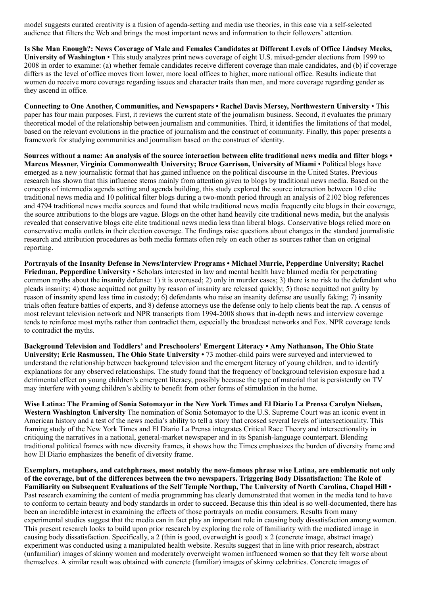model suggests curated creativity is a fusion of agenda-setting and media use theories, in this case via a self-selected audience that filters the Web and brings the most important news and information to their followers' attention.

Is She Man Enough?: News Coverage of Male and Females Candidates at Different Levels of Office Lindsey Meeks, University of Washington • This study analyzes print news coverage of eight U.S. mixed-gender elections from 1999 to 2008 in order to examine: (a) whether female candidates receive different coverage than male candidates, and (b) if coverage differs as the level of office moves from lower, more local offices to higher, more national office. Results indicate that women do receive more coverage regarding issues and character traits than men, and more coverage regarding gender as they ascend in office.

Connecting to One Another, Communities, and Newspapers • Rachel Davis Mersey, Northwestern University • This paper has four main purposes. First, it reviews the current state of the journalism business. Second, it evaluates the primary theoretical model of the relationship between journalism and communities. Third, it identifies the limitations of that model, based on the relevant evolutions in the practice of journalism and the construct of community. Finally, this paper presents a framework for studying communities and journalism based on the construct of identity.

Sources without a name: An analysis of the source interaction between elite traditional news media and filter blogs • Marcus Messner, Virginia Commonwealth University; Bruce Garrison, University of Miami • Political blogs have emerged as a new journalistic format that has gained influence on the political discourse in the United States. Previous research has shown that this influence stems mainly from attention given to blogs by traditional news media. Based on the concepts of intermedia agenda setting and agenda building, this study explored the source interaction between 10 elite traditional news media and 10 political filter blogs during a two-month period through an analysis of 2102 blog references and 4794 traditional news media sources and found that while traditional news media frequently cite blogs in their coverage, the source attributions to the blogs are vague. Blogs on the other hand heavily cite traditional news media, but the analysis revealed that conservative blogs cite elite traditional news media less than liberal blogs. Conservative blogs relied more on conservative media outlets in their election coverage. The findings raise questions about changes in the standard journalistic research and attribution procedures as both media formats often rely on each other as sources rather than on original reporting.

Portrayals of the Insanity Defense in News/Interview Programs • Michael Murrie, Pepperdine University; Rachel Friedman, Pepperdine University • Scholars interested in law and mental health have blamed media for perpetrating common myths about the insanity defense: 1) it is overused; 2) only in murder cases; 3) there is no risk to the defendant who pleads insanity; 4) those acquitted not guilty by reason of insanity are released quickly; 5) those acquitted not guilty by reason of insanity spend less time in custody; 6) defendants who raise an insanity defense are usually faking; 7) insanity trials often feature battles of experts, and 8) defense attorneys use the defense only to help clients beat the rap. A census of most relevant television network and NPR transcripts from 1994-2008 shows that in-depth news and interview coverage tends to reinforce most myths rather than contradict them, especially the broadcast networks and Fox. NPR coverage tends to contradict the myths.

Background Television and Toddlers' and Preschoolers' Emergent Literacy • Amy Nathanson, The Ohio State University; Eric Rasmussen, The Ohio State University • 73 mother-child pairs were surveyed and interviewed to understand the relationship between background television and the emergent literacy of young children, and to identify explanations for any observed relationships. The study found that the frequency of background television exposure had a detrimental effect on young children's emergent literacy, possibly because the type of material that is persistently on TV may interfere with young children's ability to benefit from other forms of stimulation in the home.

Wise Latina: The Framing of Sonia Sotomayor in the New York Times and El Diario La Prensa Carolyn Nielsen, Western Washington University The nomination of Sonia Sotomayor to the U.S. Supreme Court was an iconic event in American history and a test of the news media's ability to tell a story that crossed several levels of intersectionality. This framing study of the New York Times and El Diario La Prensa integrates Critical Race Theory and intersectionality in critiquing the narratives in a national, general-market newspaper and in its Spanish-language counterpart. Blending traditional political frames with new diversity frames, it shows how the Times emphasizes the burden of diversity frame and how El Diario emphasizes the benefit of diversity frame.

Exemplars, metaphors, and catchphrases, most notably the now-famous phrase wise Latina, are emblematic not only of the coverage, but of the differences between the two newspapers. Triggering Body Dissatisfaction: The Role of Familiarity on Subsequent Evaluations of the Self Temple Northup, The University of North Carolina, Chapel Hill • Past research examining the content of media programming has clearly demonstrated that women in the media tend to have to conform to certain beauty and body standards in order to succeed. Because this thin ideal is so well-documented, there has been an incredible interest in examining the effects of those portrayals on media consumers. Results from many experimental studies suggest that the media can in fact play an important role in causing body dissatisfaction among women. This present research looks to build upon prior research by exploring the role of familiarity with the mediated image in causing body dissatisfaction. Specifically, a 2 (thin is good, overweight is good) x 2 (concrete image, abstract image) experiment was conducted using a manipulated health website. Results suggest that in line with prior research, abstract (unfamiliar) images of skinny women and moderately overweight women influenced women so that they felt worse about themselves. A similar result was obtained with concrete (familiar) images of skinny celebrities. Concrete images of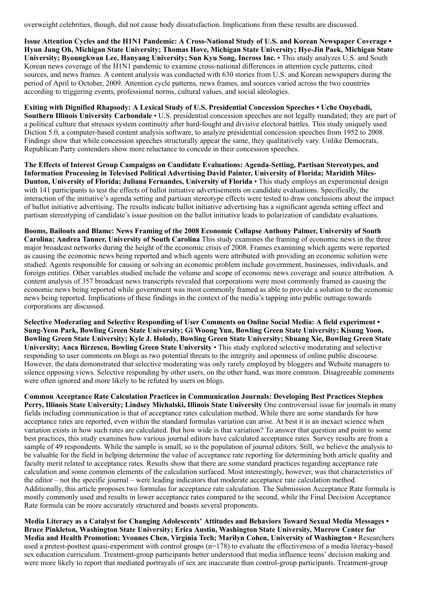overweight celebrities, though, did not cause body dissatisfaction. Implications from these results are discussed.

Issue Attention Cycles and the H1N1 Pandemic: A Cross-National Study of U.S. and Korean Newspaper Coverage • Hyun Jung Oh, Michigan State University; Thomas Hove, Michigan State University; Hye-Jin Paek, Michigan State University; Byoungkwan Lee, Hanyang University; Sun Kyu Song, Incross Inc. • This study analyzes U.S. and South Korean news coverage of the H1N1 pandemic to examine cross-national differences in attention cycle patterns, cited sources, and news frames. A content analysis was conducted with 630 stories from U.S. and Korean newspapers during the period of April to October, 2009. Attention cycle patterns, news frames, and sources varied across the two countries according to triggering events, professional norms, cultural values, and social ideologies.

Exiting with Dignified Rhapsody: A Lexical Study of U.S. Presidential Concession Speeches • Uche Onyebadi, Southern Illinois University Carbondale • U.S. presidential concession speeches are not legally mandated; they are part of a political culture that stresses system continuity after hard-fought and divisive electoral battles. This study uniquely used Diction 5.0, a computer-based content analysis software, to analyze presidential concession speeches from 1952 to 2008. Findings show that while concession speeches structurally appear the same, they qualitatively vary. Unlike Democrats, Republican Party contenders show more reluctance to concede in their concession speeches.

The Effects of Interest Group Campaigns on Candidate Evaluations: Agenda-Setting, Partisan Stereotypes, and Information Processing in Televised Political Advertising David Painter, University of Florida; Maridith Miles-Dunton, University of Florida; Juliana Fernandes, University of Florida • This study employs an experimental design with 141 participants to test the effects of ballot initiative advertisements on candidate evaluations. Specifically, the interaction of the initiative's agenda setting and partisan stereotype effects were tested to draw conclusions about the impact of ballot initiative advertising. The results indicate ballot initiative advertising has a significant agenda setting effect and partisan stereotyping of candidate's issue position on the ballot initiative leads to polarization of candidate evaluations.

Booms, Bailouts and Blame: News Framing of the 2008 Economic Collapse Anthony Palmer, University of South Carolina; Andrea Tanner, University of South Carolina This study examines the framing of economic news in the three major broadcast networks during the height of the economic crisis of 2008. Frames examining which agents were reported as causing the economic news being reported and which agents were attributed with providing an economic solution were studied. Agents responsible for causing or solving an economic problem include government, businesses, individuals, and foreign entities. Other variables studied include the volume and scope of economic news coverage and source attribution. A content analysis of 357 broadcast news transcripts revealed that corporations were most commonly framed as causing the economic news being reported while government was most commonly framed as able to provide a solution to the economic news being reported. Implications of these findings in the context of the media's tapping into public outrage towards corporations are discussed.

Selective Moderating and Selective Responding of User Comments on Online Social Media: A field experiment • Sung-Yeon Park, Bowling Green State University; Gi Woong Yun, Bowling Green State University; Kisung Yoon, Bowling Green State University; Kyle J. Holody, Bowling Green State University; Shuang Xie, Bowling Green State University; Anca Birzescu, Bowling Green State University • This study explored selective moderating and selective responding to user comments on blogs as two potential threats to the integrity and openness of online public discourse. However, the data demonstrated that selective moderating was only rarely employed by bloggers and Website managers to silence opposing views. Selective responding by other users, on the other hand, was more common. Disagreeable comments were often ignored and more likely to be refuted by users on blogs.

Common Acceptance Rate Calculation Practices in Communication Journals: Developing Best Practices Stephen Perry, Illinois State University; Lindsey Michalski, Illinois State University One controversial issue for journals in many fields including communication is that of acceptance rates calculation method. While there are some standards for how acceptance rates are reported, even within the standard formulas variation can arise. At best it is an inexact science when variation exists in how such rates are calculated. But how wide is that variation? To answer that question and point to some best practices, this study examines how various journal editors have calculated acceptance rates. Survey results are from a sample of 49 respondents. While the sample is small, so is the population of journal editors. Still, we believe the analysis to be valuable for the field in helping determine the value of acceptance rate reporting for determining both article quality and faculty merit related to acceptance rates. Results show that there are some standard practices regarding acceptance rate calculation and some common elements of the calculation surfaced. Most interestingly, however, was that characteristics of the editor – not the specific journal – were leading indicators that moderate acceptance rate calculation method. Additionally, this article proposes two formulas for acceptance rate calculation. The Submission Acceptance Rate formula is mostly commonly used and results in lower acceptance rates compared to the second, while the Final Decision Acceptance Rate formula can be more accurately structured and boasts several proponents.

Media Literacy as a Catalyst for Changing Adolescents' Attitudes and Behaviors Toward Sexual Media Messages • Bruce Pinkleton, Washington State University; Erica Austin, Washington State University, Murrow Center for Media and Health Promotion; Yvonnes Chen, Virginia Tech; Marilyn Cohen, University of Washington • Researchers used a pretest-posttest quasi-experiment with control groups (n=178) to evaluate the effectiveness of a media literacy-based sex education curriculum. Treatment-group participants better understood that media influence teens' decision making and were more likely to report that mediated portrayals of sex are inaccurate than control-group participants. Treatment-group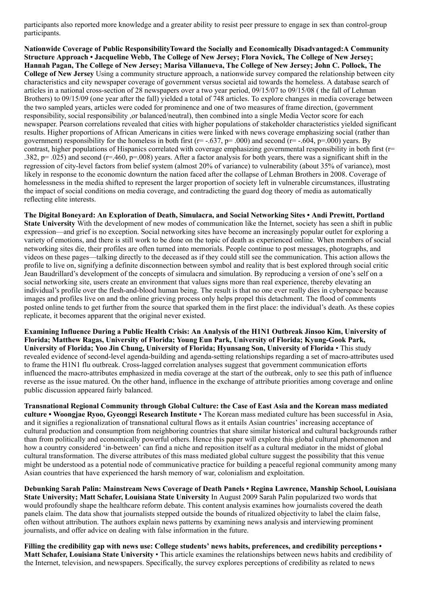participants also reported more knowledge and a greater ability to resist peer pressure to engage in sex than control-group participants.

Nationwide Coverage of Public ResponsibilityToward the Socially and Economically Disadvantaged:A Community Structure Approach • Jacqueline Webb, The College of New Jersey; Flora Novick, The College of New Jersey; Hannah Pagan, The College of New Jersey; Marisa Villanueva, The College of New Jersey; John C. Pollock, The College of New Jersey Using a community structure approach, a nationwide survey compared the relationship between city characteristics and city newspaper coverage of government versus societal aid towards the homeless. A database search of articles in a national cross-section of 28 newspapers over a two year period, 09/15/07 to 09/15/08 ( the fall of Lehman Brothers) to 09/15/09 (one year after the fall) yielded a total of 748 articles. To explore changes in media coverage between the two sampled years, articles were coded for prominence and one of two measures of frame direction, (government responsibility, social responsibility ,or balanced/neutral), then combined into a single Media Vector score for each newspaper. Pearson correlations revealed that cities with higher populations of stakeholder characteristics yielded significant results. Higher proportions of African Americans in cities were linked with news coverage emphasizing social (rather than government) responsibility for the homeless in both first ( $r = -.637$ ,  $p = .000$ ) and second ( $r = -.604$ ,  $p = .000$ ) years. By contrast, higher populations of Hispanics correlated with coverage emphasizing governmental responsibility in both first (r= .382, p= .025) and second (r=.460, p=.008) years. After a factor analysis for both years, there was a significant shift in the regression of city-level factors from belief system (almost 20% of variance) to vulnerability (about 35% of variance), most likely in response to the economic downturn the nation faced after the collapse of Lehman Brothers in 2008. Coverage of homelessness in the media shifted to represent the larger proportion of society left in vulnerable circumstances, illustrating the impact of social conditions on media coverage, and contradicting the guard dog theory of media as automatically reflecting elite interests.

The Digital Boneyard: An Exploration of Death, Simulacra, and Social Networking Sites • Andi Prewitt, Portland State University With the development of new modes of communication like the Internet, society has seen a shift in public expression—and grief is no exception. Social networking sites have become an increasingly popular outlet for exploring a variety of emotions, and there is still work to be done on the topic of death as experienced online. When members of social networking sites die, their profiles are often turned into memorials. People continue to post messages, photographs, and videos on these pages—talking directly to the deceased as if they could still see the communication. This action allows the profile to live on, signifying a definite disconnection between symbol and reality that is best explored through social critic Jean Baudrillard's development of the concepts of simulacra and simulation. By reproducing a version of one's self on a social networking site, users create an environment that values signs more than real experience, thereby elevating an individual's profile over the flesh-and-blood human being. The result is that no one ever really dies in cyberspace because images and profiles live on and the online grieving process only helps propel this detachment. The flood of comments posted online tends to get further from the source that sparked them in the first place: the individual's death. As these copies replicate, it becomes apparent that the original never existed.

Examining Influence During a Public Health Crisis: An Analysis of the H1N1 Outbreak Jinsoo Kim, University of Florida; Matthew Ragas, University of Florida; Young Eun Park, University of Florida; Kyung-Gook Park, University of Florida; Yoo Jin Chung, University of Florida; Hyunsang Son, University of Florida • This study revealed evidence of second-level agenda-building and agenda-setting relationships regarding a set of macro-attributes used to frame the H1N1 flu outbreak. Cross-lagged correlation analyses suggest that government communication efforts influenced the macro-attributes emphasized in media coverage at the start of the outbreak, only to see this path of influence reverse as the issue matured. On the other hand, influence in the exchange of attribute priorities among coverage and online public discussion appeared fairly balanced.

Transnational Regional Community through Global Culture: the Case of East Asia and the Korean mass mediated culture • Woongjae Ryoo, Gyeonggi Research Institute • The Korean mass mediated culture has been successful in Asia, and it signifies a regionalization of transnational cultural flows as it entails Asian countries' increasing acceptance of cultural production and consumption from neighboring countries that share similar historical and cultural backgrounds rather than from politically and economically powerful others. Hence this paper will explore this global cultural phenomenon and how a country considered 'in-between' can find a niche and reposition itself as a cultural mediator in the midst of global cultural transformation. The diverse attributes of this mass mediated global culture suggest the possibility that this venue might be understood as a potential node of communicative practice for building a peaceful regional community among many Asian countries that have experienced the harsh memory of war, colonialism and exploitation.

Debunking Sarah Palin: Mainstream News Coverage of Death Panels • Regina Lawrence, Manship School, Louisiana State University; Matt Schafer, Louisiana State University In August 2009 Sarah Palin popularized two words that would profoundly shape the healthcare reform debate. This content analysis examines how journalists covered the death panels claim. The data show that journalists stepped outside the bounds of ritualized objectivity to label the claim false, often without attribution. The authors explain news patterns by examining news analysis and interviewing prominent journalists, and offer advice on dealing with false information in the future.

Filling the credibility gap with news use: College students' news habits, preferences, and credibility perceptions • Matt Schafer, Louisiana State University • This article examines the relationships between news habits and credibility of the Internet, television, and newspapers. Specifically, the survey explores perceptions of credibility as related to news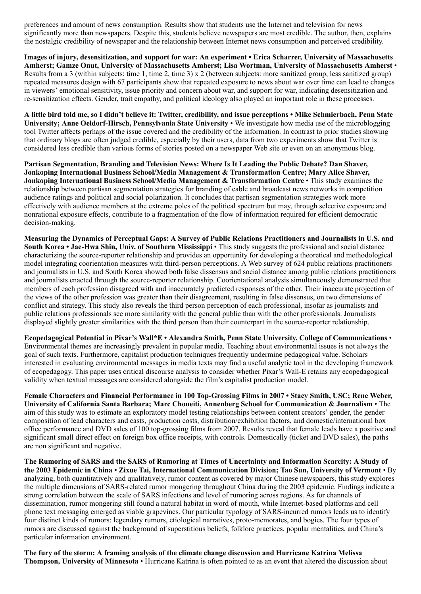preferences and amount of news consumption. Results show that students use the Internet and television for news significantly more than newspapers. Despite this, students believe newspapers are most credible. The author, then, explains the nostalgic credibility of newspaper and the relationship between Internet news consumption and perceived credibility.

Images of injury, desensitization, and support for war: An experiment • Erica Scharrer, University of Massachusetts Amherst; Gamze Onut, University of Massachusetts Amherst; Lisa Wortman, University of Massachusetts Amherst • Results from a 3 (within subjects: time 1, time 2, time 3) x 2 (between subjects: more sanitized group, less sanitized group) repeated measures design with 67 participants show that repeated exposure to news about war over time can lead to changes in viewers' emotional sensitivity, issue priority and concern about war, and support for war, indicating desensitization and re-sensitization effects. Gender, trait empathy, and political ideology also played an important role in these processes.

A little bird told me, so I didn't believe it: Twitter, credibility, and issue perceptions • Mike Schmierbach, Penn State University; Anne Oeldorf-Hirsch, Pennsylvania State University • We investigate how media use of the microblogging tool Twitter affects perhaps of the issue covered and the credibility of the information. In contrast to prior studies showing that ordinary blogs are often judged credible, especially by their users, data from two experiments show that Twitter is considered less credible than various forms of stories posted on a newspaper Web site or even on an anonymous blog.

Partisan Segmentation, Branding and Television News: Where Is It Leading the Public Debate? Dan Shaver, Jonkoping International Business School/Media Management & Transformation Centre; Mary Alice Shaver, Jonkoping International Business School/Media Management & Transformation Centre • This study examines the relationship between partisan segmentation strategies for branding of cable and broadcast news networks in competition audience ratings and political and social polarization. It concludes that partisan segmentation strategies work more effectively with audience members at the extreme poles of the political spectrum but may, through selective exposure and nonrational exposure effects, contribute to a fragmentation of the flow of information required for efficient democratic decision-making.

Measuring the Dynamics of Perceptual Gaps: A Survey of Public Relations Practitioners and Journalists in U.S. and South Korea • Jae-Hwa Shin, Univ. of Southern Mississippi • This study suggests the professional and social distance characterizing the source-reporter relationship and provides an opportunity for developing a theoretical and methodological model integrating coorientation measures with third-person perceptions. A Web survey of 624 public relations practitioners and journalists in U.S. and South Korea showed both false dissensus and social distance among public relations practitioners and journalists enacted through the source-reporter relationship. Coorientational analysis simultaneously demonstrated that members of each profession disagreed with and inaccurately predicted responses of the other. Their inaccurate projection of the views of the other profession was greater than their disagreement, resulting in false dissensus, on two dimensions of conflict and strategy. This study also reveals the third person perception of each professional, insofar as journalists and public relations professionals see more similarity with the general public than with the other professionals. Journalists displayed slightly greater similarities with the third person than their counterpart in the source-reporter relationship.

Ecopedagogical Potential in Pixar's Wall\*E • Alexandra Smith, Penn State University, College of Communications • Environmental themes are increasingly prevalent in popular media. Teaching about environmental issues is not always the goal of such texts. Furthermore, capitalist production techniques frequently undermine pedagogical value. Scholars interested in evaluating environmental messages in media texts may find a useful analytic tool in the developing framework of ecopedagogy. This paper uses critical discourse analysis to consider whether Pixar's Wall-E retains any ecopedagogical validity when textual messages are considered alongside the film's capitalist production model.

Female Characters and Financial Performance in 100 Top-Grossing Films in 2007 • Stacy Smith, USC; Rene Weber, University of California Santa Barbara; Marc Choueiti, Annenberg School for Communication & Journalism • The aim of this study was to estimate an exploratory model testing relationships between content creators' gender, the gender composition of lead characters and casts, production costs, distribution/exhibition factors, and domestic/international box office performance and DVD sales of 100 top-grossing films from 2007. Results reveal that female leads have a positive and significant small direct effect on foreign box office receipts, with controls. Domestically (ticket and DVD sales), the paths are non significant and negative.

The Rumoring of SARS and the SARS of Rumoring at Times of Uncertainty and Information Scarcity: A Study of the 2003 Epidemic in China • Zixue Tai, International Communication Division; Tao Sun, University of Vermont • By analyzing, both quantitatively and qualitatively, rumor content as covered by major Chinese newspapers, this study explores the multiple dimensions of SARS-related rumor mongering throughout China during the 2003 epidemic. Findings indicate a strong correlation between the scale of SARS infections and level of rumoring across regions. As for channels of dissemination, rumor mongering still found a natural habitat in word of mouth, while Internet-based platforms and cell phone text messaging emerged as viable grapevines. Our particular typology of SARS-incurred rumors leads us to identify four distinct kinds of rumors: legendary rumors, etiological narratives, proto-memorates, and bogies. The four types of rumors are discussed against the background of superstitious beliefs, folklore practices, popular mentalities, and China's particular information environment.

The fury of the storm: A framing analysis of the climate change discussion and Hurricane Katrina Melissa Thompson, University of Minnesota • Hurricane Katrina is often pointed to as an event that altered the discussion about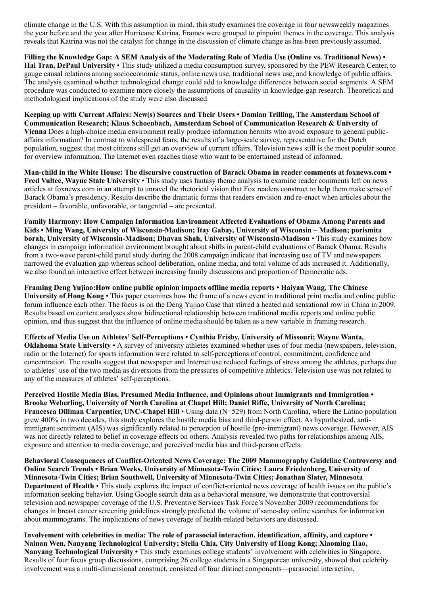climate change in the U.S. With this assumption in mind, this study examines the coverage in four newsweekly magazines the year before and the year after Hurricane Katrina. Frames were grouped to pinpoint themes in the coverage. This analysis reveals that Katrina was not the catalyst for change in the discussion of climate change as has been previously assumed.

Filling the Knowledge Gap: A SEM Analysis of the Moderating Role of Media Use (Online vs. Traditional News) • Hai Tran, DePaul University • This study utilized a media consumption survey, sponsored by the PEW Research Center, to gauge causal relations among socioeconomic status, online news use, traditional news use, and knowledge of public affairs. The analysis examined whether technological change could add to knowledge differences between social segments. A SEM procedure was conducted to examine more closely the assumptions of causality in knowledge-gap research. Theoretical and methodological implications of the study were also discussed.

Keeping up with Current Affairs: New(s) Sources and Their Users • Damian Trilling, The Amsterdam School of Communication Research; Klaus Schoenbach, Amsterdam School of Communication Research & University of Vienna Does a high-choice media environment really produce information hermits who avoid exposure to general publicaffairs information? In contrast to widespread fears, the results of a large-scale survey, representative for the Dutch population, suggest that most citizens still get an overview of current affairs. Television news still is the most popular source for overview information. The Internet even reaches those who want to be entertained instead of informed.

Man-child in the White House: The discursive construction of Barack Obama in reader comments at foxnews.com • Fred Vultee, Wayne State University • This study uses fantasy theme analysis to examine reader comments left on news articles at foxnews.com in an attempt to unravel the rhetorical vision that Fox readers construct to help them make sense of Barack Obama's presidency. Results describe the dramatic forms that readers envision and re-enact when articles about the president – favorable, unfavorable, or tangential – are presented.

Family Harmony: How Campaign Information Environment Affected Evaluations of Obama Among Parents and Kids • Ming Wang, University of Wisconsin-Madison; Itay Gabay, University of Wisconsin – Madison; porismita borah, University of Wisconsin-Madison; Dhavan Shah, University of Wisconsin-Madison • This study examines how changes in campaign information environment brought about shifts in parent-child evaluations of Barack Obama. Results from a two-wave parent-child panel study during the 2008 campaign indicate that increasing use of TV and newspapers narrowed the evaluation gap whereas school deliberation, online media, and total volume of ads increased it. Additionally, we also found an interactive effect between increasing family discussions and proportion of Democratic ads.

Framing Deng Yujiao:How online public opinion impacts offline media reports • Haiyan Wang, The Chinese University of Hong Kong • This paper examines how the frame of a news event in traditional print media and online public forum influence each other. The focus is on the Deng Yujiao Case that stirred a heated and sensational row in China in 2009. Results based on content analyses show bidirectional relationship between traditional media reports and online public opinion, and thus suggest that the influence of online media should be taken as a new variable in framing research.

Effects of Media Use on Athletes' Self-Perceptions • Cynthia Frisby, University of Missouri; Wayne Wanta, Oklahoma State University • A survey of university athletes examined whether uses of four media (newspapers, television, radio or the Internet) for sports information were related to self-perceptions of control, commitment, confidence and concentration. The results suggest that newspaper and Internet use reduced feelings of stress among the athletes, perhaps due to athletes' use of the two media as diversions from the pressures of competitive athletics. Television use was not related to any of the measures of athletes' self-perceptions.

Perceived Hostile Media Bias, Presumed Media Influence, and Opinions about Immigrants and Immigration • Brooke Weberling, University of North Carolina at Chapel Hill; Daniel Riffe, University of North Carolina; Francesca Dillman Carpentier, UNC-Chapel Hill • Using data (N=529) from North Carolina, where the Latino population grew 400% in two decades, this study explores the hostile media bias and third-person effect. As hypothesized, antiimmigrant sentiment (AIS) was significantly related to perception of hostile (pro-immigrant) news coverage. However, AIS was not directly related to belief in coverage effects on others. Analysis revealed two paths for relationships among AIS, exposure and attention to media coverage, and perceived media bias and third-person effects.

Behavioral Consequences of Conflict-Oriented News Coverage: The 2009 Mammography Guideline Controversy and Online Search Trends • Brian Weeks, University of Minnesota-Twin Cities; Laura Friedenberg, University of Minnesota-Twin Cities; Brian Southwell, University of Minnesota-Twin Cities; Jonathan Slater, Minnesota Department of Health • This study explores the impact of conflict-oriented news coverage of health issues on the public's information seeking behavior. Using Google search data as a behavioral measure, we demonstrate that controversial television and newspaper coverage of the U.S. Preventive Services Task Force's November 2009 recommendations for changes in breast cancer screening guidelines strongly predicted the volume of same-day online searches for information about mammograms. The implications of news coverage of health-related behaviors are discussed.

Involvement with celebrities in media: The role of parasocial interaction, identification, affinity, and capture • Nainan Wen, Nanyang Technological University; Stella Chia, City University of Hong Kong; Xiaoming Hao, Nanyang Technological University • This study examines college students' involvement with celebrities in Singapore. Results of four focus group discussions, comprising 26 college students in a Singaporean university, showed that celebrity involvement was a multi-dimensional construct, consisted of four distinct components—parasocial interaction,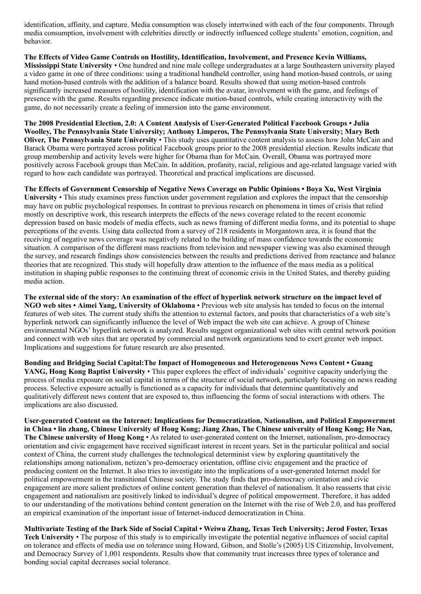identification, affinity, and capture. Media consumption was closely intertwined with each of the four components. Through media consumption, involvement with celebrities directly or indirectly influenced college students' emotion, cognition, and behavior.

The Effects of Video Game Controls on Hostility, Identification, Involvement, and Presence Kevin Williams, Mississippi State University • One hundred and nine male college undergraduates at a large Southeastern university played a video game in one of three conditions: using a traditional handheld controller, using hand motion-based controls, or using hand motion-based controls with the addition of a balance board. Results showed that using motion-based controls significantly increased measures of hostility, identification with the avatar, involvement with the game, and feelings of presence with the game. Results regarding presence indicate motion-based controls, while creating interactivity with the game, do not necessarily create a feeling of immersion into the game environment.

The 2008 Presidential Election, 2.0: A Content Analysis of User-Generated Political Facebook Groups • Julia Woolley, The Pennsylvania State University; Anthony Limperos, The Pennsylvania State University; Mary Beth Oliver, The Pennsylvania State University • This study uses quantitative content analysis to assess how John McCain and Barack Obama were portrayed across political Facebook groups prior to the 2008 presidential election. Results indicate that group membership and activity levels were higher for Obama than for McCain. Overall, Obama was portrayed more positively across Facebook groups than McCain. In addition, profanity, racial, religious and age-related language varied with regard to how each candidate was portrayed. Theoretical and practical implications are discussed.

The Effects of Government Censorship of Negative News Coverage on Public Opinions • Boya Xu, West Virginia University • This study examines press function under government regulation and explores the impact that the censorship may have on public psychological responses. In contrast to previous research on phenomena in times of crisis that relied mostly on descriptive work, this research interprets the effects of the news coverage related to the recent economic depression based on basic models of media effects, such as news framing of different media forms, and its potential to shape perceptions of the events. Using data collected from a survey of 218 residents in Morgantown area, it is found that the receiving of negative news coverage was negatively related to the building of mass confidence towards the economic situation. A comparison of the different mass reactions from television and newspaper viewing was also examined through the survey, and research findings show consistencies between the results and predictions derived from reactance and balance theories that are recognized. This study will hopefully draw attention to the influence of the mass media as a political institution in shaping public responses to the continuing threat of economic crisis in the United States, and thereby guiding media action.

The external side of the story: An examination of the effect of hyperlink network structure on the impact level of NGO web sites • Aimei Yang, University of Oklahoma • Previous web site analysis has tended to focus on the internal features of web sites. The current study shifts the attention to external factors, and posits that characteristics of a web site's hyperlink network can significantly influence the level of Web impact the web site can achieve. A group of Chinese environmental NGOs' hyperlink network is analyzed. Results suggest organizational web sites with central network position and connect with web sites that are operated by commercial and network organizations tend to exert greater web impact. Implications and suggestions for future research are also presented.

Bonding and Bridging Social Capital:The Impact of Homogeneous and Heterogeneous News Content • Guang YANG, Hong Kong Baptist University • This paper explores the effect of individuals' cognitive capacity underlying the process of media exposure on social capital in terms of the structure of social network, particularly focusing on news reading process. Selective exposure actually is functioned as a capacity for individuals that determine quantitatively and qualitatively different news content that are exposed to, thus influencing the forms of social interactions with others. The implications are also discussed.

User-generated Content on the Internet: Implications for Democratization, Nationalism, and Political Empowerment in China • lin zhang, Chinese University of Hong Kong; Jiang Zhao, The Chinese university of Hong Kong; He Nan, The Chinese university of Hong Kong • As related to user-generated content on the Internet, nationalism, pro-democracy orientation and civic engagement have received significant interest in recent years. Set in the particular political and social context of China, the current study challenges the technological determinist view by exploring quantitatively the relationships among nationalism, netizen's pro-democracy orientation, offline civic engagement and the practice of producing content on the Internet. It also tries to investigate into the implications of a user-generated Internet model for political empowerment in the transitional Chinese society. The study finds that pro-democracy orientation and civic engagement are more salient predictors of online content generation than thelevel of nationalism. It also reasserts that civic engagement and nationalism are positively linked to individual's degree of political empowerment. Therefore, it has added to our understanding of the motivations behind content generation on the Internet with the rise of Web 2.0, and has proffered an empirical examination of the important issue of Internet-induced democratization in China.

Multivariate Testing of the Dark Side of Social Capital • Weiwu Zhang, Texas Tech University; Jerod Foster, Texas Tech University • The purpose of this study is to empirically investigate the potential negative influences of social capital on tolerance and effects of media use on tolerance using Howard, Gibson, and Stolle's (2005) US Citizenship, Involvement, and Democracy Survey of 1,001 respondents. Results show that community trust increases three types of tolerance and bonding social capital decreases social tolerance.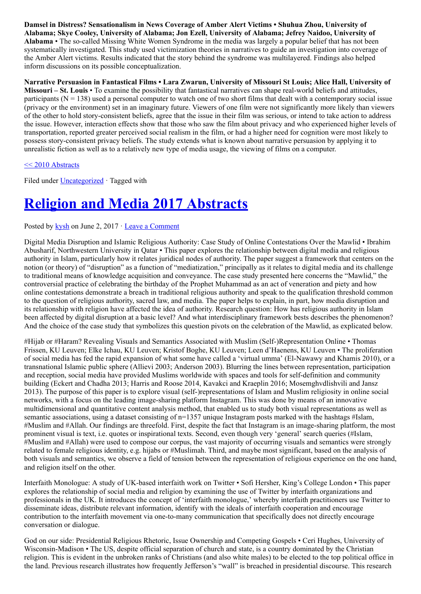Damsel in Distress? Sensationalism in News Coverage of Amber Alert Victims • Shuhua Zhou, University of Alabama; Skye Cooley, University of Alabama; Jon Ezell, University of Alabama; Jefrey Naidoo, University of Alabama • The so-called Missing White Women Syndrome in the media was largely a popular belief that has not been systematically investigated. This study used victimization theories in narratives to guide an investigation into coverage of the Amber Alert victims. Results indicated that the story behind the syndrome was multilayered. Findings also helped inform discussions on its possible conceptualization.

Narrative Persuasion in Fantastical Films • Lara Zwarun, University of Missouri St Louis; Alice Hall, University of Missouri – St. Louis • To examine the possibility that fantastical narratives can shape real-world beliefs and attitudes, participants  $(N = 138)$  used a personal computer to watch one of two short films that dealt with a contemporary social issue (privacy or the environment) set in an imaginary future. Viewers of one film were not significantly more likely than viewers of the other to hold story-consistent beliefs, agree that the issue in their film was serious, or intend to take action to address the issue. However, interaction effects show that those who saw the film about privacy and who experienced higher levels of transportation, reported greater perceived social realism in the film, or had a higher need for cognition were most likely to possess story-consistent privacy beliefs. The study extends what is known about narrative persuasion by applying it to unrealistic fiction as well as to a relatively new type of media usage, the viewing of films on a computer.

#### [<< 2010 Abstracts](http://www.aejmc.com/?p=1208)

Filed under **Uncategorized** · Tagged with

# [Religion and Media 2017 Abstracts](http://www.aejmc.org/home/2017/06/rmig-2017-abstracts/)

#### Posted by  $kvsh$  on June 2, 2017  $\cdot$  [Leave a Comment](http://www.aejmc.org/home/2017/06/rmig-2017-abstracts/#respond)

Digital Media Disruption and Islamic Religious Authority: Case Study of Online Contestations Over the Mawlid • Ibrahim Abusharif, Northwestern University in Qatar • This paper explores the relationship between digital media and religious authority in Islam, particularly how it relates juridical nodes of authority. The paper suggest a framework that centers on the notion (or theory) of "disruption" as a function of "mediatization," principally as it relates to digital media and its challenge to traditional means of knowledge acquisition and conveyance. The case study presented here concerns the "Mawlid," the controversial practice of celebrating the birthday of the Prophet Muhammad as an act of veneration and piety and how online contestations demonstrate a breach in traditional religious authority and speak to the qualification threshold common to the question of religious authority, sacred law, and media. The paper helps to explain, in part, how media disruption and its relationship with religion have affected the idea of authority. Research question: How has religious authority in Islam been affected by digital disruption at a basic level? And what interdisciplinary framework bests describes the phenomenon? And the choice of the case study that symbolizes this question pivots on the celebration of the Mawlid, as explicated below.

#Hijab or #Haram? Revealing Visuals and Semantics Associated with Muslim (Self-)Representation Online • Thomas Frissen, KU Leuven; Elke Ichau, KU Leuven; Kristof Boghe, KU Leuven; Leen d'Haenens, KU Leuven • The proliferation of social media has fed the rapid expansion of what some have called a 'virtual umma' (El-Nawawy and Khamis 2010), or a transnational Islamic public sphere (Allievi 2003; Anderson 2003). Blurring the lines between representation, participation and reception, social media have provided Muslims worldwide with spaces and tools for self-definition and community building (Eckert and Chadha 2013; Harris and Roose 2014, Kavakci and Kraeplin 2016; Mosemghvdlishvili and Jansz 2013). The purpose of this paper is to explore visual (self-)representations of Islam and Muslim religiosity in online social networks, with a focus on the leading image-sharing platform Instagram. This was done by means of an innovative multidimensional and quantitative content analysis method, that enabled us to study both visual representations as well as semantic associations, using a dataset consisting of  $n=1357$  unique Instagram posts marked with the hashtags #Islam, #Muslim and #Allah. Our findings are threefold. First, despite the fact that Instagram is an image-sharing platform, the most prominent visual is text, i.e. quotes or inspirational texts. Second, even though very 'general' search queries (#Islam, #Muslim and #Allah) were used to compose our corpus, the vast majority of occurring visuals and semantics were strongly related to female religious identity, e.g. hijabs or #Muslimah. Third, and maybe most significant, based on the analysis of both visuals and semantics, we observe a field of tension between the representation of religious experience on the one hand, and religion itself on the other.

Interfaith Monologue: A study of UK-based interfaith work on Twitter • Sofi Hersher, King's College London • This paper explores the relationship of social media and religion by examining the use of Twitter by interfaith organizations and professionals in the UK. It introduces the concept of 'interfaith monologue,' whereby interfaith practitioners use Twitter to disseminate ideas, distribute relevant information, identify with the ideals of interfaith cooperation and encourage contribution to the interfaith movement via one-to-many communication that specifically does not directly encourage conversation or dialogue.

God on our side: Presidential Religious Rhetoric, Issue Ownership and Competing Gospels • Ceri Hughes, University of Wisconsin-Madison • The US, despite official separation of church and state, is a country dominated by the Christian religion. This is evident in the unbroken ranks of Christians (and also white males) to be elected to the top political office in the land. Previous research illustrates how frequently Jefferson's "wall" is breached in presidential discourse. This research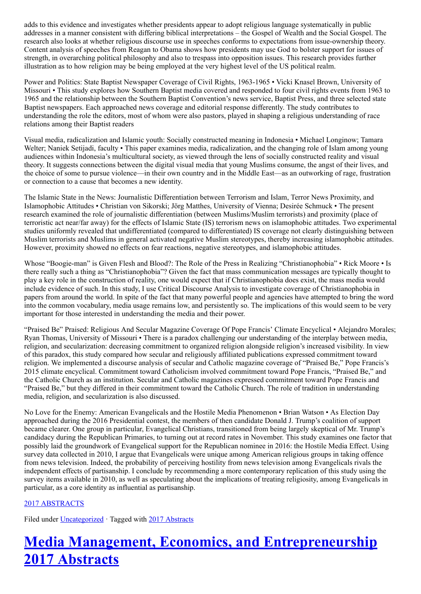adds to this evidence and investigates whether presidents appear to adopt religious language systematically in public addresses in a manner consistent with differing biblical interpretations – the Gospel of Wealth and the Social Gospel. The research also looks at whether religious discourse use in speeches conforms to expectations from issue-ownership theory. Content analysis of speeches from Reagan to Obama shows how presidents may use God to bolster support for issues of strength, in overarching political philosophy and also to trespass into opposition issues. This research provides further illustration as to how religion may be being employed at the very highest level of the US political realm.

Power and Politics: State Baptist Newspaper Coverage of Civil Rights, 1963-1965 • Vicki Knasel Brown, University of Missouri • This study explores how Southern Baptist media covered and responded to four civil rights events from 1963 to 1965 and the relationship between the Southern Baptist Convention's news service, Baptist Press, and three selected state Baptist newspapers. Each approached news coverage and editorial response differently. The study contributes to understanding the role the editors, most of whom were also pastors, played in shaping a religious understanding of race relations among their Baptist readers

Visual media, radicalization and Islamic youth: Socially constructed meaning in Indonesia • Michael Longinow; Tamara Welter; Naniek Setijadi, faculty • This paper examines media, radicalization, and the changing role of Islam among young audiences within Indonesia's multicultural society, as viewed through the lens of socially constructed reality and visual theory. It suggests connections between the digital visual media that young Muslims consume, the angst of their lives, and the choice of some to pursue violence—in their own country and in the Middle East—as an outworking of rage, frustration or connection to a cause that becomes a new identity.

The Islamic State in the News: Journalistic Differentiation between Terrorism and Islam, Terror News Proximity, and Islamophobic Attitudes • Christian von Sikorski; Jörg Matthes, University of Vienna; Desirée Schmuck • The present research examined the role of journalistic differentiation (between Muslims/Muslim terrorists) and proximity (place of terroristic act near/far away) for the effects of Islamic State (IS) terrorism news on islamophobic attitudes. Two experimental studies uniformly revealed that undifferentiated (compared to differentiated) IS coverage not clearly distinguishing between Muslim terrorists and Muslims in general activated negative Muslim stereotypes, thereby increasing islamophobic attitudes. However, proximity showed no effects on fear reactions, negative stereotypes, and islamophobic attitudes.

Whose "Boogie-man" is Given Flesh and Blood?: The Role of the Press in Realizing "Christianophobia" • Rick Moore • Is there really such a thing as "Christianophobia"? Given the fact that mass communication messages are typically thought to play a key role in the construction of reality, one would expect that if Christianophobia does exist, the mass media would include evidence of such. In this study, I use Critical Discourse Analysis to investigate coverage of Christianophobia in papers from around the world. In spite of the fact that many powerful people and agencies have attempted to bring the word into the common vocabulary, media usage remains low, and persistently so. The implications of this would seem to be very important for those interested in understanding the media and their power.

"Praised Be" Praised: Religious And Secular Magazine Coverage Of Pope Francis' Climate Encyclical • Alejandro Morales; Ryan Thomas, University of Missouri • There is a paradox challenging our understanding of the interplay between media, religion, and secularization: decreasing commitment to organized religion alongside religion's increased visibility. In view of this paradox, this study compared how secular and religiously affiliated publications expressed commitment toward religion. We implemented a discourse analysis of secular and Catholic magazine coverage of "Praised Be," Pope Francis's 2015 climate encyclical. Commitment toward Catholicism involved commitment toward Pope Francis, "Praised Be," and the Catholic Church as an institution. Secular and Catholic magazines expressed commitment toward Pope Francis and "Praised Be," but they differed in their commitment toward the Catholic Church. The role of tradition in understanding media, religion, and secularization is also discussed.

No Love for the Enemy: American Evangelicals and the Hostile Media Phenomenon • Brian Watson • As Election Day approached during the 2016 Presidential contest, the members of then candidate Donald J. Trump's coalition of support became clearer. One group in particular, Evangelical Christians, transitioned from being largely skeptical of Mr. Trump's candidacy during the Republican Primaries, to turning out at record rates in November. This study examines one factor that possibly laid the groundwork of Evangelical support for the Republican nominee in 2016: the Hostile Media Effect. Using survey data collected in 2010, I argue that Evangelicals were unique among American religious groups in taking offence from news television. Indeed, the probability of perceiving hostility from news television among Evangelicals rivals the independent effects of partisanship. I conclude by recommending a more contemporary replication of this study using the survey items available in 2010, as well as speculating about the implications of treating religiosity, among Evangelicals in particular, as a core identity as influential as partisanship.

### [2017 ABSTRACTS](http://www.aejmc.org/home/2017/06/2017-abstracts/)

Filed under [Uncategorized](http://www.aejmc.org/home/category/uncategorized/) · Tagged with [2017 Abstracts](http://www.aejmc.org/home/tag/2017-abstracts/)

# [Media Management, Economics, and Entrepreneurship](http://www.aejmc.org/home/2017/06/mmee-2017-abstracts/) 2017 Abstracts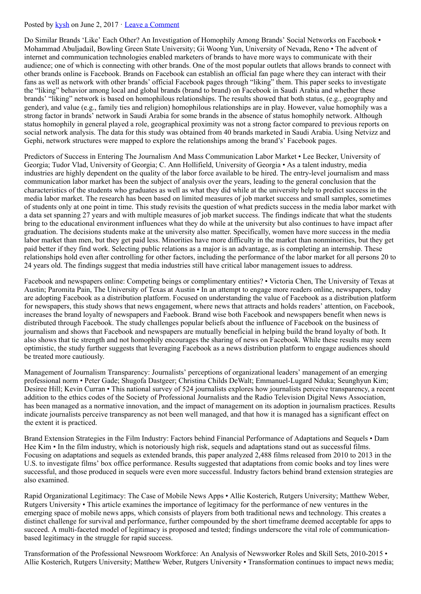#### Posted by [kysh](http://www.aejmc.org/home/author/kyshiab/) on June 2, 2017 · [Leave a Comment](http://www.aejmc.org/home/2017/06/mmee-2017-abstracts/#respond)

Do Similar Brands 'Like' Each Other? An Investigation of Homophily Among Brands' Social Networks on Facebook • Mohammad Abuljadail, Bowling Green State University; Gi Woong Yun, University of Nevada, Reno • The advent of internet and communication technologies enabled marketers of brands to have more ways to communicate with their audience; one of which is connecting with other brands. One of the most popular outlets that allows brands to connect with other brands online is Facebook. Brands on Facebook can establish an official fan page where they can interact with their fans as well as network with other brands' official Facebook pages through "liking" them. This paper seeks to investigate the "liking" behavior among local and global brands (brand to brand) on Facebook in Saudi Arabia and whether these brands' "liking" network is based on homophilous relationships. The results showed that both status, (e.g., geography and gender), and value (e.g., family ties and religion) homophilous relationships are in play. However, value homophily was a strong factor in brands' network in Saudi Arabia for some brands in the absence of status homophily network. Although status homophily in general played a role, geographical proximity was not a strong factor compared to previous reports on social network analysis. The data for this study was obtained from 40 brands marketed in Saudi Arabia. Using Netvizz and Gephi, network structures were mapped to explore the relationships among the brand's' Facebook pages.

Predictors of Success in Entering The Journalism And Mass Communication Labor Market • Lee Becker, University of Georgia; Tudor Vlad, University of Georgia; C. Ann Hollifield, University of Georgia • As a talent industry, media industries are highly dependent on the quality of the labor force available to be hired. The entry-level journalism and mass communication labor market has been the subject of analysis over the years, leading to the general conclusion that the characteristics of the students who graduates as well as what they did while at the university help to predict success in the media labor market. The research has been based on limited measures of job market success and small samples, sometimes of students only at one point in time. This study revisits the question of what predicts success in the media labor market with a data set spanning 27 years and with multiple measures of job market success. The findings indicate that what the students bring to the educational environment influences what they do while at the university but also continues to have impact after graduation. The decisions students make at the university also matter. Specifically, women have more success in the media labor market than men, but they get paid less. Minorities have more difficulty in the market than nonminorities, but they get paid better if they find work. Selecting public relations as a major is an advantage, as is completing an internship. These relationships hold even after controlling for other factors, including the performance of the labor market for all persons 20 to 24 years old. The findings suggest that media industries still have critical labor management issues to address.

Facebook and newspapers online: Competing beings or complimentary entities? • Victoria Chen, The University of Texas at Austin; Paromita Pain, The University of Texas at Austin • In an attempt to engage more readers online, newspapers, today are adopting Facebook as a distribution platform. Focused on understanding the value of Facebook as a distribution platform for newspapers, this study shows that news engagement, where news that attracts and holds readers' attention, on Facebook, increases the brand loyalty of newspapers and Faebook. Brand wise both Facebook and newspapers benefit when news is distributed through Facebook. The study challenges popular beliefs about the influence of Facebook on the business of journalism and shows that Facebook and newspapers are mutually beneficial in helping build the brand loyalty of both. It also shows that tie strength and not homophily encourages the sharing of news on Facebook. While these results may seem optimistic, the study further suggests that leveraging Facebook as a news distribution platform to engage audiences should be treated more cautiously.

Management of Journalism Transparency: Journalists' perceptions of organizational leaders' management of an emerging professional norm • Peter Gade; Shugofa Dastgeer; Christina Childs DeWalt; Emmanuel-Lugard Nduka; Seunghyun Kim; Desiree Hill; Kevin Curran • This national survey of 524 journalists explores how journalists perceive transparency, a recent addition to the ethics codes of the Society of Professional Journalists and the Radio Television Digital News Association, has been managed as a normative innovation, and the impact of management on its adoption in journalism practices. Results indicate journalists perceive transparency as not been well managed, and that how it is managed has a significant effect on the extent it is practiced.

Brand Extension Strategies in the Film Industry: Factors behind Financial Performance of Adaptations and Sequels • Dam Hee Kim • In the film industry, which is notoriously high risk, sequels and adaptations stand out as successful films. Focusing on adaptations and sequels as extended brands, this paper analyzed 2,488 films released from 2010 to 2013 in the U.S. to investigate films' box office performance. Results suggested that adaptations from comic books and toy lines were successful, and those produced in sequels were even more successful. Industry factors behind brand extension strategies are also examined.

Rapid Organizational Legitimacy: The Case of Mobile News Apps • Allie Kosterich, Rutgers University; Matthew Weber, Rutgers University • This article examines the importance of legitimacy for the performance of new ventures in the emerging space of mobile news apps, which consists of players from both traditional news and technology. This creates a distinct challenge for survival and performance, further compounded by the short timeframe deemed acceptable for apps to succeed. A multi-faceted model of legitimacy is proposed and tested; findings underscore the vital role of communicationbased legitimacy in the struggle for rapid success.

Transformation of the Professional Newsroom Workforce: An Analysis of Newsworker Roles and Skill Sets, 2010-2015 • Allie Kosterich, Rutgers University; Matthew Weber, Rutgers University • Transformation continues to impact news media;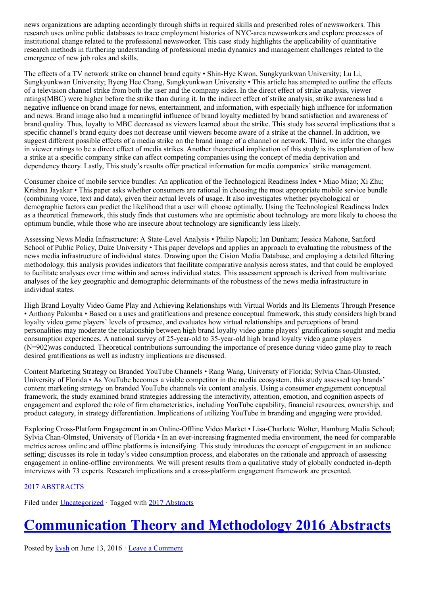news organizations are adapting accordingly through shifts in required skills and prescribed roles of newsworkers. This research uses online public databases to trace employment histories of NYC-area newsworkers and explore processes of institutional change related to the professional newsworker. This case study highlights the applicability of quantitative research methods in furthering understanding of professional media dynamics and management challenges related to the emergence of new job roles and skills.

The effects of a TV network strike on channel brand equity • Shin-Hye Kwon, Sungkyunkwan University; Lu Li, Sungkyunkwan University; Byeng Hee Chang, Sungkyunkwan University • This article has attempted to outline the effects of a television channel strike from both the user and the company sides. In the direct effect of strike analysis, viewer ratings(MBC) were higher before the strike than during it. In the indirect effect of strike analysis, strike awareness had a negative influence on brand image for news, entertainment, and information, with especially high influence for information and news. Brand image also had a meaningful influence of brand loyalty mediated by brand satisfaction and awareness of brand quality. Thus, loyalty to MBC decreased as viewers learned about the strike. This study has several implications that a specific channel's brand equity does not decrease until viewers become aware of a strike at the channel. In addition, we suggest different possible effects of a media strike on the brand image of a channel or network. Third, we infer the changes in viewer ratings to be a direct effect of media strikes. Another theoretical implication of this study is its explanation of how a strike at a specific company strike can affect competing companies using the concept of media deprivation and dependency theory. Lastly, This study's results offer practical information for media companies' strike management.

Consumer choice of mobile service bundles: An application of the Technological Readiness Index • Miao Miao; Xi Zhu; Krishna Jayakar • This paper asks whether consumers are rational in choosing the most appropriate mobile service bundle (combining voice, text and data), given their actual levels of usage. It also investigates whether psychological or demographic factors can predict the likelihood that a user will choose optimally. Using the Technological Readiness Index as a theoretical framework, this study finds that customers who are optimistic about technology are more likely to choose the optimum bundle, while those who are insecure about technology are significantly less likely.

Assessing News Media Infrastructure: A State-Level Analysis • Philip Napoli; Ian Dunham; Jessica Mahone, Sanford School of Public Policy, Duke University • This paper develops and applies an approach to evaluating the robustness of the news media infrastructure of individual states. Drawing upon the Cision Media Database, and employing a detailed filtering methodology, this analysis provides indicators that facilitate comparative analysis across states, and that could be employed to facilitate analyses over time within and across individual states. This assessment approach is derived from multivariate analyses of the key geographic and demographic determinants of the robustness of the news media infrastructure in individual states.

High Brand Loyalty Video Game Play and Achieving Relationships with Virtual Worlds and Its Elements Through Presence • Anthony Palomba • Based on a uses and gratifications and presence conceptual framework, this study considers high brand loyalty video game players' levels of presence, and evaluates how virtual relationships and perceptions of brand personalities may moderate the relationship between high brand loyalty video game players' gratifications sought and media consumption experiences. A national survey of 25-year-old to 35-year-old high brand loyalty video game players (N=902)was conducted. Theoretical contributions surrounding the importance of presence during video game play to reach desired gratifications as well as industry implications are discussed.

Content Marketing Strategy on Branded YouTube Channels • Rang Wang, University of Florida; Sylvia Chan-Olmsted, University of Florida • As YouTube becomes a viable competitor in the media ecosystem, this study assessed top brands' content marketing strategy on branded YouTube channels via content analysis. Using a consumer engagement conceptual framework, the study examined brand strategies addressing the interactivity, attention, emotion, and cognition aspects of engagement and explored the role of firm characteristics, including YouTube capability, financial resources, ownership, and product category, in strategy differentiation. Implications of utilizing YouTube in branding and engaging were provided.

Exploring Cross-Platform Engagement in an Online-Offline Video Market • Lisa-Charlotte Wolter, Hamburg Media School; Sylvia Chan-Olmsted, University of Florida • In an ever-increasing fragmented media environment, the need for comparable metrics across online and offline platforms is intensifying. This study introduces the concept of engagement in an audience setting; discusses its role in today's video consumption process, and elaborates on the rationale and approach of assessing engagement in online-offline environments. We will present results from a qualitative study of globally conducted in-depth interviews with 73 experts. Research implications and a cross-platform engagement framework are presented.

### [2017 ABSTRACTS](http://www.aejmc.org/home/2017/06/2017-abstracts/)

Filed under [Uncategorized](http://www.aejmc.org/home/category/uncategorized/) · Tagged with [2017 Abstracts](http://www.aejmc.org/home/tag/2017-abstracts/)

# [Communication Theory and Methodology 2016 Abstracts](http://www.aejmc.org/home/2016/06/ctm-2016-abstracts/)

Posted by [kysh](http://www.aejmc.org/home/author/kyshiab/) on June 13, 2016 · [Leave a Comment](http://www.aejmc.org/home/2016/06/ctm-2016-abstracts/#respond)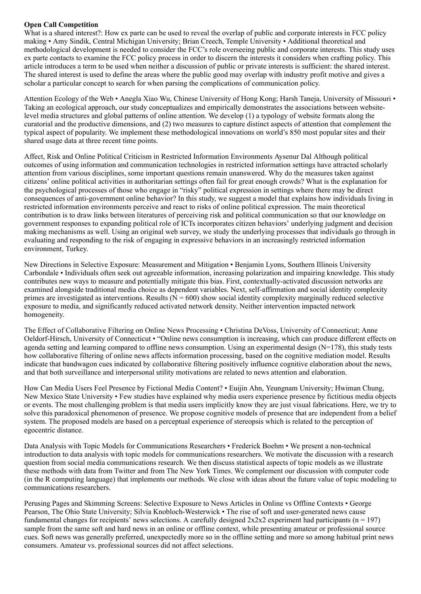### Open Call Competition

What is a shared interest?: How ex parte can be used to reveal the overlap of public and corporate interests in FCC policy making • Amy Sindik, Central Michigan University; Brian Creech, Temple University • Additional theoretical and methodological development is needed to consider the FCC's role overseeing public and corporate interests. This study uses ex parte contacts to examine the FCC policy process in order to discern the interests it considers when crafting policy. This article introduces a term to be used when neither a discussion of public or private interests is sufficient: the shared interest. The shared interest is used to define the areas where the public good may overlap with industry profit motive and gives a scholar a particular concept to search for when parsing the complications of communication policy.

Attention Ecology of the Web • Anegla Xiao Wu, Chinese University of Hong Kong; Harsh Taneja, University of Missouri • Taking an ecological approach, our study conceptualizes and empirically demonstrates the associations between websitelevel media structures and global patterns of online attention. We develop (1) a typology of website formats along the curatorial and the productive dimensions, and (2) two measures to capture distinct aspects of attention that complement the typical aspect of popularity. We implement these methodological innovations on world's 850 most popular sites and their shared usage data at three recent time points.

Affect, Risk and Online Political Criticism in Restricted Information Environments Aysenur Dal Although political outcomes of using information and communication technologies in restricted information settings have attracted scholarly attention from various disciplines, some important questions remain unanswered. Why do the measures taken against citizens' online political activities in authoritarian settings often fail for great enough crowds? What is the explanation for the psychological processes of those who engage in "risky" political expression in settings where there may be direct consequences of anti-government online behavior? In this study, we suggest a model that explains how individuals living in restricted information environments perceive and react to risks of online political expression. The main theoretical contribution is to draw links between literatures of perceiving risk and political communication so that our knowledge on government responses to expanding political role of ICTs incorporates citizen behaviors' underlying judgment and decision making mechanisms as well. Using an original web survey, we study the underlying processes that individuals go through in evaluating and responding to the risk of engaging in expressive behaviors in an increasingly restricted information environment, Turkey.

New Directions in Selective Exposure: Measurement and Mitigation • Benjamin Lyons, Southern Illinois University Carbondale • Individuals often seek out agreeable information, increasing polarization and impairing knowledge. This study contributes new ways to measure and potentially mitigate this bias. First, contextually-activated discussion networks are examined alongside traditional media choice as dependent variables. Next, self-affirmation and social identity complexity primes are investigated as interventions. Results ( $\overline{N}$  = 600) show social identity complexity marginally reduced selective exposure to media, and significantly reduced activated network density. Neither intervention impacted network homogeneity.

The Effect of Collaborative Filtering on Online News Processing • Christina DeVoss, University of Connecticut; Anne Oeldorf-Hirsch, University of Connecticut • "Online news consumption is increasing, which can produce different effects on agenda setting and learning compared to offline news consumption. Using an experimental design (N=178), this study tests how collaborative filtering of online news affects information processing, based on the cognitive mediation model. Results indicate that bandwagon cues indicated by collaborative filtering positively influence cognitive elaboration about the news, and that both surveillance and interpersonal utility motivations are related to news attention and elaboration.

How Can Media Users Feel Presence by Fictional Media Content? • Euijin Ahn, Yeungnam University; Hwiman Chung, New Mexico State University • Few studies have explained why media users experience presence by fictitious media objects or events. The most challenging problem is that media users implicitly know they are just visual fabrications. Here, we try to solve this paradoxical phenomenon of presence. We propose cognitive models of presence that are independent from a belief system. The proposed models are based on a perceptual experience of stereopsis which is related to the perception of egocentric distance.

Data Analysis with Topic Models for Communications Researchers • Frederick Boehm • We present a non-technical introduction to data analysis with topic models for communications researchers. We motivate the discussion with a research question from social media communications research. We then discuss statistical aspects of topic models as we illustrate these methods with data from Twitter and from The New York Times. We complement our discussion with computer code (in the R computing language) that implements our methods. We close with ideas about the future value of topic modeling to communications researchers.

Perusing Pages and Skimming Screens: Selective Exposure to News Articles in Online vs Offline Contexts • George Pearson, The Ohio State University; Silvia Knobloch-Westerwick • The rise of soft and user-generated news cause fundamental changes for recipients' news selections. A carefully designed  $2x2x2$  experiment had participants (n = 197) sample from the same soft and hard news in an online or offline context, while presenting amateur or professional source cues. Soft news was generally preferred, unexpectedly more so in the offline setting and more so among habitual print news consumers. Amateur vs. professional sources did not affect selections.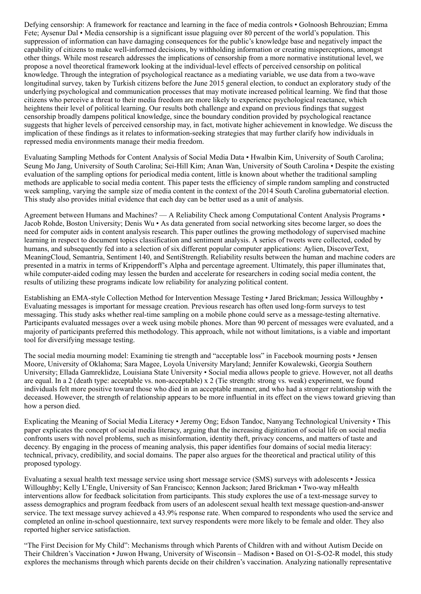Defying censorship: A framework for reactance and learning in the face of media controls • Golnoosh Behrouzian; Emma Fete; Aysenur Dal • Media censorship is a significant issue plaguing over 80 percent of the world's population. This suppression of information can have damaging consequences for the public's knowledge base and negatively impact the capability of citizens to make well-informed decisions, by withholding information or creating misperceptions, amongst other things. While most research addresses the implications of censorship from a more normative institutional level, we propose a novel theoretical framework looking at the individual-level effects of perceived censorship on political knowledge. Through the integration of psychological reactance as a mediating variable, we use data from a two-wave longitudinal survey, taken by Turkish citizens before the June 2015 general election, to conduct an exploratory study of the underlying psychological and communication processes that may motivate increased political learning. We find that those citizens who perceive a threat to their media freedom are more likely to experience psychological reactance, which heightens their level of political learning. Our results both challenge and expand on previous findings that suggest censorship broadly dampens political knowledge, since the boundary condition provided by psychological reactance suggests that higher levels of perceived censorship may, in fact, motivate higher achievement in knowledge. We discuss the implication of these findings as it relates to information-seeking strategies that may further clarify how individuals in repressed media environments manage their media freedom.

Evaluating Sampling Methods for Content Analysis of Social Media Data • Hwalbin Kim, University of South Carolina; Seung Mo Jang, University of South Carolina; Sei-Hill Kim; Anan Wan, University of South Carolina • Despite the existing evaluation of the sampling options for periodical media content, little is known about whether the traditional sampling methods are applicable to social media content. This paper tests the efficiency of simple random sampling and constructed week sampling, varying the sample size of media content in the context of the 2014 South Carolina gubernatorial election. This study also provides initial evidence that each day can be better used as a unit of analysis.

Agreement between Humans and Machines? — A Reliability Check among Computational Content Analysis Programs • Jacob Rohde, Boston University; Denis Wu • As data generated from social networking sites become larger, so does the need for computer aids in content analysis research. This paper outlines the growing methodology of supervised machine learning in respect to document topics classification and sentiment analysis. A series of tweets were collected, coded by humans, and subsequently fed into a selection of six different popular computer applications: Aylien, DiscoverText, MeaningCloud, Semantria, Sentiment 140, and SentiStrength. Reliability results between the human and machine coders are presented in a matrix in terms of Krippendorff's Alpha and percentage agreement. Ultimately, this paper illuminates that, while computer-aided coding may lessen the burden and accelerate for researchers in coding social media content, the results of utilizing these programs indicate low reliability for analyzing political content.

Establishing an EMA-style Collection Method for Intervention Message Testing • Jared Brickman; Jessica Willoughby • Evaluating messages is important for message creation. Previous research has often used long-form surveys to test messaging. This study asks whether real-time sampling on a mobile phone could serve as a message-testing alternative. Participants evaluated messages over a week using mobile phones. More than 90 percent of messages were evaluated, and a majority of participants preferred this methodology. This approach, while not without limitations, is a viable and important tool for diversifying message testing.

The social media mourning model: Examining tie strength and "acceptable loss" in Facebook mourning posts • Jensen Moore, University of Oklahoma; Sara Magee, Loyola University Maryland; Jennifer Kowalewski, Georgia Southern University; Ellada Gamreklidze, Louisiana State University • Social media allows people to grieve. However, not all deaths are equal. In a 2 (death type: acceptable vs. non-acceptable) x 2 (Tie strength: strong vs. weak) experiment, we found individuals felt more positive toward those who died in an acceptable manner, and who had a stronger relationship with the deceased. However, the strength of relationship appears to be more influential in its effect on the views toward grieving than how a person died.

Explicating the Meaning of Social Media Literacy • Jeremy Ong; Edson Tandoc, Nanyang Technological University • This paper explicates the concept of social media literacy, arguing that the increasing digitization of social life on social media confronts users with novel problems, such as misinformation, identity theft, privacy concerns, and matters of taste and decency. By engaging in the process of meaning analysis, this paper identifies four domains of social media literacy: technical, privacy, credibility, and social domains. The paper also argues for the theoretical and practical utility of this proposed typology.

Evaluating a sexual health text message service using short message service (SMS) surveys with adolescents • Jessica Willoughby; Kelly L'Engle, University of San Francisco; Kennon Jackson; Jared Brickman • Two-way mHealth interventions allow for feedback solicitation from participants. This study explores the use of a text-message survey to assess demographics and program feedback from users of an adolescent sexual health text message question-and-answer service. The text message survey achieved a 43.9% response rate. When compared to respondents who used the service and completed an online in-school questionnaire, text survey respondents were more likely to be female and older. They also reported higher service satisfaction.

"The First Decision for My Child": Mechanisms through which Parents of Children with and without Autism Decide on Their Children's Vaccination • Juwon Hwang, University of Wisconsin – Madison • Based on O1-S-O2-R model, this study explores the mechanisms through which parents decide on their children's vaccination. Analyzing nationally representative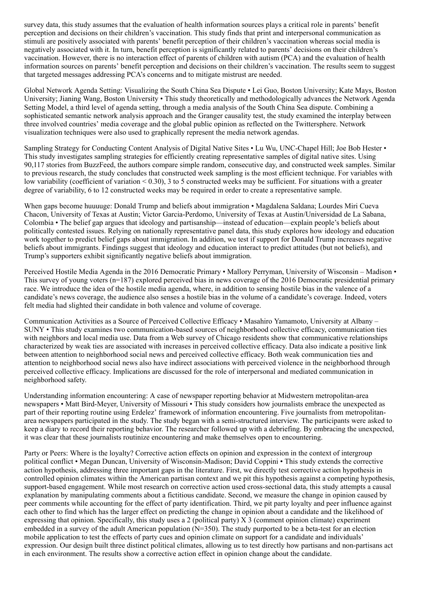survey data, this study assumes that the evaluation of health information sources plays a critical role in parents' benefit perception and decisions on their children's vaccination. This study finds that print and interpersonal communication as stimuli are positively associated with parents' benefit perception of their children's vaccination whereas social media is negatively associated with it. In turn, benefit perception is significantly related to parents' decisions on their children's vaccination. However, there is no interaction effect of parents of children with autism (PCA) and the evaluation of health information sources on parents' benefit perception and decisions on their children's vaccination. The results seem to suggest that targeted messages addressing PCA's concerns and to mitigate mistrust are needed.

Global Network Agenda Setting: Visualizing the South China Sea Dispute • Lei Guo, Boston University; Kate Mays, Boston University; Jianing Wang, Boston University • This study theoretically and methodologically advances the Network Agenda Setting Model, a third level of agenda setting, through a media analysis of the South China Sea dispute. Combining a sophisticated semantic network analysis approach and the Granger causality test, the study examined the interplay between three involved countries' media coverage and the global public opinion as reflected on the Twittersphere. Network visualization techniques were also used to graphically represent the media network agendas.

Sampling Strategy for Conducting Content Analysis of Digital Native Sites • Lu Wu, UNC-Chapel Hill; Joe Bob Hester • This study investigates sampling strategies for efficiently creating representative samples of digital native sites. Using 90,117 stories from BuzzFeed, the authors compare simple random, consecutive day, and constructed week samples. Similar to previous research, the study concludes that constructed week sampling is the most efficient technique. For variables with low variability (coefficient of variation < 0.30), 3 to 5 constructed weeks may be sufficient. For situations with a greater degree of variability, 6 to 12 constructed weeks may be required in order to create a representative sample.

When gaps become huuuuge: Donald Trump and beliefs about immigration • Magdalena Saldana; Lourdes Miri Cueva Chacon, University of Texas at Austin; Victor Garcia-Perdomo, University of Texas at Austin/Universidad de La Sabana, Colombia • The belief gap argues that ideology and partisanship—instead of education—explain people's beliefs about politically contested issues. Relying on nationally representative panel data, this study explores how ideology and education work together to predict belief gaps about immigration. In addition, we test if support for Donald Trump increases negative beliefs about immigrants. Findings suggest that ideology and education interact to predict attitudes (but not beliefs), and Trump's supporters exhibit significantly negative beliefs about immigration.

Perceived Hostile Media Agenda in the 2016 Democratic Primary • Mallory Perryman, University of Wisconsin – Madison • This survey of young voters  $(n=187)$  explored perceived bias in news coverage of the 2016 Democratic presidential primary race. We introduce the idea of the hostile media agenda, where, in addition to sensing hostile bias in the valence of a candidate's news coverage, the audience also senses a hostile bias in the volume of a candidate's coverage. Indeed, voters felt media had slighted their candidate in both valence and volume of coverage.

Communication Activities as a Source of Perceived Collective Efficacy • Masahiro Yamamoto, University at Albany – SUNY • This study examines two communication-based sources of neighborhood collective efficacy, communication ties with neighbors and local media use. Data from a Web survey of Chicago residents show that communicative relationships characterized by weak ties are associated with increases in perceived collective efficacy. Data also indicate a positive link between attention to neighborhood social news and perceived collective efficacy. Both weak communication ties and attention to neighborhood social news also have indirect associations with perceived violence in the neighborhood through perceived collective efficacy. Implications are discussed for the role of interpersonal and mediated communication in neighborhood safety.

Understanding information encountering: A case of newspaper reporting behavior at Midwestern metropolitan-area newspapers • Matt Bird-Meyer, University of Missouri • This study considers how journalists embrace the unexpected as part of their reporting routine using Erdelez' framework of information encountering. Five journalists from metropolitanarea newspapers participated in the study. The study began with a semi-structured interview. The participants were asked to keep a diary to record their reporting behavior. The researcher followed up with a debriefing. By embracing the unexpected, it was clear that these journalists routinize encountering and make themselves open to encountering.

Party or Peers: Where is the loyalty? Corrective action effects on opinion and expression in the context of intergroup political conflict • Megan Duncan, University of Wisconsin-Madison; David Coppini • This study extends the corrective action hypothesis, addressing three important gaps in the literature. First, we directly test corrective action hypothesis in controlled opinion climates within the American partisan context and we pit this hypothesis against a competing hypothesis, support-based engagement. While most research on corrective action used cross-sectional data, this study attempts a causal explanation by manipulating comments about a fictitious candidate. Second, we measure the change in opinion caused by peer comments while accounting for the effect of party identification. Third, we pit party loyalty and peer influence against each other to find which has the larger effect on predicting the change in opinion about a candidate and the likelihood of expressing that opinion. Specifically, this study uses a 2 (political party) X 3 (comment opinion climate) experiment embedded in a survey of the adult American population  $(N=350)$ . The study purported to be a beta-test for an election mobile application to test the effects of party cues and opinion climate on support for a candidate and individuals' expression. Our design built three distinct political climates, allowing us to test directly how partisans and non-partisans act in each environment. The results show a corrective action effect in opinion change about the candidate.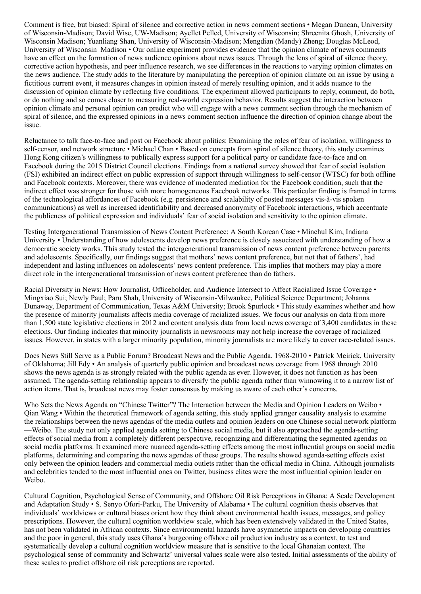Comment is free, but biased: Spiral of silence and corrective action in news comment sections • Megan Duncan, University of Wisconsin-Madison; David Wise, UW-Madison; Ayellet Pelled, University of Wisconsin; Shreenita Ghosh, University of Wisconsin Madison; Yuanliang Shan, University of Wisconsin-Madison; Mengdian (Mandy) Zheng; Douglas McLeod, University of Wisconsin–Madison • Our online experiment provides evidence that the opinion climate of news comments have an effect on the formation of news audience opinions about news issues. Through the lens of spiral of silence theory, corrective action hypothesis, and peer influence research, we see differences in the reactions to varying opinion climates on the news audience. The study adds to the literature by manipulating the perception of opinion climate on an issue by using a fictitious current event, it measures changes in opinion instead of merely resulting opinion, and it adds nuance to the discussion of opinion climate by reflecting five conditions. The experiment allowed participants to reply, comment, do both, or do nothing and so comes closer to measuring real-world expression behavior. Results suggest the interaction between opinion climate and personal opinion can predict who will engage with a news comment section through the mechanism of spiral of silence, and the expressed opinions in a news comment section influence the direction of opinion change about the issue.

Reluctance to talk face-to-face and post on Facebook about politics: Examining the roles of fear of isolation, willingness to self-censor, and network structure • Michael Chan • Based on concepts from spiral of silence theory, this study examines Hong Kong citizen's willingness to publically express support for a political party or candidate face-to-face and on Facebook during the 2015 District Council elections. Findings from a national survey showed that fear of social isolation (FSI) exhibited an indirect effect on public expression of support through willingness to self-censor (WTSC) for both offline and Facebook contexts. Moreover, there was evidence of moderated mediation for the Facebook condition, such that the indirect effect was stronger for those with more homogeneous Facebook networks. This particular finding is framed in terms of the technological affordances of Facebook (e.g. persistence and scalability of posted messages vis-à-vis spoken communications) as well as increased identifiability and decreased anonymity of Facebook interactions, which accentuate the publicness of political expression and individuals' fear of social isolation and sensitivity to the opinion climate.

Testing Intergenerational Transmission of News Content Preference: A South Korean Case • Minchul Kim, Indiana University • Understanding of how adolescents develop news preference is closely associated with understanding of how a democratic society works. This study tested the intergenerational transmission of news content preference between parents and adolescents. Specifically, our findings suggest that mothers' news content preference, but not that of fathers', had independent and lasting influences on adolescents' news content preference. This implies that mothers may play a more direct role in the intergenerational transmission of news content preference than do fathers.

Racial Diversity in News: How Journalist, Officeholder, and Audience Intersect to Affect Racialized Issue Coverage • Mingxiao Sui; Newly Paul; Paru Shah, University of Wisconsin-Milwaukee, Political Science Department; Johanna Dunaway, Department of Communication, Texas A&M University; Brook Spurlock • This study examines whether and how the presence of minority journalists affects media coverage of racialized issues. We focus our analysis on data from more than 1,500 state legislative elections in 2012 and content analysis data from local news coverage of 3,400 candidates in these elections. Our finding indicates that minority journalists in newsrooms may not help increase the coverage of racialized issues. However, in states with a larger minority population, minority journalists are more likely to cover race-related issues.

Does News Still Serve as a Public Forum? Broadcast News and the Public Agenda, 1968-2010 • Patrick Meirick, University of Oklahoma; Jill Edy • An analysis of quarterly public opinion and broadcast news coverage from 1968 through 2010 shows the news agenda is as strongly related with the public agenda as ever. However, it does not function as has been assumed. The agenda-setting relationship appears to diversify the public agenda rather than winnowing it to a narrow list of action items. That is, broadcast news may foster consensus by making us aware of each other's concerns.

Who Sets the News Agenda on "Chinese Twitter"? The Interaction between the Media and Opinion Leaders on Weibo • Qian Wang • Within the theoretical framework of agenda setting, this study applied granger causality analysis to examine the relationships between the news agendas of the media outlets and opinion leaders on one Chinese social network platform —Weibo. The study not only applied agenda setting to Chinese social media, but it also approached the agenda-setting effects of social media from a completely different perspective, recognizing and differentiating the segmented agendas on social media platforms. It examined more nuanced agenda-setting effects among the most influential groups on social media platforms, determining and comparing the news agendas of these groups. The results showed agenda-setting effects exist only between the opinion leaders and commercial media outlets rather than the official media in China. Although journalists and celebrities tended to the most influential ones on Twitter, business elites were the most influential opinion leader on Weibo.

Cultural Cognition, Psychological Sense of Community, and Offshore Oil Risk Perceptions in Ghana: A Scale Development and Adaptation Study • S. Senyo Ofori-Parku, The University of Alabama • The cultural cognition thesis observes that individuals' worldviews or cultural biases orient how they think about environmental health issues, messages, and policy prescriptions. However, the cultural cognition worldview scale, which has been extensively validated in the United States, has not been validated in African contexts. Since environmental hazards have asymmetric impacts on developing countries and the poor in general, this study uses Ghana's burgeoning offshore oil production industry as a context, to test and systematically develop a cultural cognition worldview measure that is sensitive to the local Ghanaian context. The psychological sense of community and Schwartz' universal values scale were also tested. Initial assessments of the ability of these scales to predict offshore oil risk perceptions are reported.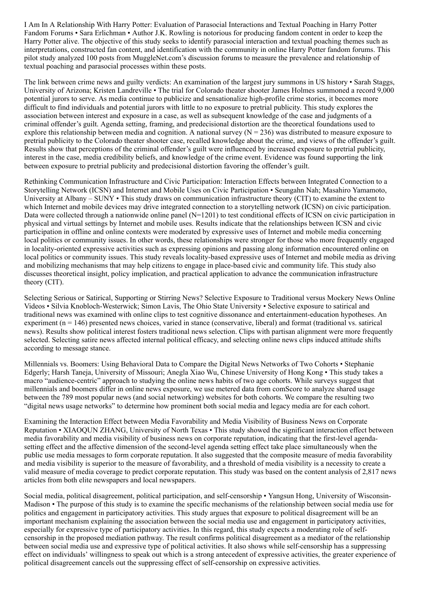I Am In A Relationship With Harry Potter: Evaluation of Parasocial Interactions and Textual Poaching in Harry Potter Fandom Forums • Sara Erlichman • Author J.K. Rowling is notorious for producing fandom content in order to keep the Harry Potter alive. The objective of this study seeks to identify parasocial interaction and textual poaching themes such as interpretations, constructed fan content, and identification with the community in online Harry Potter fandom forums. This pilot study analyzed 100 posts from MuggleNet.com's discussion forums to measure the prevalence and relationship of textual poaching and parasocial processes within these posts.

The link between crime news and guilty verdicts: An examination of the largest jury summons in US history • Sarah Staggs, University of Arizona; Kristen Landreville • The trial for Colorado theater shooter James Holmes summoned a record 9,000 potential jurors to serve. As media continue to publicize and sensationalize high-profile crime stories, it becomes more difficult to find individuals and potential jurors with little to no exposure to pretrial publicity. This study explores the association between interest and exposure in a case, as well as subsequent knowledge of the case and judgments of a criminal offender's guilt. Agenda setting, framing, and predecisional distortion are the theoretical foundations used to explore this relationship between media and cognition. A national survey  $(N = 236)$  was distributed to measure exposure to pretrial publicity to the Colorado theater shooter case, recalled knowledge about the crime, and views of the offender's guilt. Results show that perceptions of the criminal offender's guilt were influenced by increased exposure to pretrial publicity, interest in the case, media credibility beliefs, and knowledge of the crime event. Evidence was found supporting the link between exposure to pretrial publicity and predecisional distortion favoring the offender's guilt.

Rethinking Communication Infrastructure and Civic Participation: Interaction Effects between Integrated Connection to a Storytelling Network (ICSN) and Internet and Mobile Uses on Civic Participation • Seungahn Nah; Masahiro Yamamoto, University at Albany – SUNY • This study draws on communication infrastructure theory (CIT) to examine the extent to which Internet and mobile devices may drive integrated connection to a storytelling network (ICSN) on civic participation. Data were collected through a nationwide online panel (N=1201) to test conditional effects of ICSN on civic participation in physical and virtual settings by Internet and mobile uses. Results indicate that the relationships between ICSN and civic participation in offline and online contexts were moderated by expressive uses of Internet and mobile media concerning local politics or community issues. In other words, these relationships were stronger for those who more frequently engaged in locality-oriented expressive activities such as expressing opinions and passing along information encountered online on local politics or community issues. This study reveals locality-based expressive uses of Internet and mobile media as driving and mobilizing mechanisms that may help citizens to engage in place-based civic and community life. This study also discusses theoretical insight, policy implication, and practical application to advance the communication infrastructure theory (CIT).

Selecting Serious or Satirical, Supporting or Stirring News? Selective Exposure to Traditional versus Mockery News Online Videos • Silvia Knobloch-Westerwick; Simon Lavis, The Ohio State University • Selective exposure to satirical and traditional news was examined with online clips to test cognitive dissonance and entertainment-education hypotheses. An experiment  $(n = 146)$  presented news choices, varied in stance (conservative, liberal) and format (traditional vs. satirical news). Results show political interest fosters traditional news selection. Clips with partisan alignment were more frequently selected. Selecting satire news affected internal political efficacy, and selecting online news clips induced attitude shifts according to message stance.

Millennials vs. Boomers: Using Behavioral Data to Compare the Digital News Networks of Two Cohorts • Stephanie Edgerly; Harsh Taneja, University of Missouri; Anegla Xiao Wu, Chinese University of Hong Kong • This study takes a macro "audience-centric" approach to studying the online news habits of two age cohorts. While surveys suggest that millennials and boomers differ in online news exposure, we use metered data from comScore to analyze shared usage between the 789 most popular news (and social networking) websites for both cohorts. We compare the resulting two "digital news usage networks" to determine how prominent both social media and legacy media are for each cohort.

Examining the Interaction Effect between Media Favorability and Media Visibility of Business News on Corporate Reputation • XIAOQUN ZHANG, University of North Texas • This study showed the significant interaction effect between media favorability and media visibility of business news on corporate reputation, indicating that the first-level agendasetting effect and the affective dimension of the second-level agenda setting effect take place simultaneously when the public use media messages to form corporate reputation. It also suggested that the composite measure of media favorability and media visibility is superior to the measure of favorability, and a threshold of media visibility is a necessity to create a valid measure of media coverage to predict corporate reputation. This study was based on the content analysis of 2,817 news articles from both elite newspapers and local newspapers.

Social media, political disagreement, political participation, and self-censorship • Yangsun Hong, University of Wisconsin-Madison • The purpose of this study is to examine the specific mechanisms of the relationship between social media use for politics and engagement in participatory activities. This study argues that exposure to political disagreement will be an important mechanism explaining the association between the social media use and engagement in participatory activities, especially for expressive type of participatory activities. In this regard, this study expects a moderating role of selfcensorship in the proposed mediation pathway. The result confirms political disagreement as a mediator of the relationship between social media use and expressive type of political activities. It also shows while self-censorship has a suppressing effect on individuals' willingness to speak out which is a strong antecedent of expressive activities, the greater experience of political disagreement cancels out the suppressing effect of self-censorship on expressive activities.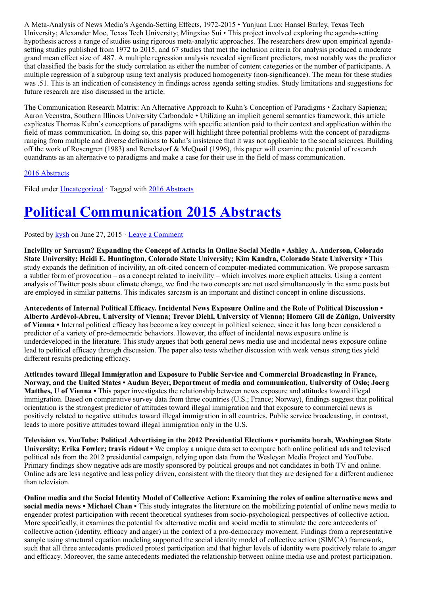A Meta-Analysis of News Media's Agenda-Setting Effects, 1972-2015 • Yunjuan Luo; Hansel Burley, Texas Tech University; Alexander Moe, Texas Tech University; Mingxiao Sui • This project involved exploring the agenda-setting hypothesis across a range of studies using rigorous meta-analytic approaches. The researchers drew upon empirical agendasetting studies published from 1972 to 2015, and 67 studies that met the inclusion criteria for analysis produced a moderate grand mean effect size of .487. A multiple regression analysis revealed significant predictors, most notably was the predictor that classified the basis for the study correlation as either the number of content categories or the number of participants. A multiple regression of a subgroup using text analysis produced homogeneity (non-significance). The mean for these studies was .51. This is an indication of consistency in findings across agenda setting studies. Study limitations and suggestions for future research are also discussed in the article.

The Communication Research Matrix: An Alternative Approach to Kuhn's Conception of Paradigms • Zachary Sapienza; Aaron Veenstra, Southern Illinois University Carbondale • Utilizing an implicit general semantics framework, this article explicates Thomas Kuhn's conceptions of paradigms with specific attention paid to their context and application within the field of mass communication. In doing so, this paper will highlight three potential problems with the concept of paradigms ranging from multiple and diverse definitions to Kuhn's insistence that it was not applicable to the social sciences. Building off the work of Rosengren (1983) and Renckstorf & McQuail (1996), this paper will examine the potential of research quandrants as an alternative to paradigms and make a case for their use in the field of mass communication.

#### [2016 Abstracts](http://www.aejmc.org/home/2016/06/2016-abstracts/)

Filed under [Uncategorized](http://www.aejmc.org/home/category/uncategorized/) · Tagged with [2016 Abstracts](http://www.aejmc.org/home/tag/2016-abstracts/)

# [Political Communication 2015 Abstracts](http://www.aejmc.org/home/2015/06/pcig-2015-abstracts/)

Posted by [kysh](http://www.aejmc.org/home/author/kyshiab/) on June 27, 2015 · [Leave a Comment](http://www.aejmc.org/home/2015/06/pcig-2015-abstracts/#respond)

Incivility or Sarcasm? Expanding the Concept of Attacks in Online Social Media • Ashley A. Anderson, Colorado State University; Heidi E. Huntington, Colorado State University; Kim Kandra, Colorado State University • This study expands the definition of incivility, an oft-cited concern of computer-mediated communication. We propose sarcasm – a subtler form of provocation – as a concept related to incivility – which involves more explicit attacks. Using a content analysis of Twitter posts about climate change, we find the two concepts are not used simultaneously in the same posts but are employed in similar patterns. This indicates sarcasm is an important and distinct concept in online discussions.

Antecedents of Internal Political Efficacy. Incidental News Exposure Online and the Role of Political Discussion • Alberto Ardèvol-Abreu, University of Vienna; Trevor Diehl, University of Vienna; Homero Gil de Zúñiga, University of Vienna • Internal political efficacy has become a key concept in political science, since it has long been considered a predictor of a variety of pro-democratic behaviors. However, the effect of incidental news exposure online is underdeveloped in the literature. This study argues that both general news media use and incidental news exposure online lead to political efficacy through discussion. The paper also tests whether discussion with weak versus strong ties yield different results predicting efficacy.

Attitudes toward Illegal Immigration and Exposure to Public Service and Commercial Broadcasting in France, Norway, and the United States • Audun Beyer, Department of media and communication, University of Oslo; Joerg Matthes, U of Vienna • This paper investigates the relationship between news exposure and attitudes toward illegal immigration. Based on comparative survey data from three countries (U.S.; France; Norway), findings suggest that political orientation is the strongest predictor of attitudes toward illegal immigration and that exposure to commercial news is positively related to negative attitudes toward illegal immigration in all countries. Public service broadcasting, in contrast, leads to more positive attitudes toward illegal immigration only in the U.S.

Television vs. YouTube: Political Advertising in the 2012 Presidential Elections • porismita borah, Washington State University; Erika Fowler; travis ridout • We employ a unique data set to compare both online political ads and televised political ads from the 2012 presidential campaign, relying upon data from the Wesleyan Media Project and YouTube. Primary findings show negative ads are mostly sponsored by political groups and not candidates in both TV and online. Online ads are less negative and less policy driven, consistent with the theory that they are designed for a different audience than television.

Online media and the Social Identity Model of Collective Action: Examining the roles of online alternative news and social media news • Michael Chan • This study integrates the literature on the mobilizing potential of online news media to engender protest participation with recent theoretical syntheses from socio-psychological perspectives of collective action. More specifically, it examines the potential for alternative media and social media to stimulate the core antecedents of collective action (identity, efficacy and anger) in the context of a pro-democracy movement. Findings from a representative sample using structural equation modeling supported the social identity model of collective action (SIMCA) framework, such that all three antecedents predicted protest participation and that higher levels of identity were positively relate to anger and efficacy. Moreover, the same antecedents mediated the relationship between online media use and protest participation.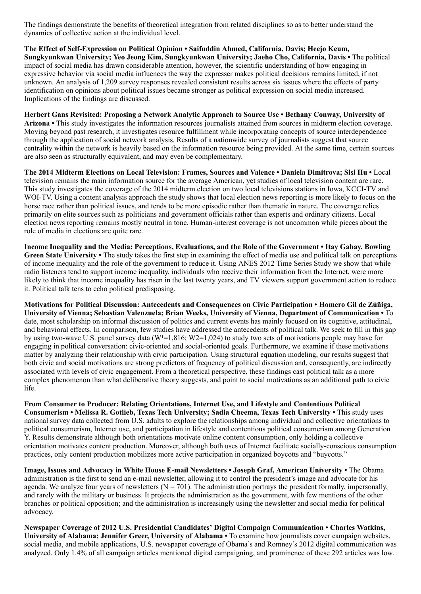The findings demonstrate the benefits of theoretical integration from related disciplines so as to better understand the dynamics of collective action at the individual level.

The Effect of Self-Expression on Political Opinion • Saifuddin Ahmed, California, Davis; Heejo Keum, Sungkyunkwan University; Yeo Jeong Kim, Sungkyunkwan University; Jaeho Cho, California, Davis • The political impact of social media has drawn considerable attention, however, the scientific understanding of how engaging in expressive behavior via social media influences the way the expresser makes political decisions remains limited, if not unknown. An analysis of 1,209 survey responses revealed consistent results across six issues where the effects of party identification on opinions about political issues became stronger as political expression on social media increased. Implications of the findings are discussed.

Herbert Gans Revisited: Proposing a Network Analytic Approach to Source Use • Bethany Conway, University of Arizona • This study investigates the information resources journalists attained from sources in midterm election coverage. Moving beyond past research, it investigates resource fulfillment while incorporating concepts of source interdependence through the application of social network analysis. Results of a nationwide survey of journalists suggest that source centrality within the network is heavily based on the information resource being provided. At the same time, certain sources are also seen as structurally equivalent, and may even be complementary.

The 2014 Midterm Elections on Local Television: Frames, Sources and Valence • Daniela Dimitrova; Sisi Hu • Local television remains the main information source for the average American, yet studies of local television content are rare. This study investigates the coverage of the 2014 midterm election on two local televisions stations in Iowa, KCCI-TV and WOI-TV. Using a content analysis approach the study shows that local election news reporting is more likely to focus on the horse race rather than political issues, and tends to be more episodic rather than thematic in nature. The coverage relies primarily on elite sources such as politicians and government officials rather than experts and ordinary citizens. Local election news reporting remains mostly neutral in tone. Human-interest coverage is not uncommon while pieces about the role of media in elections are quite rare.

Income Inequality and the Media: Perceptions, Evaluations, and the Role of the Government • Itay Gabay, Bowling Green State University • The study takes the first step in examining the effect of media use and political talk on perceptions of income inequality and the role of the government to reduce it. Using ANES 2012 Time Series Study we show that while radio listeners tend to support income inequality, individuals who receive their information from the Internet, were more likely to think that income inequality has risen in the last twenty years, and TV viewers support government action to reduce it. Political talk tens to echo political predisposing.

Motivations for Political Discussion: Antecedents and Consequences on Civic Participation • Homero Gil de Zúñiga, University of Vienna; Sebastian Valenzuela; Brian Weeks, University of Vienna, Department of Communication • To date, most scholarship on informal discussion of politics and current events has mainly focused on its cognitive, attitudinal, and behavioral effects. In comparison, few studies have addressed the antecedents of political talk. We seek to fill in this gap by using two-wave U.S. panel survey data (W<sup>1</sup>=1,816; W2=1,024) to study two sets of motivations people may have for engaging in political conversation: civic-oriented and social-oriented goals. Furthermore, we examine if these motivations matter by analyzing their relationship with civic participation. Using structural equation modeling, our results suggest that both civic and social motivations are strong predictors of frequency of political discussion and, consequently, are indirectly associated with levels of civic engagement. From a theoretical perspective, these findings cast political talk as a more complex phenomenon than what deliberative theory suggests, and point to social motivations as an additional path to civic life.

From Consumer to Producer: Relating Orientations, Internet Use, and Lifestyle and Contentious Political Consumerism • Melissa R. Gotlieb, Texas Tech University; Sadia Cheema, Texas Tech University • This study uses national survey data collected from U.S. adults to explore the relationships among individual and collective orientations to political consumerism, Internet use, and participation in lifestyle and contentious political consumerism among Generation Y. Results demonstrate although both orientations motivate online content consumption, only holding a collective orientation motivates content production. Moreover, although both uses of Internet facilitate socially-conscious consumption practices, only content production mobilizes more active participation in organized boycotts and "buycotts."

Image, Issues and Advocacy in White House E-mail Newsletters • Joseph Graf, American University • The Obama administration is the first to send an e-mail newsletter, allowing it to control the president's image and advocate for his agenda. We analyze four years of newsletters  $(N = 701)$ . The administration portrays the president formally, impersonally, and rarely with the military or business. It projects the administration as the government, with few mentions of the other branches or political opposition; and the administration is increasingly using the newsletter and social media for political advocacy.

Newspaper Coverage of 2012 U.S. Presidential Candidates' Digital Campaign Communication • Charles Watkins, University of Alabama; Jennifer Greer, University of Alabama • To examine how journalists cover campaign websites, social media, and mobile applications, U.S. newspaper coverage of Obama's and Romney's 2012 digital communication was analyzed. Only 1.4% of all campaign articles mentioned digital campaigning, and prominence of these 292 articles was low.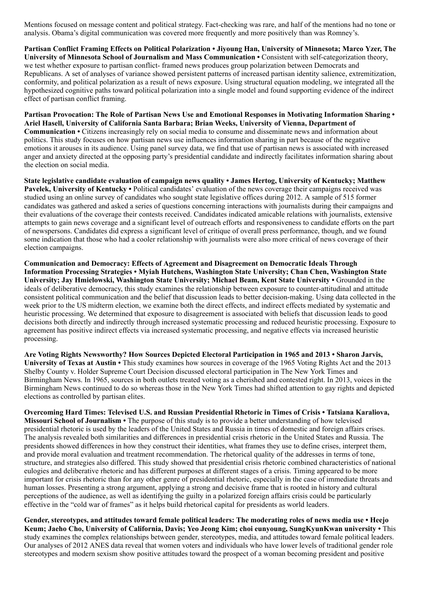Mentions focused on message content and political strategy. Fact-checking was rare, and half of the mentions had no tone or analysis. Obama's digital communication was covered more frequently and more positively than was Romney's.

Partisan Conflict Framing Effects on Political Polarization • Jiyoung Han, University of Minnesota; Marco Yzer, The University of Minnesota School of Journalism and Mass Communication • Consistent with self-categorization theory, we test whether exposure to partisan conflict- framed news produces group polarization between Democrats and Republicans. A set of analyses of variance showed persistent patterns of increased partisan identity salience, extremitization, conformity, and political polarization as a result of news exposure. Using structural equation modeling, we integrated all the hypothesized cognitive paths toward political polarization into a single model and found supporting evidence of the indirect effect of partisan conflict framing.

Partisan Provocation: The Role of Partisan News Use and Emotional Responses in Motivating Information Sharing • Ariel Hasell, University of California Santa Barbara; Brian Weeks, University of Vienna, Department of Communication • Citizens increasingly rely on social media to consume and disseminate news and information about politics. This study focuses on how partisan news use influences information sharing in part because of the negative emotions it arouses in its audience. Using panel survey data, we find that use of partisan news is associated with increased anger and anxiety directed at the opposing party's presidential candidate and indirectly facilitates information sharing about the election on social media.

State legislative candidate evaluation of campaign news quality • James Hertog, University of Kentucky; Matthew Pavelek, University of Kentucky • Political candidates' evaluation of the news coverage their campaigns received was studied using an online survey of candidates who sought state legislative offices during 2012. A sample of 515 former candidates was gathered and asked a series of questions concerning interactions with journalists during their campaigns and their evaluations of the coverage their contests received. Candidates indicated amicable relations with journalists, extensive attempts to gain news coverage and a significant level of outreach efforts and responsiveness to candidate efforts on the part of newspersons. Candidates did express a significant level of critique of overall press performance, though, and we found some indication that those who had a cooler relationship with journalists were also more critical of news coverage of their election campaigns.

Communication and Democracy: Effects of Agreement and Disagreement on Democratic Ideals Through Information Processing Strategies • Myiah Hutchens, Washington State University; Chan Chen, Washington State University; Jay Hmielowski, Washington State University; Michael Beam, Kent State University • Grounded in the ideals of deliberative democracy, this study examines the relationship between exposure to counter-attitudinal and attitude consistent political communication and the belief that discussion leads to better decision-making. Using data collected in the week prior to the US midterm election, we examine both the direct effects, and indirect effects mediated by systematic and heuristic processing. We determined that exposure to disagreement is associated with beliefs that discussion leads to good decisions both directly and indirectly through increased systematic processing and reduced heuristic processing. Exposure to agreement has positive indirect effects via increased systematic processing, and negative effects via increased heuristic processing.

Are Voting Rights Newsworthy? How Sources Depicted Electoral Participation in 1965 and 2013 • Sharon Jarvis, University of Texas at Austin • This study examines how sources in coverage of the 1965 Voting Rights Act and the 2013 Shelby County v. Holder Supreme Court Decision discussed electoral participation in The New York Times and Birmingham News. In 1965, sources in both outlets treated voting as a cherished and contested right. In 2013, voices in the Birmingham News continued to do so whereas those in the New York Times had shifted attention to gay rights and depicted elections as controlled by partisan elites.

Overcoming Hard Times: Televised U.S. and Russian Presidential Rhetoric in Times of Crisis • Tatsiana Karaliova, Missouri School of Journalism • The purpose of this study is to provide a better understanding of how televised presidential rhetoric is used by the leaders of the United States and Russia in times of domestic and foreign affairs crises. The analysis revealed both similarities and differences in presidential crisis rhetoric in the United States and Russia. The presidents showed differences in how they construct their identities, what frames they use to define crises, interpret them, and provide moral evaluation and treatment recommendation. The rhetorical quality of the addresses in terms of tone, structure, and strategies also differed. This study showed that presidential crisis rhetoric combined characteristics of national eulogies and deliberative rhetoric and has different purposes at different stages of a crisis. Timing appeared to be more important for crisis rhetoric than for any other genre of presidential rhetoric, especially in the case of immediate threats and human losses. Presenting a strong argument, applying a strong and decisive frame that is rooted in history and cultural perceptions of the audience, as well as identifying the guilty in a polarized foreign affairs crisis could be particularly effective in the "cold war of frames" as it helps build rhetorical capital for presidents as world leaders.

Gender, stereotypes, and attitudes toward female political leaders: The moderating roles of news media use • Heejo Keum; Jaeho Cho, University of California, Davis; Yeo Jeong Kim; choi eunyoung, SungKyunKwan university • This study examines the complex relationships between gender, stereotypes, media, and attitudes toward female political leaders. Our analyses of 2012 ANES data reveal that women voters and individuals who have lower levels of traditional gender role stereotypes and modern sexism show positive attitudes toward the prospect of a woman becoming president and positive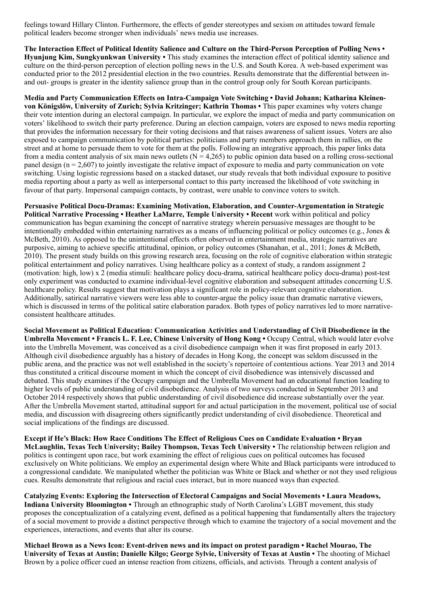feelings toward Hillary Clinton. Furthermore, the effects of gender stereotypes and sexism on attitudes toward female political leaders become stronger when individuals' news media use increases.

The Interaction Effect of Political Identity Salience and Culture on the Third-Person Perception of Polling News • Hyunjung Kim, Sungkyunkwan University • This study examines the interaction effect of political identity salience and culture on the third-person perception of election polling news in the U.S. and South Korea. A web-based experiment was conducted prior to the 2012 presidential election in the two countries. Results demonstrate that the differential between inand out- groups is greater in the identity salience group than in the control group only for South Korean participants.

Media and Party Communication Effects on Intra-Campaign Vote Switching • David Johann; Katharina Kleinenvon Königslöw, University of Zurich; Sylvia Kritzinger; Kathrin Thomas • This paper examines why voters change their vote intention during an electoral campaign. In particular, we explore the impact of media and party communication on voters' likelihood to switch their party preference. During an election campaign, voters are exposed to news media reporting that provides the information necessary for their voting decisions and that raises awareness of salient issues. Voters are also exposed to campaign communication by political parties: politicians and party members approach them in rallies, on the street and at home to persuade them to vote for them at the polls. Following an integrative approach, this paper links data from a media content analysis of six main news outlets ( $N = 4,265$ ) to public opinion data based on a rolling cross-sectional panel design (n = 2,607) to jointly investigate the relative impact of exposure to media and party communication on vote switching. Using logistic regressions based on a stacked dataset, our study reveals that both individual exposure to positive media reporting about a party as well as interpersonal contact to this party increased the likelihood of vote switching in favour of that party. Impersonal campaign contacts, by contrast, were unable to convince voters to switch.

Persuasive Political Docu-Dramas: Examining Motivation, Elaboration, and Counter-Argumentation in Strategic Political Narrative Processing • Heather LaMarre, Temple University • Recent work within political and policy communication has begun examining the concept of narrative strategy wherein persuasive messages are thought to be intentionally embedded within entertaining narratives as a means of influencing political or policy outcomes (e.g., Jones & McBeth, 2010). As opposed to the unintentional effects often observed in entertainment media, strategic narratives are purposive, aiming to achieve specific attitudinal, opinion, or policy outcomes (Shanahan, et al., 2011; Jones & McBeth, 2010). The present study builds on this growing research area, focusing on the role of cognitive elaboration within strategic political entertainment and policy narratives. Using healthcare policy as a context of study, a random assignment 2 (motivation: high, low) x 2 (media stimuli: healthcare policy docu-drama, satirical healthcare policy docu-drama) post-test only experiment was conducted to examine individual-level cognitive elaboration and subsequent attitudes concerning U.S. healthcare policy. Results suggest that motivation plays a significant role in policy-relevant cognitive elaboration. Additionally, satirical narrative viewers were less able to counter-argue the policy issue than dramatic narrative viewers, which is discussed in terms of the political satire elaboration paradox. Both types of policy narratives led to more narrativeconsistent healthcare attitudes.

Social Movement as Political Education: Communication Activities and Understanding of Civil Disobedience in the Umbrella Movement • Francis L. F. Lee, Chinese University of Hong Kong • Occupy Central, which would later evolve into the Umbrella Movement, was conceived as a civil disobedience campaign when it was first proposed in early 2013. Although civil disobedience arguably has a history of decades in Hong Kong, the concept was seldom discussed in the public arena, and the practice was not well established in the society's repertoire of contentious actions. Year 2013 and 2014 thus constituted a critical discourse moment in which the concept of civil disobedience was intensively discussed and debated. This study examines if the Occupy campaign and the Umbrella Movement had an educational function leading to higher levels of public understanding of civil disobedience. Analysis of two surveys conducted in September 2013 and October 2014 respectively shows that public understanding of civil disobedience did increase substantially over the year. After the Umbrella Movement started, attitudinal support for and actual participation in the movement, political use of social media, and discussion with disagreeing others significantly predict understanding of civil disobedience. Theoretical and social implications of the findings are discussed.

Except if He's Black: How Race Conditions The Effect of Religious Cues on Candidate Evaluation • Bryan McLaughlin, Texas Tech University; Bailey Thompson, Texas Tech University • The relationship between religion and politics is contingent upon race, but work examining the effect of religious cues on political outcomes has focused exclusively on White politicians. We employ an experimental design where White and Black participants were introduced to a congressional candidate. We manipulated whether the politician was White or Black and whether or not they used religious cues. Results demonstrate that religious and racial cues interact, but in more nuanced ways than expected.

Catalyzing Events: Exploring the Intersection of Electoral Campaigns and Social Movements • Laura Meadows, Indiana University Bloomington • Through an ethnographic study of North Carolina's LGBT movement, this study proposes the conceptualization of a catalyzing event, defined as a political happening that fundamentally alters the trajectory of a social movement to provide a distinct perspective through which to examine the trajectory of a social movement and the experiences, interactions, and events that alter its course.

Michael Brown as a News Icon: Event-driven news and its impact on protest paradigm • Rachel Mourao, The University of Texas at Austin; Danielle Kilgo; George Sylvie, University of Texas at Austin • The shooting of Michael Brown by a police officer cued an intense reaction from citizens, officials, and activists. Through a content analysis of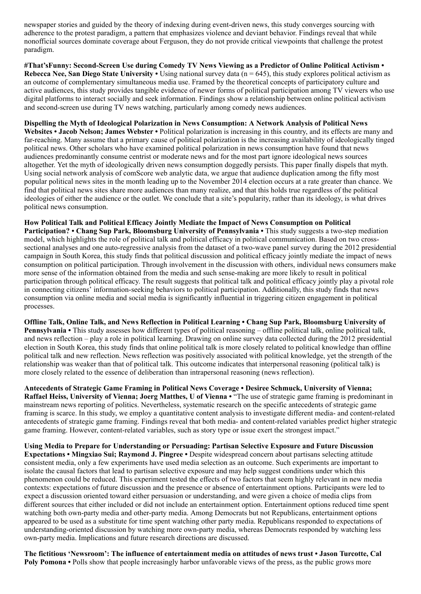newspaper stories and guided by the theory of indexing during event-driven news, this study converges sourcing with adherence to the protest paradigm, a pattern that emphasizes violence and deviant behavior. Findings reveal that while nonofficial sources dominate coverage about Ferguson, they do not provide critical viewpoints that challenge the protest paradigm.

#That'sFunny: Second-Screen Use during Comedy TV News Viewing as a Predictor of Online Political Activism • Rebecca Nee, San Diego State University • Using national survey data ( $n = 645$ ), this study explores political activism as an outcome of complementary simultaneous media use. Framed by the theoretical concepts of participatory culture and active audiences, this study provides tangible evidence of newer forms of political participation among TV viewers who use digital platforms to interact socially and seek information. Findings show a relationship between online political activism and second-screen use during TV news watching, particularly among comedy news audiences.

Dispelling the Myth of Ideological Polarization in News Consumption: A Network Analysis of Political News Websites • Jacob Nelson; James Webster • Political polarization is increasing in this country, and its effects are many and far-reaching. Many assume that a primary cause of political polarization is the increasing availability of ideologically tinged political news. Other scholars who have examined political polarization in news consumption have found that news audiences predominantly consume centrist or moderate news and for the most part ignore ideological news sources altogether. Yet the myth of ideologically driven news consumption doggedly persists. This paper finally dispels that myth. Using social network analysis of comScore web analytic data, we argue that audience duplication among the fifty most popular political news sites in the month leading up to the November 2014 election occurs at a rate greater than chance. We find that political news sites share more audiences than many realize, and that this holds true regardless of the political ideologies of either the audience or the outlet. We conclude that a site's popularity, rather than its ideology, is what drives political news consumption.

How Political Talk and Political Efficacy Jointly Mediate the Impact of News Consumption on Political Participation? • Chang Sup Park, Bloomsburg University of Pennsylvania • This study suggests a two-step mediation model, which highlights the role of political talk and political efficacy in political communication. Based on two crosssectional analyses and one auto-regressive analysis from the dataset of a two-wave panel survey during the 2012 presidential campaign in South Korea, this study finds that political discussion and political efficacy jointly mediate the impact of news consumption on political participation. Through involvement in the discussion with others, individual news consumers make more sense of the information obtained from the media and such sense-making are more likely to result in political participation through political efficacy. The result suggests that political talk and political efficacy jointly play a pivotal role in connecting citizens' information-seeking behaviors to political participation. Additionally, this study finds that news consumption via online media and social media is significantly influential in triggering citizen engagement in political processes.

Offline Talk, Online Talk, and News Reflection in Political Learning • Chang Sup Park, Bloomsburg University of Pennsylvania • This study assesses how different types of political reasoning – offline political talk, online political talk, and news reflection – play a role in political learning. Drawing on online survey data collected during the 2012 presidential election in South Korea, this study finds that online political talk is more closely related to political knowledge than offline political talk and new reflection. News reflection was positively associated with political knowledge, yet the strength of the relationship was weaker than that of political talk. This outcome indicates that interpersonal reasoning (political talk) is more closely related to the essence of deliberation than intrapersonal reasoning (news reflection).

Antecedents of Strategic Game Framing in Political News Coverage • Desiree Schmuck, University of Vienna; Raffael Heiss, University of Vienna; Joerg Matthes, U of Vienna • "The use of strategic game framing is predominant in mainstream news reporting of politics. Nevertheless, systematic research on the specific antecedents of strategic game framing is scarce. In this study, we employ a quantitative content analysis to investigate different media- and content-related antecedents of strategic game framing. Findings reveal that both media- and content-related variables predict higher strategic game framing. However, content-related variables, such as story type or issue exert the strongest impact."

Using Media to Prepare for Understanding or Persuading: Partisan Selective Exposure and Future Discussion Expectations • Mingxiao Sui; Raymond J. Pingree • Despite widespread concern about partisans selecting attitude consistent media, only a few experiments have used media selection as an outcome. Such experiments are important to isolate the causal factors that lead to partisan selective exposure and may help suggest conditions under which this phenomenon could be reduced. This experiment tested the effects of two factors that seem highly relevant in new media contexts: expectations of future discussion and the presence or absence of entertainment options. Participants were led to expect a discussion oriented toward either persuasion or understanding, and were given a choice of media clips from different sources that either included or did not include an entertainment option. Entertainment options reduced time spent watching both own-party media and other-party media. Among Democrats but not Republicans, entertainment options appeared to be used as a substitute for time spent watching other party media. Republicans responded to expectations of understanding-oriented discussion by watching more own-party media, whereas Democrats responded by watching less own-party media. Implications and future research directions are discussed.

The fictitious 'Newsroom': The influence of entertainment media on attitudes of news trust • Jason Turcotte, Cal Poly Pomona • Polls show that people increasingly harbor unfavorable views of the press, as the public grows more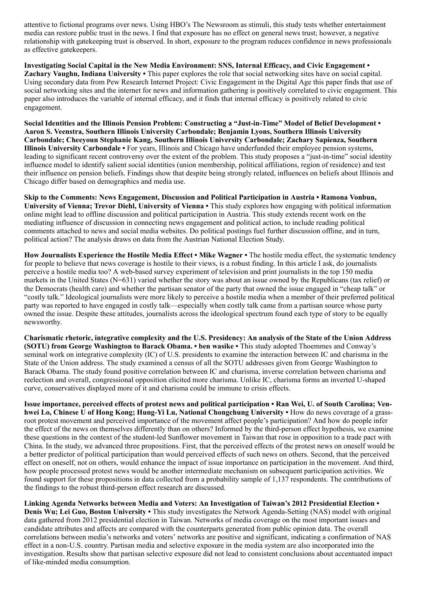attentive to fictional programs over news. Using HBO's The Newsroom as stimuli, this study tests whether entertainment media can restore public trust in the news. I find that exposure has no effect on general news trust; however, a negative relationship with gatekeeping trust is observed. In short, exposure to the program reduces confidence in news professionals as effective gatekeepers.

Investigating Social Capital in the New Media Environment: SNS, Internal Efficacy, and Civic Engagement • Zachary Vaughn, Indiana University • This paper explores the role that social networking sites have on social capital. Using secondary data from Pew Research Internet Project: Civic Engagement in the Digital Age this paper finds that use of social networking sites and the internet for news and information gathering is positively correlated to civic engagement. This paper also introduces the variable of internal efficacy, and it finds that internal efficacy is positively related to civic engagement.

Social Identities and the Illinois Pension Problem: Constructing a "Just-in-Time" Model of Belief Development • Aaron S. Veenstra, Southern Illinois University Carbondale; Benjamin Lyons, Southern Illinois University Carbondale; Cheeyoun Stephanie Kang, Southern Illinois University Carbondale; Zachary Sapienza, Southern Illinois University Carbondale • For years, Illinois and Chicago have underfunded their employee pension systems, leading to significant recent controversy over the extent of the problem. This study proposes a "just-in-time" social identity influence model to identify salient social identities (union membership, political affiliations, region of residence) and test their influence on pension beliefs. Findings show that despite being strongly related, influences on beliefs about Illinois and Chicago differ based on demographics and media use.

Skip to the Comments: News Engagement, Discussion and Political Participation in Austria • Ramona Vonbun, University of Vienna; Trevor Diehl, University of Vienna • This study explores how engaging with political information online might lead to offline discussion and political participation in Austria. This study extends recent work on the mediating influence of discussion in connecting news engagement and political action, to include reading political comments attached to news and social media websites. Do political postings fuel further discussion offline, and in turn, political action? The analysis draws on data from the Austrian National Election Study.

How Journalists Experience the Hostile Media Effect • Mike Wagner • The hostile media effect, the systematic tendency for people to believe that news coverage is hostile to their views, is a robust finding. In this article I ask, do journalists perceive a hostile media too? A web-based survey experiment of television and print journalists in the top 150 media markets in the United States (N=631) varied whether the story was about an issue owned by the Republicans (tax relief) or the Democrats (health care) and whether the partisan senator of the party that owned the issue engaged in "cheap talk" or "costly talk." Ideological journalists were more likely to perceive a hostile media when a member of their preferred political party was reported to have engaged in costly talk—especially when costly talk came from a partisan source whose party owned the issue. Despite these attitudes, journalists across the ideological spectrum found each type of story to be equally newsworthy.

Charismatic rhetoric, integrative complexity and the U.S. Presidency: An analysis of the State of the Union Address (SOTU) from George Washington to Barack Obama. • ben wasike • This study adopted Thoemmes and Conway's seminal work on integrative complexity (IC) of U.S. presidents to examine the interaction between IC and charisma in the State of the Union address. The study examined a census of all the SOTU addresses given from George Washington to Barack Obama. The study found positive correlation between IC and charisma, inverse correlation between charisma and reelection and overall, congressional opposition elicited more charisma. Unlike IC, charisma forms an inverted U-shaped curve, conservatives displayed more of it and charisma could be immune to crisis effects.

Issue importance, perceived effects of protest news and political participation • Ran Wei, U. of South Carolina; Venhwei Lo, Chinese U of Hong Kong; Hung-Yi Lu, National Chongchung University • How do news coverage of a grassroot protest movement and perceived importance of the movement affect people's participation? And how do people infer the effect of the news on themselves differently than on others? Informed by the third-person effect hypothesis, we examine these questions in the context of the student-led Sunflower movement in Taiwan that rose in opposition to a trade pact with China. In the study, we advanced three propositions. First, that the perceived effects of the protest news on oneself would be a better predictor of political participation than would perceived effects of such news on others. Second, that the perceived effect on oneself, not on others, would enhance the impact of issue importance on participation in the movement. And third, how people processed protest news would be another intermediate mechanism on subsequent participation activities. We found support for these propositions in data collected from a probability sample of 1,137 respondents. The contributions of the findings to the robust third-person effect research are discussed.

Linking Agenda Networks between Media and Voters: An Investigation of Taiwan's 2012 Presidential Election • Denis Wu; Lei Guo, Boston University • This study investigates the Network Agenda-Setting (NAS) model with original data gathered from 2012 presidential election in Taiwan. Networks of media coverage on the most important issues and candidate attributes and affects are compared with the counterparts generated from public opinion data. The overall correlations between media's networks and voters' networks are positive and significant, indicating a confirmation of NAS effect in a non-U.S. country. Partisan media and selective exposure in the media system are also incorporated into the investigation. Results show that partisan selective exposure did not lead to consistent conclusions about accentuated impact of like-minded media consumption.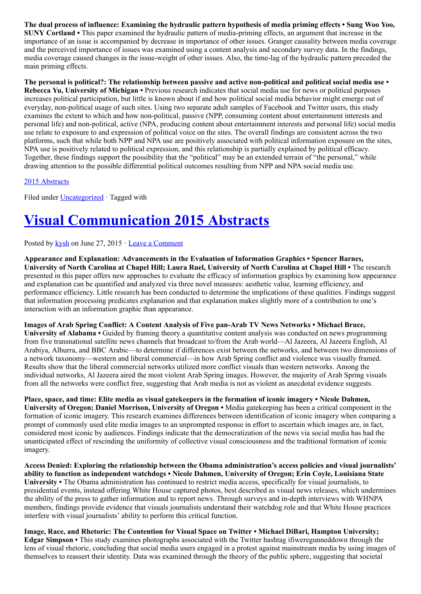The dual process of influence: Examining the hydraulic pattern hypothesis of media priming effects • Sung Woo Yoo, SUNY Cortland • This paper examined the hydraulic pattern of media-priming effects, an argument that increase in the importance of an issue is accompanied by decrease in importance of other issues. Granger causality between media coverage and the perceived importance of issues was examined using a content analysis and secondary survey data. In the findings, media coverage caused changes in the issue-weight of other issues. Also, the time-lag of the hydraulic pattern preceded the main priming effects.

The personal is political?: The relationship between passive and active non-political and political social media use  $\cdot$ Rebecca Yu, University of Michigan • Previous research indicates that social media use for news or political purposes increases political participation, but little is known about if and how political social media behavior might emerge out of everyday, non-political usage of such sites. Using two separate adult samples of Facebook and Twitter users, this study examines the extent to which and how non-political, passive (NPP, consuming content about entertainment interests and personal life) and non-political, active (NPA, producing content about entertainment interests and personal life) social media use relate to exposure to and expression of political voice on the sites. The overall findings are consistent across the two platforms, such that while both NPP and NPA use are positively associated with political information exposure on the sites, NPA use is positively related to political expression, and this relationship is partially explained by political efficacy. Together, these findings support the possibility that the "political" may be an extended terrain of "the personal," while drawing attention to the possible differential political outcomes resulting from NPP and NPA social media use.

### [2015 Abstracts](http://www.aejmc.org/home/2015/06/2015-abstracts/)

Filed under [Uncategorized](http://www.aejmc.org/home/category/uncategorized/) · Tagged with

# [Visual Communication 2015 Abstracts](http://www.aejmc.org/home/2015/06/viscom-2015-abstracts/)

Posted by  $kysh$  on June 27, 2015  $\cdot$  [Leave a Comment](http://www.aejmc.org/home/2015/06/viscom-2015-abstracts/#respond)

Appearance and Explanation: Advancements in the Evaluation of Information Graphics • Spencer Barnes, University of North Carolina at Chapel Hill; Laura Ruel, University of North Carolina at Chapel Hill • The research presented in this paper offers new approaches to evaluate the efficacy of information graphics by examining how appearance and explanation can be quantified and analyzed via three novel measures: aesthetic value, learning efficiency, and performance efficiency. Little research has been conducted to determine the implications of these qualities. Findings suggest that information processing predicates explanation and that explanation makes slightly more of a contribution to one's interaction with an information graphic than appearance.

Images of Arab Spring Conflict: A Content Analysis of Five pan-Arab TV News Networks • Michael Bruce, University of Alabama • Guided by framing theory a quantitative content analysis was conducted on news programming from five transnational satellite news channels that broadcast to/from the Arab world—Al Jazeera, Al Jazeera English, Al Arabiya, Alhurra, and BBC Arabic—to determine if differences exist between the networks, and between two dimensions of a network taxonomy—western and liberal commercial—in how Arab Spring conflict and violence was visually framed. Results show that the liberal commercial networks utilized more conflict visuals than western networks. Among the individual networks, Al Jazeera aired the most violent Arab Spring images. However, the majority of Arab Spring visuals from all the networks were conflict free, suggesting that Arab media is not as violent as anecdotal evidence suggests.

Place, space, and time: Elite media as visual gatekeepers in the formation of iconic imagery • Nicole Dahmen, University of Oregon; Daniel Morrison, University of Oregon • Media gatekeeping has been a critical component in the formation of iconic imagery. This research examines differences between identification of iconic imagery when comparing a prompt of commonly used elite media images to an unprompted response in effort to ascertain which images are, in fact, considered most iconic by audiences. Findings indicate that the democratization of the news via social media has had the unanticipated effect of rescinding the uniformity of collective visual consciousness and the traditional formation of iconic imagery.

Access Denied: Exploring the relationship between the Obama administration's access policies and visual journalists' ability to function as independent watchdogs • Nicole Dahmen, University of Oregon; Erin Coyle, Louisiana State University • The Obama administration has continued to restrict media access, specifically for visual journalists, to presidential events, instead offering White House captured photos, best described as visual news releases, which undermines the ability of the press to gather information and to report news. Through surveys and in-depth interviews with WHNPA members, findings provide evidence that visuals journalists understand their watchdog role and that White House practices interfere with visual journalists' ability to perform this critical function.

Image, Race, and Rhetoric: The Contention for Visual Space on Twitter • Michael DiBari, Hampton University; Edgar Simpson • This study examines photographs associated with the Twitter hashtag ifiweregunneddown through the lens of visual rhetoric, concluding that social media users engaged in a protest against mainstream media by using images of themselves to reassert their identity. Data was examined through the theory of the public sphere, suggesting that societal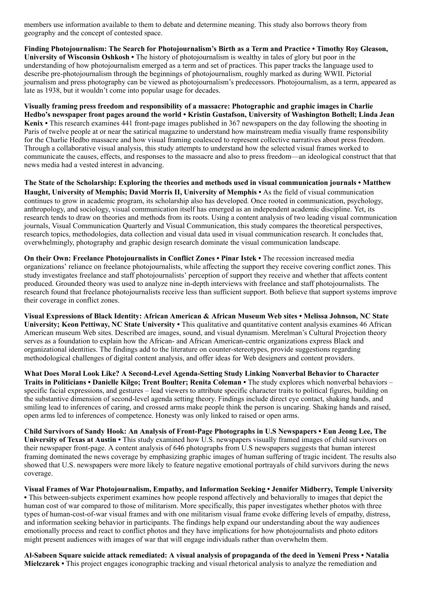members use information available to them to debate and determine meaning. This study also borrows theory from geography and the concept of contested space.

Finding Photojournalism: The Search for Photojournalism's Birth as a Term and Practice • Timothy Roy Gleason, University of Wisconsin Oshkosh • The history of photojournalism is wealthy in tales of glory but poor in the understanding of how photojournalism emerged as a term and set of practices. This paper tracks the language used to describe pre-photojournalism through the beginnings of photojournalism, roughly marked as during WWII. Pictorial journalism and press photography can be viewed as photojournalism's predecessors. Photojournalism, as a term, appeared as late as 1938, but it wouldn't come into popular usage for decades.

Visually framing press freedom and responsibility of a massacre: Photographic and graphic images in Charlie Hedbo's newspaper front pages around the world • Kristin Gustafson, University of Washington Bothell; Linda Jean Kenix • This research examines 441 front-page images published in 367 newspapers on the day following the shooting in Paris of twelve people at or near the satirical magazine to understand how mainstream media visually frame responsibility for the Charlie Hedbo massacre and how visual framing coalesced to represent collective narratives about press freedom. Through a collaborative visual analysis, this study attempts to understand how the selected visual frames worked to communicate the causes, effects, and responses to the massacre and also to press freedom—an ideological construct that that news media had a vested interest in advancing.

The State of the Scholarship: Exploring the theories and methods used in visual communication journals • Matthew Haught, University of Memphis; David Morris II, University of Memphis • As the field of visual communication continues to grow in academic program, its scholarship also has developed. Once rooted in communication, psychology, anthropology, and sociology, visual communication itself has emerged as an independent academic discipline. Yet, its research tends to draw on theories and methods from its roots. Using a content analysis of two leading visual communication journals, Visual Communication Quarterly and Visual Communication, this study compares the theoretical perspectives, research topics, methodologies, data collection and visual data used in visual communication research. It concludes that, overwhelmingly, photography and graphic design research dominate the visual communication landscape.

On their Own: Freelance Photojournalists in Conflict Zones • Pinar Istek • The recession increased media organizations' reliance on freelance photojournalists, while affecting the support they receive covering conflict zones. This study investigates freelance and staff photojournalists' perception of support they receive and whether that affects content produced. Grounded theory was used to analyze nine in-depth interviews with freelance and staff photojournalists. The research found that freelance photojournalists receive less than sufficient support. Both believe that support systems improve their coverage in conflict zones.

Visual Expressions of Black Identity: African American & African Museum Web sites • Melissa Johnson, NC State University; Keon Pettiway, NC State University • This qualitative and quantitative content analysis examines 46 African American museum Web sites. Described are images, sound, and visual dynamism. Merelman's Cultural Projection theory serves as a foundation to explain how the African- and African American-centric organizations express Black and organizational identities. The findings add to the literature on counter-stereotypes, provide suggestions regarding methodological challenges of digital content analysis, and offer ideas for Web designers and content providers.

What Does Moral Look Like? A Second-Level Agenda-Setting Study Linking Nonverbal Behavior to Character Traits in Politicians • Danielle Kilgo; Trent Boulter; Renita Coleman • The study explores which nonverbal behaviors – specific facial expressions, and gestures – lead viewers to attribute specific character traits to political figures, building on the substantive dimension of second-level agenda setting theory. Findings include direct eye contact, shaking hands, and smiling lead to inferences of caring, and crossed arms make people think the person is uncaring. Shaking hands and raised, open arms led to inferences of competence. Honesty was only linked to raised or open arms.

Child Survivors of Sandy Hook: An Analysis of Front-Page Photographs in U.S Newspapers • Eun Jeong Lee, The University of Texas at Austin • This study examined how U.S. newspapers visually framed images of child survivors on their newspaper front-page. A content analysis of 646 photographs from U.S newspapers suggests that human interest framing dominated the news coverage by emphasizing graphic images of human suffering of tragic incident. The results also showed that U.S. newspapers were more likely to feature negative emotional portrayals of child survivors during the news coverage.

Visual Frames of War Photojournalism, Empathy, and Information Seeking • Jennifer Midberry, Temple University • This between-subjects experiment examines how people respond affectively and behaviorally to images that depict the human cost of war compared to those of militarism. More specifically, this paper investigates whether photos with three types of human-cost-of-war visual frames and with one militarism visual frame evoke differing levels of empathy, distress, and information seeking behavior in participants. The findings help expand our understanding about the way audiences emotionally process and react to conflict photos and they have implications for how photojournalists and photo editors might present audiences with images of war that will engage individuals rather than overwhelm them.

Al-Sabeen Square suicide attack remediated: A visual analysis of propaganda of the deed in Yemeni Press • Natalia Mielczarek • This project engages iconographic tracking and visual rhetorical analysis to analyze the remediation and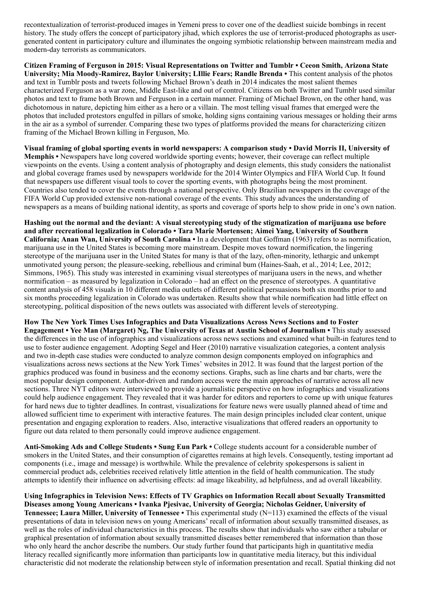recontextualization of terrorist-produced images in Yemeni press to cover one of the deadliest suicide bombings in recent history. The study offers the concept of participatory jihad, which explores the use of terrorist-produced photographs as usergenerated content in participatory culture and illuminates the ongoing symbiotic relationship between mainstream media and modern-day terrorists as communicators.

Citizen Framing of Ferguson in 2015: Visual Representations on Twitter and Tumblr • Ceeon Smith, Arizona State University; Mia Moody-Ramirez, Baylor University; LIllie Fears; Randle Brenda • This content analysis of the photos and text in Tumblr posts and tweets following Michael Brown's death in 2014 indicates the most salient themes characterized Ferguson as a war zone, Middle East-like and out of control. Citizens on both Twitter and Tumblr used similar photos and text to frame both Brown and Ferguson in a certain manner. Framing of Michael Brown, on the other hand, was dichotomous in nature, depicting him either as a hero or a villain. The most telling visual frames that emerged were the photos that included protestors engulfed in pillars of smoke, holding signs containing various messages or holding their arms in the air as a symbol of surrender. Comparing these two types of platforms provided the means for characterizing citizen framing of the Michael Brown killing in Ferguson, Mo.

Visual framing of global sporting events in world newspapers: A comparison study • David Morris II, University of Memphis • Newspapers have long covered worldwide sporting events; however, their coverage can reflect multiple viewpoints on the events. Using a content analysis of photography and design elements, this study considers the nationalist and global coverage frames used by newspapers worldwide for the 2014 Winter Olympics and FIFA World Cup. It found that newspapers use different visual tools to cover the sporting events, with photographs being the most prominent. Countries also tended to cover the events through a national perspective. Only Brazilian newspapers in the coverage of the FIFA World Cup provided extensive non-national coverage of the events. This study advances the understanding of newspapers as a means of building national identity, as sports and coverage of sports help to show pride in one's own nation.

Hashing out the normal and the deviant: A visual stereotyping study of the stigmatization of marijuana use before and after recreational legalization in Colorado • Tara Marie Mortensen; Aimei Yang, University of Southern California; Anan Wan, University of South Carolina • In a development that Goffman (1963) refers to as normification, marijuana use in the United States is becoming more mainstream. Despite moves toward normification, the lingering stereotype of the marijuana user in the United States for many is that of the lazy, often-minority, lethargic and unkempt unmotivated young person; the pleasure-seeking, rebellious and criminal bum (Haines-Saah, et al., 2014; Lee, 2012; Simmons, 1965). This study was interested in examining visual stereotypes of marijuana users in the news, and whether normification – as measured by legalization in Colorado – had an effect on the presence of stereotypes. A quantitative content analysis of 458 visuals in 10 different media outlets of different political persuasions both six months prior to and six months proceeding legalization in Colorado was undertaken. Results show that while normification had little effect on stereotyping, political disposition of the news outlets was associated with different levels of stereotyping.

How The New York Times Uses Infographics and Data Visualizations Across News Sections and to Foster Engagement • Yee Man (Margaret) Ng, The University of Texas at Austin School of Journalism • This study assessed the differences in the use of infographics and visualizations across news sections and examined what built-in features tend to use to foster audience engagement. Adopting Segel and Heer (2010) narrative visualization categories, a content analysis and two in-depth case studies were conducted to analyze common design components employed on infographics and visualizations across news sections at the New York Times' websites in 2012. It was found that the largest portion of the graphics produced was found in business and the economy sections. Graphs, such as line charts and bar charts, were the most popular design component. Author-driven and random access were the main approaches of narrative across all new sections. Three NYT editors were interviewed to provide a journalistic perspective on how infographics and visualizations could help audience engagement. They revealed that it was harder for editors and reporters to come up with unique features for hard news due to tighter deadlines. In contrast, visualizations for feature news were usually planned ahead of time and allowed sufficient time to experiment with interactive features. The main design principles included clear content, unique presentation and engaging exploration to readers. Also, interactive visualizations that offered readers an opportunity to figure out data related to them personally could improve audience engagement.

Anti-Smoking Ads and College Students • Sung Eun Park • College students account for a considerable number of smokers in the United States, and their consumption of cigarettes remains at high levels. Consequently, testing important ad components (i.e., image and message) is worthwhile. While the prevalence of celebrity spokespersons is salient in commercial product ads, celebrities received relatively little attention in the field of health communication. The study attempts to identify their influence on advertising effects: ad image likeability, ad helpfulness, and ad overall likeability.

Using Infographics in Television News: Effects of TV Graphics on Information Recall about Sexually Transmitted Diseases among Young Americans • Ivanka Pjesivac, University of Georgia; Nicholas Geidner, University of **Tennessee; Laura Miller, University of Tennessee •** This experimental study  $(N=113)$  examined the effects of the visual presentations of data in television news on young Americans' recall of information about sexually transmitted diseases, as well as the roles of individual characteristics in this process. The results show that individuals who saw either a tabular or graphical presentation of information about sexually transmitted diseases better remembered that information than those who only heard the anchor describe the numbers. Our study further found that participants high in quantitative media literacy recalled significantly more information than participants low in quantitative media literacy, but this individual characteristic did not moderate the relationship between style of information presentation and recall. Spatial thinking did not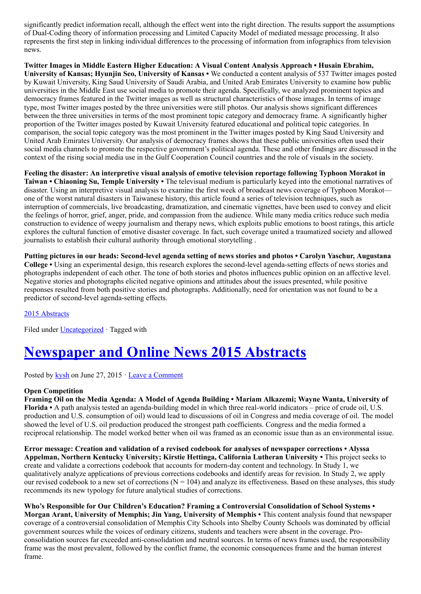significantly predict information recall, although the effect went into the right direction. The results support the assumptions of Dual-Coding theory of information processing and Limited Capacity Model of mediated message processing. It also represents the first step in linking individual differences to the processing of information from infographics from television news.

Twitter Images in Middle Eastern Higher Education: A Visual Content Analysis Approach • Husain Ebrahim, University of Kansas; Hyunjin Seo, University of Kansas • We conducted a content analysis of 537 Twitter images posted by Kuwait University, King Saud University of Saudi Arabia, and United Arab Emirates University to examine how public universities in the Middle East use social media to promote their agenda. Specifically, we analyzed prominent topics and democracy frames featured in the Twitter images as well as structural characteristics of those images. In terms of image type, most Twitter images posted by the three universities were still photos. Our analysis shows significant differences between the three universities in terms of the most prominent topic category and democracy frame. A significantly higher proportion of the Twitter images posted by Kuwait University featured educational and political topic categories. In comparison, the social topic category was the most prominent in the Twitter images posted by King Saud University and United Arab Emirates University. Our analysis of democracy frames shows that these public universities often used their social media channels to promote the respective government's political agenda. These and other findings are discussed in the context of the rising social media use in the Gulf Cooperation Council countries and the role of visuals in the society.

Feeling the disaster: An interpretive visual analysis of emotive television reportage following Typhoon Morakot in Taiwan • Chiaoning Su, Temple University • The televisual medium is particularly keyed into the emotional narratives of disaster. Using an interpretive visual analysis to examine the first week of broadcast news coverage of Typhoon Morakot one of the worst natural disasters in Taiwanese history, this article found a series of television techniques, such as interruption of commercials, live broadcasting, dramatization, and cinematic vignettes, have been used to convey and elicit the feelings of horror, grief, anger, pride, and compassion from the audience. While many media critics reduce such media construction to evidence of weepy journalism and therapy news, which exploits public emotions to boost ratings, this article explores the cultural function of emotive disaster coverage. In fact, such coverage united a traumatized society and allowed journalists to establish their cultural authority through emotional storytelling .

Putting pictures in our heads: Second-level agenda setting of news stories and photos • Carolyn Yaschur, Augustana College • Using an experimental design, this research explores the second-level agenda-setting effects of news stories and photographs independent of each other. The tone of both stories and photos influences public opinion on an affective level. Negative stories and photographs elicited negative opinions and attitudes about the issues presented, while positive responses resulted from both positive stories and photographs. Additionally, need for orientation was not found to be a predictor of second-level agenda-setting effects.

[2015 Abstracts](http://www.aejmc.org/home/2015/06/2015-abstracts/)

Filed under [Uncategorized](http://www.aejmc.org/home/category/uncategorized/) · Tagged with

# [Newspaper and Online News 2015 Abstracts](http://www.aejmc.org/home/2015/06/news-2015-abstracts/)

Posted by [kysh](http://www.aejmc.org/home/author/kyshiab/) on June 27, 2015 · [Leave a Comment](http://www.aejmc.org/home/2015/06/news-2015-abstracts/#respond)

### Open Competition

Framing Oil on the Media Agenda: A Model of Agenda Building • Mariam Alkazemi; Wayne Wanta, University of Florida • A path analysis tested an agenda-building model in which three real-world indicators – price of crude oil, U.S. production and U.S. consumption of oil) would lead to discussions of oil in Congress and media coverage of oil. The model showed the level of U.S. oil production produced the strongest path coefficients. Congress and the media formed a reciprocal relationship. The model worked better when oil was framed as an economic issue than as an environmental issue.

Error message: Creation and validation of a revised codebook for analyses of newspaper corrections • Alyssa Appelman, Northern Kentucky University; Kirstie Hettinga, California Lutheran University • This project seeks to create and validate a corrections codebook that accounts for modern-day content and technology. In Study 1, we qualitatively analyze applications of previous corrections codebooks and identify areas for revision. In Study 2, we apply our revised codebook to a new set of corrections  $(N = 104)$  and analyze its effectiveness. Based on these analyses, this study recommends its new typology for future analytical studies of corrections.

Who's Responsible for Our Children's Education? Framing a Controversial Consolidation of School Systems • Morgan Arant, University of Memphis; Jin Yang, University of Memphis • This content analysis found that newspaper coverage of a controversial consolidation of Memphis City Schools into Shelby County Schools was dominated by official government sources while the voices of ordinary citizens, students and teachers were absent in the coverage. Proconsolidation sources far exceeded anti-consolidation and neutral sources. In terms of news frames used, the responsibility frame was the most prevalent, followed by the conflict frame, the economic consequences frame and the human interest frame.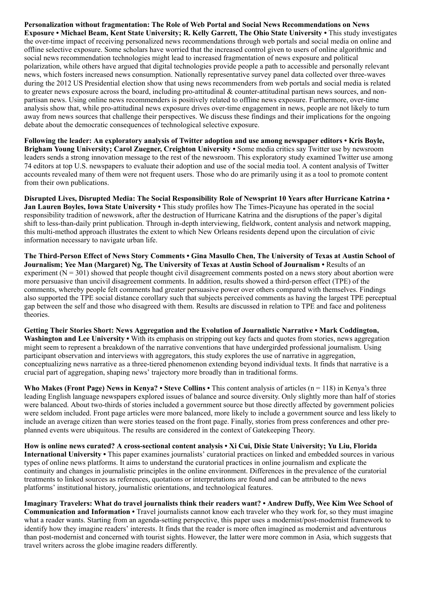Personalization without fragmentation: The Role of Web Portal and Social News Recommendations on News Exposure • Michael Beam, Kent State University; R. Kelly Garrett, The Ohio State University • This study investigates the over-time impact of receiving personalized news recommendations through web portals and social media on online and offline selective exposure. Some scholars have worried that the increased control given to users of online algorithmic and social news recommendation technologies might lead to increased fragmentation of news exposure and political polarization, while others have argued that digital technologies provide people a path to accessible and personally relevant news, which fosters increased news consumption. Nationally representative survey panel data collected over three-waves during the 2012 US Presidential election show that using news recommenders from web portals and social media is related to greater news exposure across the board, including pro-attitudinal & counter-attitudinal partisan news sources, and nonpartisan news. Using online news recommenders is positively related to offline news exposure. Furthermore, over-time analysis show that, while pro-attitudinal news exposure drives over-time engagement in news, people are not likely to turn away from news sources that challenge their perspectives. We discuss these findings and their implications for the ongoing debate about the democratic consequences of technological selective exposure.

Following the leader: An exploratory analysis of Twitter adoption and use among newspaper editors • Kris Boyle, Brigham Young University; Carol Zuegner, Creighton University • Some media critics say Twitter use by newsroom leaders sends a strong innovation message to the rest of the newsroom. This exploratory study examined Twitter use among 74 editors at top U.S. newspapers to evaluate their adoption and use of the social media tool. A content analysis of Twitter accounts revealed many of them were not frequent users. Those who do are primarily using it as a tool to promote content from their own publications.

Disrupted Lives, Disrupted Media: The Social Responsibility Role of Newsprint 10 Years after Hurricane Katrina • Jan Lauren Boyles, Iowa State University • This study profiles how The Times-Picayune has operated in the social responsibility tradition of newswork, after the destruction of Hurricane Katrina and the disruptions of the paper's digital shift to less-than-daily print publication. Through in-depth interviewing, fieldwork, content analysis and network mapping, this multi-method approach illustrates the extent to which New Orleans residents depend upon the circulation of civic information necessary to navigate urban life.

The Third-Person Effect of News Story Comments • Gina Masullo Chen, The University of Texas at Austin School of Journalism; Yee Man (Margaret) Ng, The University of Texas at Austin School of Journalism • Results of an experiment  $(N = 301)$  showed that people thought civil disagreement comments posted on a news story about abortion were more persuasive than uncivil disagreement comments. In addition, results showed a third-person effect (TPE) of the comments, whereby people felt comments had greater persuasive power over others compared with themselves. Findings also supported the TPE social distance corollary such that subjects perceived comments as having the largest TPE perceptual gap between the self and those who disagreed with them. Results are discussed in relation to TPE and face and politeness theories.

Getting Their Stories Short: News Aggregation and the Evolution of Journalistic Narrative • Mark Coddington, Washington and Lee University • With its emphasis on stripping out key facts and quotes from stories, news aggregation might seem to represent a breakdown of the narrative conventions that have undergirded professional journalism. Using participant observation and interviews with aggregators, this study explores the use of narrative in aggregation, conceptualizing news narrative as a three-tiered phenomenon extending beyond individual texts. It finds that narrative is a crucial part of aggregation, shaping news' trajectory more broadly than in traditional forms.

Who Makes (Front Page) News in Kenya? • Steve Collins • This content analysis of articles ( $n = 118$ ) in Kenya's three leading English language newspapers explored issues of balance and source diversity. Only slightly more than half of stories were balanced. About two-thirds of stories included a government source but those directly affected by government policies were seldom included. Front page articles were more balanced, more likely to include a government source and less likely to include an average citizen than were stories teased on the front page. Finally, stories from press conferences and other preplanned events were ubiquitous. The results are considered in the context of Gatekeeping Theory.

How is online news curated? A cross-sectional content analysis • Xi Cui, Dixie State University; Yu Liu, Florida International University • This paper examines journalists' curatorial practices on linked and embedded sources in various types of online news platforms. It aims to understand the curatorial practices in online journalism and explicate the continuity and changes in journalistic principles in the online environment. Differences in the prevalence of the curatorial treatments to linked sources as references, quotations or interpretations are found and can be attributed to the news platforms' institutional history, journalistic orientations, and technological features.

Imaginary Travelers: What do travel journalists think their readers want? • Andrew Duffy, Wee Kim Wee School of Communication and Information • Travel journalists cannot know each traveler who they work for, so they must imagine what a reader wants. Starting from an agenda-setting perspective, this paper uses a modernist/post-modernist framework to identify how they imagine readers' interests. It finds that the reader is more often imagined as modernist and adventurous than post-modernist and concerned with tourist sights. However, the latter were more common in Asia, which suggests that travel writers across the globe imagine readers differently.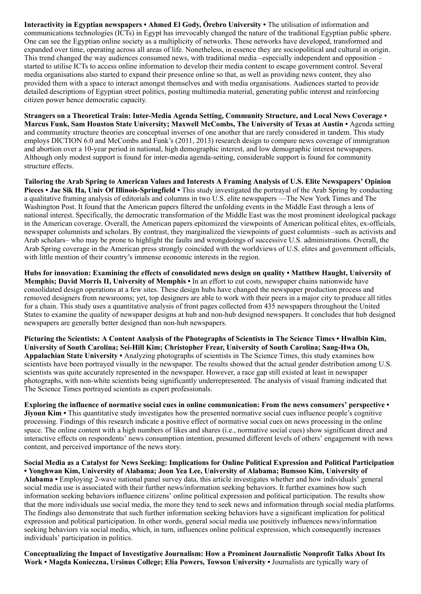Interactivity in Egyptian newspapers • Ahmed El Gody, Örebro University • The utilisation of information and communications technologies (ICTs) in Egypt has irrevocably changed the nature of the traditional Egyptian public sphere. One can see the Egyptian online society as a multiplicity of networks. These networks have developed, transformed and expanded over time, operating across all areas of life. Nonetheless, in essence they are sociopolitical and cultural in origin. This trend changed the way audiences consumed news, with traditional media –especially independent and opposition – started to utilise ICTs to access online information to develop their media content to escape government control. Several media organisations also started to expand their presence online so that, as well as providing news content, they also provided them with a space to interact amongst themselves and with media organisations. Audiences started to provide detailed descriptions of Egyptian street politics, posting multimedia material, generating public interest and reinforcing citizen power hence democratic capacity.

Strangers on a Theoretical Train: Inter-Media Agenda Setting, Community Structure, and Local News Coverage • Marcus Funk, Sam Houston State University; Maxwell McCombs, The University of Texas at Austin • Agenda setting and community structure theories are conceptual inverses of one another that are rarely considered in tandem. This study employs DICTION 6.0 and McCombs and Funk's (2011, 2013) research design to compare news coverage of immigration and abortion over a 10-year period in national, high demographic interest, and low demographic interest newspapers. Although only modest support is found for inter-media agenda-setting, considerable support is found for community structure effects.

Tailoring the Arab Spring to American Values and Interests A Framing Analysis of U.S. Elite Newspapers' Opinion Pieces • Jae Sik Ha, Univ Of Illinois-Springfield • This study investigated the portrayal of the Arab Spring by conducting a qualitative framing analysis of editorials and columns in two U.S. elite newspapers —The New York Times and The Washington Post. It found that the American papers filtered the unfolding events in the Middle East through a lens of national interest. Specifically, the democratic transformation of the Middle East was the most prominent ideological package in the American coverage. Overall, the American papers epitomized the viewpoints of American political elites, ex-officials, newspaper columnists and scholars. By contrast, they marginalized the viewpoints of guest columnists –such as activists and Arab scholars– who may be prone to highlight the faults and wrongdoings of successive U.S. administrations. Overall, the Arab Spring coverage in the American press strongly coincided with the worldviews of U.S. elites and government officials, with little mention of their country's immense economic interests in the region.

Hubs for innovation: Examining the effects of consolidated news design on quality • Matthew Haught, University of Memphis; David Morris II, University of Memphis • In an effort to cut costs, newspaper chains nationwide have consolidated design operations at a few sites. These design hubs have changed the newspaper production process and removed designers from newsrooms; yet, top designers are able to work with their peers in a major city to produce all titles for a chain. This study uses a quantitative analysis of front pages collected from 435 newspapers throughout the United States to examine the quality of newspaper designs at hub and non-hub designed newspapers. It concludes that hub designed newspapers are generally better designed than non-hub newspapers.

Picturing the Scientists: A Content Analysis of the Photographs of Scientists in The Science Times • Hwalbin Kim, University of South Carolina; Sei-Hill Kim; Christopher Frear, University of South Carolina; Sang-Hwa Oh, Appalachian State University • Analyzing photographs of scientists in The Science Times, this study examines how scientists have been portrayed visually in the newspaper. The results showed that the actual gender distribution among U.S. scientists was quite accurately represented in the newspaper. However, a race gap still existed at least in newspaper photographs, with non-white scientists being significantly underrepresented. The analysis of visual framing indicated that The Science Times portrayed scientists as expert professionals.

Exploring the influence of normative social cues in online communication: From the news consumers' perspective • Jiyoun Kim • This quantitative study investigates how the presented normative social cues influence people's cognitive processing. Findings of this research indicate a positive effect of normative social cues on news processing in the online space. The online content with a high numbers of likes and shares (i.e., normative social cues) show significant direct and interactive effects on respondents' news consumption intention, presumed different levels of others' engagement with news content, and perceived importance of the news story.

Social Media as a Catalyst for News Seeking: Implications for Online Political Expression and Political Participation • Yonghwan Kim, University of Alabama; Joon Yea Lee, University of Alabama; Bumsoo Kim, University of Alabama • Employing 2-wave national panel survey data, this article investigates whether and how individuals' general social media use is associated with their further news/information seeking behaviors. It further examines how such information seeking behaviors influence citizens' online political expression and political participation. The results show that the more individuals use social media, the more they tend to seek news and information through social media platforms. The findings also demonstrate that such further information seeking behaviors have a significant implication for political expression and political participation. In other words, general social media use positively influences news/information seeking behaviors via social media, which, in turn, influences online political expression, which consequently increases individuals' participation in politics.

Conceptualizing the Impact of Investigative Journalism: How a Prominent Journalistic Nonprofit Talks About Its Work • Magda Konieczna, Ursinus College; Elia Powers, Towson University • Journalists are typically wary of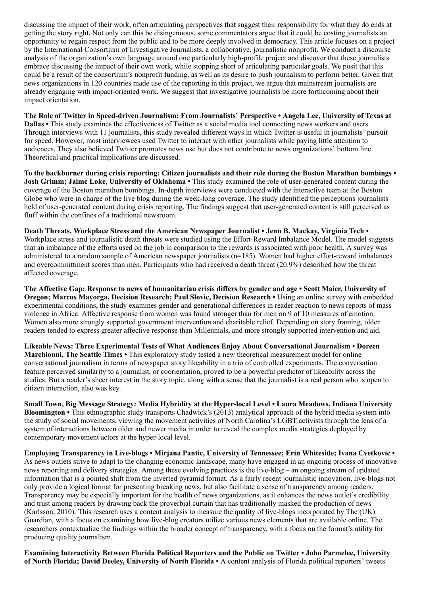discussing the impact of their work, often articulating perspectives that suggest their responsibility for what they do ends at getting the story right. Not only can this be disingenuous, some commentators argue that it could be costing journalists an opportunity to regain respect from the public and to be more deeply involved in democracy. This article focuses on a project by the International Consortium of Investigative Journalists, a collaborative, journalistic nonprofit. We conduct a discourse analysis of the organization's own language around one particularly high-profile project and discover that these journalists embrace discussing the impact of their own work, while stopping short of articulating particular goals. We posit that this could be a result of the consortium's nonprofit funding, as well as its desire to push journalism to perform better. Given that news organizations in 120 countries made use of the reporting in this project, we argue that mainstream journalists are already engaging with impact-oriented work. We suggest that investigative journalists be more forthcoming about their impact orientation.

The Role of Twitter in Speed-driven Journalism: From Journalists' Perspective • Angela Lee, University of Texas at Dallas • This study examines the effectiveness of Twitter as a social media tool connecting news workers and users. Through interviews with 11 journalists, this study revealed different ways in which Twitter is useful in journalists' pursuit for speed. However, most interviewees used Twitter to interact with other journalists while paying little attention to audiences. They also believed Twitter promotes news use but does not contribute to news organizations' bottom line. Theoretical and practical implications are discussed.

To the backburner during crisis reporting: Citizen journalists and their role during the Boston Marathon bombings • Josh Grimm; Jaime Loke, University of Oklahoma • This study examined the role of user-generated content during the coverage of the Boston marathon bombings. In-depth interviews were conducted with the interactive team at the Boston Globe who were in charge of the live blog during the week-long coverage. The study identified the perceptions journalists held of user-generated content during crisis reporting. The findings suggest that user-generated content is still perceived as fluff within the confines of a traditional newsroom.

Death Threats, Workplace Stress and the American Newspaper Journalist • Jenn B. Mackay, Virginia Tech • Workplace stress and journalistic death threats were studied using the Effort-Reward Imbalance Model. The model suggests that an imbalance of the efforts used on the job in comparison to the rewards is associated with poor health. A survey was administered to a random sample of American newspaper journalists (n=185). Women had higher effort-reward imbalances and overcommittment scores than men. Participants who had received a death threat (20.9%) described how the threat affected coverage.

The Affective Gap: Response to news of humanitarian crisis differs by gender and age • Scott Maier, University of Oregon; Marcus Mayorga, Decision Research; Paul Slovic, Decision Research • Using an online survey with embedded experimental conditions, the study examines gender and generational differences in reader reaction to news reports of mass violence in Africa. Affective response from women was found stronger than for men on 9 of 10 measures of emotion. Women also more strongly supported government intervention and charitable relief. Depending on story framing, older readers tended to express greater affective response than Millennials, and more strongly supported intervention and aid.

Likeable News: Three Experimental Tests of What Audiences Enjoy About Conversational Journalism • Doreen Marchionni, The Seattle Times • This exploratory study tested a new theoretical measurement model for online conversational journalism in terms of newspaper story likeability in a trio of controlled experiments. The conversation feature perceived similarity to a journalist, or coorientation, proved to be a powerful predictor of likeability across the studies. But a reader's sheer interest in the story topic, along with a sense that the journalist is a real person who is open to citizen interaction, also was key.

Small Town, Big Message Strategy: Media Hybridity at the Hyper-local Level • Laura Meadows, Indiana University Bloomington • This ethnographic study transports Chadwick's (2013) analytical approach of the hybrid media system into the study of social movements, viewing the movement activities of North Carolina's LGBT activists through the lens of a system of interactions between older and newer media in order to reveal the complex media strategies deployed by contemporary movement actors at the hyper-local level.

Employing Transparency in Live-blogs • Mirjana Pantic, University of Tennessee; Erin Whiteside; Ivana Cvetkovic • As news outlets strive to adapt to the changing economic landscape, many have engaged in an ongoing process of innovative news reporting and delivery strategies. Among these evolving practices is the live-blog – an ongoing stream of updated information that is a pointed shift from the inverted pyramid format. As a fairly recent journalistic innovation, live-blogs not only provide a logical format for presenting breaking news, but also facilitate a sense of transparency among readers. Transparency may be especially important for the health of news organizations, as it enhances the news outlet's credibility and trust among readers by drawing back the proverbial curtain that has traditionally masked the production of news (Karlsson, 2010). This research uses a content analysis to measure the quality of live-blogs incorporated by The (UK) Guardian, with a focus on examining how live-blog creators utilize various news elements that are available online. The researchers contextualize the findings within the broader concept of transparency, with a focus on the format's utility for producing quality journalism.

Examining Interactivity Between Florida Political Reporters and the Public on Twitter • John Parmelee, University of North Florida; David Deeley, University of North Florida • A content analysis of Florida political reporters' tweets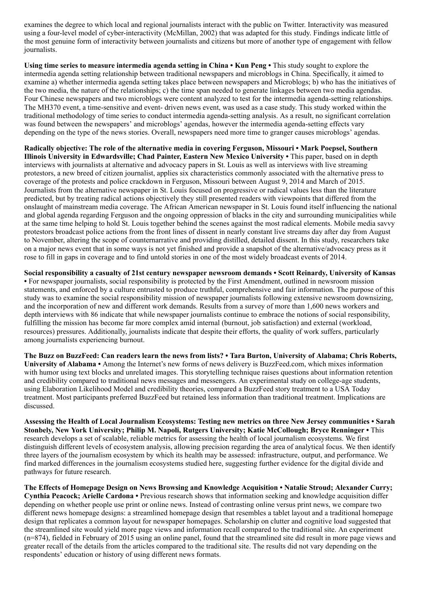examines the degree to which local and regional journalists interact with the public on Twitter. Interactivity was measured using a four-level model of cyber-interactivity (McMillan, 2002) that was adapted for this study. Findings indicate little of the most genuine form of interactivity between journalists and citizens but more of another type of engagement with fellow journalists.

Using time series to measure intermedia agenda setting in China • Kun Peng • This study sought to explore the intermedia agenda setting relationship between traditional newspapers and microblogs in China. Specifically, it aimed to examine a) whether intermedia agenda setting takes place between newspapers and Microblogs; b) who has the initiatives of the two media, the nature of the relationships; c) the time span needed to generate linkages between two media agendas. Four Chinese newspapers and two microblogs were content analyzed to test for the intermedia agenda-setting relationships. The MH370 event, a time-sensitive and event- driven news event, was used as a case study. This study worked within the traditional methodology of time series to conduct intermedia agenda-setting analysis. As a result, no significant correlation was found between the newspapers' and microblogs' agendas, however the intermedia agenda-setting effects vary depending on the type of the news stories. Overall, newspapers need more time to granger causes microblogs' agendas.

Radically objective: The role of the alternative media in covering Ferguson, Missouri • Mark Poepsel, Southern Illinois University in Edwardsville; Chad Painter, Eastern New Mexico University • This paper, based on in depth interviews with journalists at alternative and advocacy papers in St. Louis as well as interviews with live streaming protestors, a new breed of citizen journalist, applies six characteristics commonly associated with the alternative press to coverage of the protests and police crackdown in Ferguson, Missouri between August 9, 2014 and March of 2015. Journalists from the alternative newspaper in St. Louis focused on progressive or radical values less than the literature predicted, but by treating radical actions objectively they still presented readers with viewpoints that differed from the onslaught of mainstream media coverage. The African American newspaper in St. Louis found itself influencing the national and global agenda regarding Ferguson and the ongoing oppression of blacks in the city and surrounding municipalities while at the same time helping to hold St. Louis together behind the scenes against the most radical elements. Mobile media savvy protestors broadcast police actions from the front lines of dissent in nearly constant live streams day after day from August to November, altering the scope of counternarrative and providing distilled, detailed dissent. In this study, researchers take on a major news event that in some ways is not yet finished and provide a snapshot of the alternative/advocacy press as it rose to fill in gaps in coverage and to find untold stories in one of the most widely broadcast events of 2014.

Social responsibility a casualty of 21st century newspaper newsroom demands • Scott Reinardy, University of Kansas • For newspaper journalists, social responsibility is protected by the First Amendment, outlined in newsroom mission statements, and enforced by a culture entrusted to produce truthful, comprehensive and fair information. The purpose of this study was to examine the social responsibility mission of newspaper journalists following extensive newsroom downsizing, and the incorporation of new and different work demands. Results from a survey of more than 1,600 news workers and depth interviews with 86 indicate that while newspaper journalists continue to embrace the notions of social responsibility, fulfilling the mission has become far more complex amid internal (burnout, job satisfaction) and external (workload, resources) pressures. Additionally, journalists indicate that despite their efforts, the quality of work suffers, particularly among journalists experiencing burnout.

The Buzz on BuzzFeed: Can readers learn the news from lists? • Tara Burton, University of Alabama; Chris Roberts, University of Alabama • Among the Internet's new forms of news delivery is BuzzFeed.com, which mixes information with humor using text blocks and unrelated images. This storytelling technique raises questions about information retention and credibility compared to traditional news messages and messengers. An experimental study on college-age students, using Elaboration Likelihood Model and credibility theories, compared a BuzzFeed story treatment to a USA Today treatment. Most participants preferred BuzzFeed but retained less information than traditional treatment. Implications are discussed.

Assessing the Health of Local Journalism Ecosystems: Testing new metrics on three New Jersey communities • Sarah Stonbely, New York University; Philip M. Napoli, Rutgers University; Katie McCollough; Bryce Renninger • This research develops a set of scalable, reliable metrics for assessing the health of local journalism ecosystems. We first distinguish different levels of ecosystem analysis, allowing precision regarding the area of analytical focus. We then identify three layers of the journalism ecosystem by which its health may be assessed: infrastructure, output, and performance. We find marked differences in the journalism ecosystems studied here, suggesting further evidence for the digital divide and pathways for future research.

The Effects of Homepage Design on News Browsing and Knowledge Acquisition • Natalie Stroud; Alexander Curry; Cynthia Peacock; Arielle Cardona • Previous research shows that information seeking and knowledge acquisition differ depending on whether people use print or online news. Instead of contrasting online versus print news, we compare two different news homepage designs: a streamlined homepage design that resembles a tablet layout and a traditional homepage design that replicates a common layout for newspaper homepages. Scholarship on clutter and cognitive load suggested that the streamlined site would yield more page views and information recall compared to the traditional site. An experiment (n=874), fielded in February of 2015 using an online panel, found that the streamlined site did result in more page views and greater recall of the details from the articles compared to the traditional site. The results did not vary depending on the respondents' education or history of using different news formats.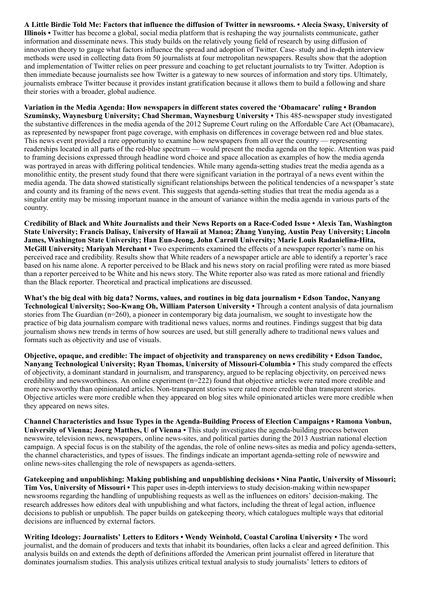A Little Birdie Told Me: Factors that influence the diffusion of Twitter in newsrooms. • Alecia Swasy, University of Illinois • Twitter has become a global, social media platform that is reshaping the way journalists communicate, gather information and disseminate news. This study builds on the relatively young field of research by using diffusion of innovation theory to gauge what factors influence the spread and adoption of Twitter. Case- study and in-depth interview methods were used in collecting data from 50 journalists at four metropolitan newspapers. Results show that the adoption and implementation of Twitter relies on peer pressure and coaching to get reluctant journalists to try Twitter. Adoption is then immediate because journalists see how Twitter is a gateway to new sources of information and story tips. Ultimately, journalists embrace Twitter because it provides instant gratification because it allows them to build a following and share their stories with a broader, global audience.

Variation in the Media Agenda: How newspapers in different states covered the 'Obamacare' ruling • Brandon Szuminsky, Waynesburg University; Chad Sherman, Waynesburg University • This 485-newspaper study investigated the substantive differences in the media agenda of the 2012 Supreme Court ruling on the Affordable Care Act (Obamacare), as represented by newspaper front page coverage, with emphasis on differences in coverage between red and blue states. This news event provided a rare opportunity to examine how newspapers from all over the country — representing readerships located in all parts of the red-blue spectrum — would present the media agenda on the topic. Attention was paid to framing decisions expressed through headline word choice and space allocation as examples of how the media agenda was portrayed in areas with differing political tendencies. While many agenda-setting studies treat the media agenda as a monolithic entity, the present study found that there were significant variation in the portrayal of a news event within the media agenda. The data showed statistically significant relationships between the political tendencies of a newspaper's state and county and its framing of the news event. This suggests that agenda-setting studies that treat the media agenda as a singular entity may be missing important nuance in the amount of variance within the media agenda in various parts of the country.

Credibility of Black and White Journalists and their News Reports on a Race-Coded Issue • Alexis Tan, Washington State University; Francis Dalisay, University of Hawaii at Manoa; Zhang Yunying, Austin Peay University; Lincoln James, Washington State University; Han Eun-Jeong, John Carroll University; Marie Louis Radanielina-Hita, McGill University; Mariyah Merchant • Two experiments examined the effects of a newspaper reporter's name on his perceived race and credibility. Results show that White readers of a newspaper article are able to identify a reporter's race based on his name alone. A reporter perceived to be Black and his news story on racial profiling were rated as more biased than a reporter perceived to be White and his news story. The White reporter also was rated as more rational and friendly than the Black reporter. Theoretical and practical implications are discussed.

What's the big deal with big data? Norms, values, and routines in big data journalism • Edson Tandoc, Nanyang Technological University; Soo-Kwang Oh, William Paterson University • Through a content analysis of data journalism stories from The Guardian (n=260), a pioneer in contemporary big data journalism, we sought to investigate how the practice of big data journalism compare with traditional news values, norms and routines. Findings suggest that big data journalism shows new trends in terms of how sources are used, but still generally adhere to traditional news values and formats such as objectivity and use of visuals.

Objective, opaque, and credible: The impact of objectivity and transparency on news credibility • Edson Tandoc, Nanyang Technological University; Ryan Thomas, University of Missouri-Columbia • This study compared the effects of objectivity, a dominant standard in journalism, and transparency, argued to be replacing objectivity, on perceived news credibility and newsworthiness. An online experiment (n=222) found that objective articles were rated more credible and more newsworthy than opinionated articles. Non-transparent stories were rated more credible than transparent stories. Objective articles were more credible when they appeared on blog sites while opinionated articles were more credible when they appeared on news sites.

Channel Characteristics and Issue Types in the Agenda-Building Process of Election Campaigns • Ramona Vonbun, University of Vienna; Joerg Matthes, U of Vienna • This study investigates the agenda-building process between newswire, television news, newspapers, online news-sites, and political parties during the 2013 Austrian national election campaign. A special focus is on the stability of the agendas, the role of online news-sites as media and policy agenda-setters, the channel characteristics, and types of issues. The findings indicate an important agenda-setting role of newswire and online news-sites challenging the role of newspapers as agenda-setters.

Gatekeeping and unpublishing: Making publishing and unpublishing decisions • Nina Pantic, University of Missouri; Tim Vos, University of Missouri • This paper uses in-depth interviews to study decision-making within newspaper newsrooms regarding the handling of unpublishing requests as well as the influences on editors' decision-making. The research addresses how editors deal with unpublishing and what factors, including the threat of legal action, influence decisions to publish or unpublish. The paper builds on gatekeeping theory, which catalogues multiple ways that editorial decisions are influenced by external factors.

Writing Ideology: Journalists' Letters to Editors • Wendy Weinhold, Coastal Carolina University • The word journalist, and the domain of producers and texts that inhabit its boundaries, often lacks a clear and agreed definition. This analysis builds on and extends the depth of definitions afforded the American print journalist offered in literature that dominates journalism studies. This analysis utilizes critical textual analysis to study journalists' letters to editors of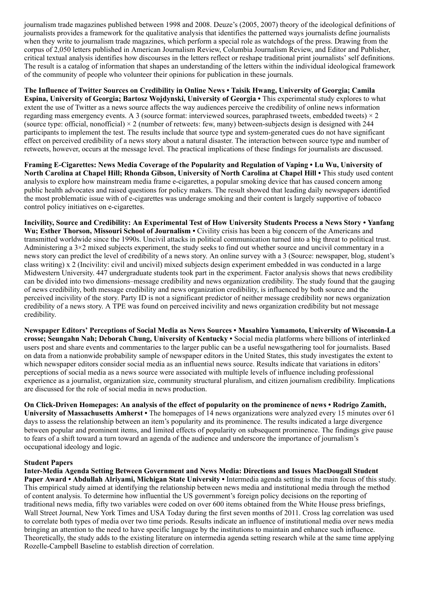journalism trade magazines published between 1998 and 2008. Deuze's (2005, 2007) theory of the ideological definitions of journalists provides a framework for the qualitative analysis that identifies the patterned ways journalists define journalists when they write to journalism trade magazines, which perform a special role as watchdogs of the press. Drawing from the corpus of 2,050 letters published in American Journalism Review, Columbia Journalism Review, and Editor and Publisher, critical textual analysis identifies how discourses in the letters reflect or reshape traditional print journalists' self definitions. The result is a catalog of information that shapes an understanding of the letters within the individual ideological framework of the community of people who volunteer their opinions for publication in these journals.

The Influence of Twitter Sources on Credibility in Online News • Taisik Hwang, University of Georgia; Camila Espina, University of Georgia; Bartosz Wojdynski, University of Georgia • This experimental study explores to what extent the use of Twitter as a news source affects the way audiences perceive the credibility of online news information regarding mass emergency events. A 3 (source format: interviewed sources, paraphrased tweets, embedded tweets) × 2 (source type: official, nonofficial)  $\times$  2 (number of retweets: few, many) between-subjects design is designed with 244 participants to implement the test. The results include that source type and system-generated cues do not have significant effect on perceived credibility of a news story about a natural disaster. The interaction between source type and number of retweets, however, occurs at the message level. The practical implications of these findings for journalists are discussed.

Framing E-Cigarettes: News Media Coverage of the Popularity and Regulation of Vaping • Lu Wu, University of North Carolina at Chapel Hill; Rhonda Gibson, University of North Carolina at Chapel Hill • This study used content analysis to explore how mainstream media frame e-cigarettes, a popular smoking device that has caused concern among public health advocates and raised questions for policy makers. The result showed that leading daily newspapers identified the most problematic issue with of e-cigarettes was underage smoking and their content is largely supportive of tobacco control policy initiatives on e-cigarettes.

Incivility, Source and Credibility: An Experimental Test of How University Students Process a News Story • Yanfang Wu; Esther Thorson, Missouri School of Journalism • Civility crisis has been a big concern of the Americans and transmitted worldwide since the 1990s. Uncivil attacks in political communication turned into a big threat to political trust. Administering a  $3\times 2$  mixed subjects experiment, the study seeks to find out whether source and uncivil commentary in a news story can predict the level of credibility of a news story. An online survey with a 3 (Source: newspaper, blog, student's class writing) x 2 (Incivility: civil and uncivil) mixed subjects design experiment embedded in was conducted in a large Midwestern University. 447 undergraduate students took part in the experiment. Factor analysis shows that news credibility can be divided into two dimensions–message credibility and news organization credibility. The study found that the gauging of news credibility, both message credibility and news organization credibility, is influenced by both source and the perceived incivility of the story. Party ID is not a significant predictor of neither message credibility nor news organization credibility of a news story. A TPE was found on perceived incivility and news organization credibility but not message credibility.

Newspaper Editors' Perceptions of Social Media as News Sources • Masahiro Yamamoto, University of Wisconsin-La crosse; Seungahn Nah; Deborah Chung, University of Kentucky • Social media platforms where billions of interlinked users post and share events and commentaries to the larger public can be a useful newsgathering tool for journalists. Based on data from a nationwide probability sample of newspaper editors in the United States, this study investigates the extent to which newspaper editors consider social media as an influential news source. Results indicate that variations in editors' perceptions of social media as a news source were associated with multiple levels of influence including professional experience as a journalist, organization size, community structural pluralism, and citizen journalism credibility. Implications are discussed for the role of social media in news production.

On Click-Driven Homepages: An analysis of the effect of popularity on the prominence of news • Rodrigo Zamith,

University of Massachusetts Amherst • The homepages of 14 news organizations were analyzed every 15 minutes over 61 days to assess the relationship between an item's popularity and its prominence. The results indicated a large divergence between popular and prominent items, and limited effects of popularity on subsequent prominence. The findings give pause to fears of a shift toward a turn toward an agenda of the audience and underscore the importance of journalism's occupational ideology and logic.

#### Student Papers

Inter-Media Agenda Setting Between Government and News Media: Directions and Issues MacDougall Student Paper Award • Abdullah Alriyami, Michigan State University • Intermedia agenda setting is the main focus of this study. This empirical study aimed at identifying the relationship between news media and institutional media through the method of content analysis. To determine how influential the US government's foreign policy decisions on the reporting of traditional news media, fifty two variables were coded on over 600 items obtained from the White House press briefings, Wall Street Journal, New York Times and USA Today during the first seven months of 2011. Cross lag correlation was used to correlate both types of media over two time periods. Results indicate an influence of institutional media over news media bringing an attention to the need to have specific language by the institutions to maintain and enhance such influence. Theoretically, the study adds to the existing literature on intermedia agenda setting research while at the same time applying Rozelle-Campbell Baseline to establish direction of correlation.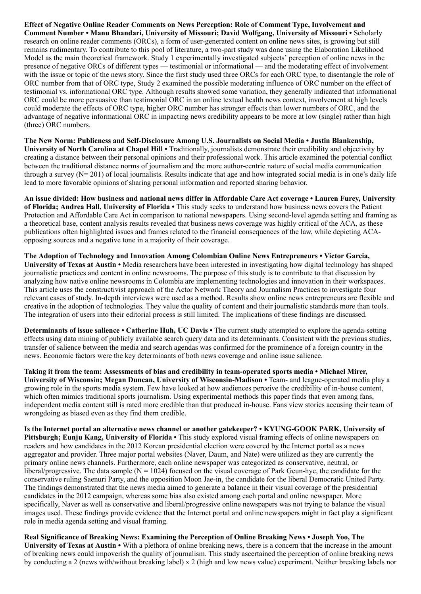Effect of Negative Online Reader Comments on News Perception: Role of Comment Type, Involvement and Comment Number • Manu Bhandari, University of Missouri; David Wolfgang, University of Missouri • Scholarly research on online reader comments (ORCs), a form of user-generated content on online news sites, is growing but still remains rudimentary. To contribute to this pool of literature, a two-part study was done using the Elaboration Likelihood Model as the main theoretical framework. Study 1 experimentally investigated subjects' perception of online news in the presence of negative ORCs of different types –– testimonial or informational –– and the moderating effect of involvement with the issue or topic of the news story. Since the first study used three ORCs for each ORC type, to disentangle the role of ORC number from that of ORC type, Study 2 examined the possible moderating influence of ORC number on the effect of testimonial vs. informational ORC type. Although results showed some variation, they generally indicated that informational ORC could be more persuasive than testimonial ORC in an online textual health news context, involvement at high levels could moderate the effects of ORC type, higher ORC number has stronger effects than lower numbers of ORC, and the advantage of negative informational ORC in impacting news credibility appears to be more at low (single) rather than high (three) ORC numbers.

The New Norm: Publicness and Self-Disclosure Among U.S. Journalists on Social Media • Justin Blankenship, University of North Carolina at Chapel Hill • Traditionally, journalists demonstrate their credibility and objectivity by creating a distance between their personal opinions and their professional work. This article examined the potential conflict between the traditional distance norms of journalism and the more author-centric nature of social media communication through a survey  $(N= 201)$  of local journalists. Results indicate that age and how integrated social media is in one's daily life lead to more favorable opinions of sharing personal information and reported sharing behavior.

An issue divided: How business and national news differ in Affordable Care Act coverage • Lauren Furey, University of Florida; Andrea Hall, University of Florida • This study seeks to understand how business news covers the Patient Protection and Affordable Care Act in comparison to national newspapers. Using second-level agenda setting and framing as a theoretical base, content analysis results revealed that business news coverage was highly critical of the ACA, as these publications often highlighted issues and frames related to the financial consequences of the law, while depicting ACAopposing sources and a negative tone in a majority of their coverage.

The Adoption of Technology and Innovation Among Colombian Online News Entrepreneurs • Victor Garcia, University of Texas at Austin • Media researchers have been interested in investigating how digital technology has shaped journalistic practices and content in online newsrooms. The purpose of this study is to contribute to that discussion by analyzing how native online newsrooms in Colombia are implementing technologies and innovation in their workspaces. This article uses the constructivist approach of the Actor Network Theory and Journalism Practices to investigate four relevant cases of study. In-depth interviews were used as a method. Results show online news entrepreneurs are flexible and creative in the adoption of technologies. They value the quality of content and their journalistic standards more than tools. The integration of users into their editorial process is still limited. The implications of these findings are discussed.

Determinants of issue salience • Catherine Huh, UC Davis • The current study attempted to explore the agenda-setting effects using data mining of publicly available search query data and its determinants. Consistent with the previous studies, transfer of salience between the media and search agendas was confirmed for the prominence of a foreign country in the news. Economic factors were the key determinants of both news coverage and online issue salience.

Taking it from the team: Assessments of bias and credibility in team-operated sports media • Michael Mirer, University of Wisconsin; Megan Duncan, University of Wisconsin-Madison • Team- and league-operated media play a growing role in the sports media system. Few have looked at how audiences perceive the credibility of in-house content, which often mimics traditional sports journalism. Using experimental methods this paper finds that even among fans, independent media content still is rated more credible than that produced in-house. Fans view stories accusing their team of wrongdoing as biased even as they find them credible.

Is the Internet portal an alternative news channel or another gatekeeper? • KYUNG-GOOK PARK, University of Pittsburgh; Eunju Kang, University of Florida • This study explored visual framing effects of online newspapers on readers and how candidates in the 2012 Korean presidential election were covered by the Internet portal as a news aggregator and provider. Three major portal websites (Naver, Daum, and Nate) were utilized as they are currently the primary online news channels. Furthermore, each online newspaper was categorized as conservative, neutral, or liberal/progressive. The data sample  $(N = 1024)$  focused on the visual coverage of Park Geun-hye, the candidate for the conservative ruling Saenuri Party, and the opposition Moon Jae-in, the candidate for the liberal Democratic United Party. The findings demonstrated that the news media aimed to generate a balance in their visual coverage of the presidential candidates in the 2012 campaign, whereas some bias also existed among each portal and online newspaper. More specifically, Naver as well as conservative and liberal/progressive online newspapers was not trying to balance the visual images used. These findings provide evidence that the Internet portal and online newspapers might in fact play a significant role in media agenda setting and visual framing.

Real Significance of Breaking News: Examining the Perception of Online Breaking News • Joseph Yoo, The University of Texas at Austin • With a plethora of online breaking news, there is a concern that the increase in the amount of breaking news could impoverish the quality of journalism. This study ascertained the perception of online breaking news by conducting a 2 (news with/without breaking label) x 2 (high and low news value) experiment. Neither breaking labels nor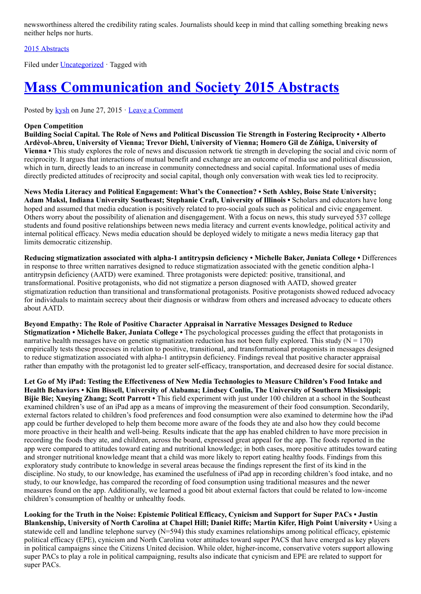newsworthiness altered the credibility rating scales. Journalists should keep in mind that calling something breaking news neither helps nor hurts.

### [2015 Abstracts](http://www.aejmc.org/home/2015/06/2015-abstracts/)

Filed under **Uncategorized** · Tagged with

# [Mass Communication and Society 2015 Abstracts](http://www.aejmc.org/home/2015/06/mcs-2015-abstracts/)

Posted by [kysh](http://www.aejmc.org/home/author/kyshiab/) on June 27, 2015 · [Leave a Comment](http://www.aejmc.org/home/2015/06/mcs-2015-abstracts/#respond)

### Open Competition

Building Social Capital. The Role of News and Political Discussion Tie Strength in Fostering Reciprocity • Alberto Ardèvol-Abreu, University of Vienna; Trevor Diehl, University of Vienna; Homero Gil de Zúñiga, University of Vienna • This study explores the role of news and discussion network tie strength in developing the social and civic norm of reciprocity. It argues that interactions of mutual benefit and exchange are an outcome of media use and political discussion, which in turn, directly leads to an increase in community connectedness and social capital. Informational uses of media directly predicted attitudes of reciprocity and social capital, though only conversation with weak ties led to reciprocity.

News Media Literacy and Political Engagement: What's the Connection? • Seth Ashley, Boise State University; Adam Maksl, Indiana University Southeast; Stephanie Craft, University of Illinois • Scholars and educators have long hoped and assumed that media education is positively related to pro-social goals such as political and civic engagement. Others worry about the possibility of alienation and disengagement. With a focus on news, this study surveyed 537 college students and found positive relationships between news media literacy and current events knowledge, political activity and internal political efficacy. News media education should be deployed widely to mitigate a news media literacy gap that limits democratic citizenship.

Reducing stigmatization associated with alpha-1 antitrypsin deficiency • Michelle Baker, Juniata College • Differences in response to three written narratives designed to reduce stigmatization associated with the genetic condition alpha-1 antitrypsin deficiency (AATD) were examined. Three protagonists were depicted: positive, transitional, and transformational. Positive protagonists, who did not stigmatize a person diagnosed with AATD, showed greater stigmatization reduction than transitional and transformational protagonists. Positive protagonists showed reduced advocacy for individuals to maintain secrecy about their diagnosis or withdraw from others and increased advocacy to educate others about AATD.

Beyond Empathy: The Role of Positive Character Appraisal in Narrative Messages Designed to Reduce Stigmatization • Michelle Baker, Juniata College • The psychological processes guiding the effect that protagonists in narrative health messages have on genetic stigmatization reduction has not been fully explored. This study ( $N = 170$ ) empirically tests these processes in relation to positive, transitional, and transformational protagonists in messages designed to reduce stigmatization associated with alpha-1 antitrypsin deficiency. Findings reveal that positive character appraisal rather than empathy with the protagonist led to greater self-efficacy, transportation, and decreased desire for social distance.

Let Go of My iPad: Testing the Effectiveness of New Media Technologies to Measure Children's Food Intake and Health Behaviors • Kim Bissell, University of Alabama; Lindsey Conlin, The University of Southern Mississippi; Bijie Bie; Xueying Zhang; Scott Parrott • This field experiment with just under 100 children at a school in the Southeast examined children's use of an iPad app as a means of improving the measurement of their food consumption. Secondarily, external factors related to children's food preferences and food consumption were also examined to determine how the iPad app could be further developed to help them become more aware of the foods they ate and also how they could become more proactive in their health and well-being. Results indicate that the app has enabled children to have more precision in recording the foods they ate, and children, across the board, expressed great appeal for the app. The foods reported in the app were compared to attitudes toward eating and nutritional knowledge; in both cases, more positive attitudes toward eating and stronger nutritional knowledge meant that a child was more likely to report eating healthy foods. Findings from this exploratory study contribute to knowledge in several areas because the findings represent the first of its kind in the discipline. No study, to our knowledge, has examined the usefulness of iPad app in recording children's food intake, and no study, to our knowledge, has compared the recording of food consumption using traditional measures and the newer measures found on the app. Additionally, we learned a good bit about external factors that could be related to low-income children's consumption of healthy or unhealthy foods.

Looking for the Truth in the Noise: Epistemic Political Efficacy, Cynicism and Support for Super PACs • Justin Blankenship, University of North Carolina at Chapel Hill; Daniel Riffe; Martin Kifer, High Point University • Using a statewide cell and landline telephone survey (N=594) this study examines relationships among political efficacy, epistemic political efficacy (EPE), cynicism and North Carolina voter attitudes toward super PACS that have emerged as key players in political campaigns since the Citizens United decision. While older, higher-income, conservative voters support allowing super PACs to play a role in political campaigning, results also indicate that cynicism and EPE are related to support for super PACs.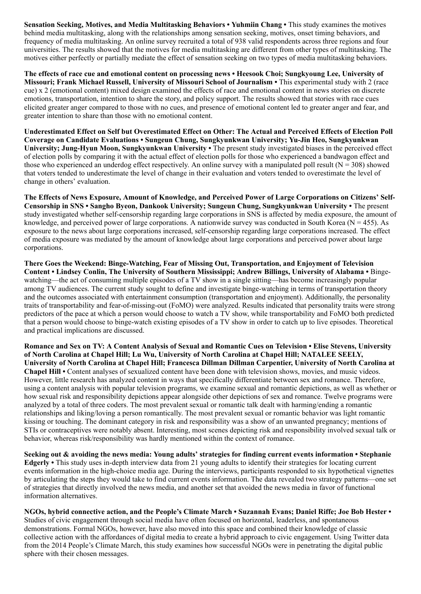Sensation Seeking, Motives, and Media Multitasking Behaviors • Yuhmiin Chang • This study examines the motives behind media multitasking, along with the relationships among sensation seeking, motives, onset timing behaviors, and frequency of media multitasking. An online survey recruited a total of 938 valid respondents across three regions and four universities. The results showed that the motives for media multitasking are different from other types of multitasking. The motives either perfectly or partially mediate the effect of sensation seeking on two types of media multitasking behaviors.

The effects of race cue and emotional content on processing news • Heesook Choi; Sungkyoung Lee, University of Missouri; Frank Michael Russell, University of Missouri School of Journalism • This experimental study with 2 (race cue) x 2 (emotional content) mixed design examined the effects of race and emotional content in news stories on discrete emotions, transportation, intention to share the story, and policy support. The results showed that stories with race cues elicited greater anger compared to those with no cues, and presence of emotional content led to greater anger and fear, and greater intention to share than those with no emotional content.

Underestimated Effect on Self but Overestimated Effect on Other: The Actual and Perceived Effects of Election Poll Coverage on Candidate Evaluations • Sungeun Chung, Sungkyunkwan University; Yu-Jin Heo, Sungkyunkwan University; Jung-Hyun Moon, Sungkyunkwan University • The present study investigated biases in the perceived effect of election polls by comparing it with the actual effect of election polls for those who experienced a bandwagon effect and those who experienced an underdog effect respectively. An online survey with a manipulated poll result ( $N = 308$ ) showed that voters tended to underestimate the level of change in their evaluation and voters tended to overestimate the level of change in others' evaluation.

The Effects of News Exposure, Amount of Knowledge, and Perceived Power of Large Corporations on Citizens' Self-Censorship in SNS • Sangho Byeon, Dankook University; Sungeun Chung, Sungkyunkwan University • The present study investigated whether self-censorship regarding large corporations in SNS is affected by media exposure, the amount of knowledge, and perceived power of large corporations. A nationwide survey was conducted in South Korea ( $N = 455$ ). As exposure to the news about large corporations increased, self-censorship regarding large corporations increased. The effect of media exposure was mediated by the amount of knowledge about large corporations and perceived power about large corporations.

There Goes the Weekend: Binge-Watching, Fear of Missing Out, Transportation, and Enjoyment of Television Content • Lindsey Conlin, The University of Southern Mississippi; Andrew Billings, University of Alabama • Bingewatching—the act of consuming multiple episodes of a TV show in a single sitting—has become increasingly popular among TV audiences. The current study sought to define and investigate binge-watching in terms of transportation theory and the outcomes associated with entertainment consumption (transportation and enjoyment). Additionally, the personality traits of transportability and fear-of-missing-out (FoMO) were analyzed. Results indicated that personality traits were strong predictors of the pace at which a person would choose to watch a TV show, while transportability and FoMO both predicted that a person would choose to binge-watch existing episodes of a TV show in order to catch up to live episodes. Theoretical and practical implications are discussed.

Romance and Sex on TV: A Content Analysis of Sexual and Romantic Cues on Television • Elise Stevens, University of North Carolina at Chapel Hill; Lu Wu, University of North Carolina at Chapel Hill; NATALEE SEELY, University of North Carolina at Chapel Hill; Francesca Dillman Dillman Carpentier, University of North Carolina at Chapel Hill • Content analyses of sexualized content have been done with television shows, movies, and music videos. However, little research has analyzed content in ways that specifically differentiate between sex and romance. Therefore, using a content analysis with popular television programs, we examine sexual and romantic depictions, as well as whether or how sexual risk and responsibility depictions appear alongside other depictions of sex and romance. Twelve programs were analyzed by a total of three coders. The most prevalent sexual or romantic talk dealt with harming/ending a romantic relationships and liking/loving a person romantically. The most prevalent sexual or romantic behavior was light romantic kissing or touching. The dominant category in risk and responsibility was a show of an unwanted pregnancy; mentions of STIs or contraceptives were notably absent. Interesting, most scenes depicting risk and responsibility involved sexual talk or behavior, whereas risk/responsibility was hardly mentioned within the context of romance.

Seeking out & avoiding the news media: Young adults' strategies for finding current events information • Stephanie Edgerly • This study uses in-depth interview data from 21 young adults to identify their strategies for locating current events information in the high-choice media age. During the interviews, participants responded to six hypothetical vignettes by articulating the steps they would take to find current events information. The data revealed two strategy patterns—one set of strategies that directly involved the news media, and another set that avoided the news media in favor of functional information alternatives.

NGOs, hybrid connective action, and the People's Climate March • Suzannah Evans; Daniel Riffe; Joe Bob Hester • Studies of civic engagement through social media have often focused on horizontal, leaderless, and spontaneous demonstrations. Formal NGOs, however, have also moved into this space and combined their knowledge of classic collective action with the affordances of digital media to create a hybrid approach to civic engagement. Using Twitter data from the 2014 People's Climate March, this study examines how successful NGOs were in penetrating the digital public sphere with their chosen messages.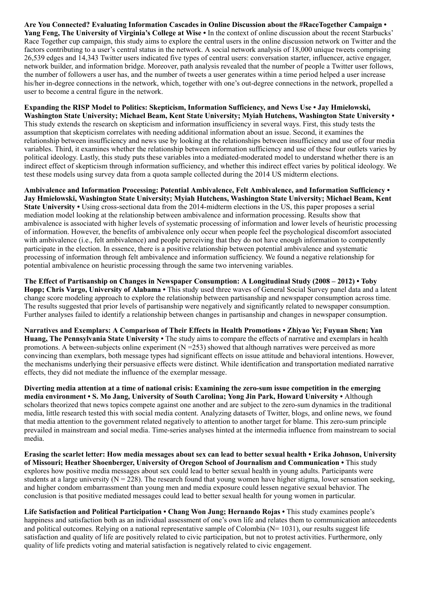Are You Connected? Evaluating Information Cascades in Online Discussion about the #RaceTogether Campaign • Yang Feng, The University of Virginia's College at Wise  $\cdot$  In the context of online discussion about the recent Starbucks' Race Together cup campaign, this study aims to explore the central users in the online discussion network on Twitter and the factors contributing to a user's central status in the network. A social network analysis of 18,000 unique tweets comprising 26,539 edges and 14,343 Twitter users indicated five types of central users: conversation starter, influencer, active engager, network builder, and information bridge. Moreover, path analysis revealed that the number of people a Twitter user follows, the number of followers a user has, and the number of tweets a user generates within a time period helped a user increase his/her in-degree connections in the network, which, together with one's out-degree connections in the network, propelled a user to become a central figure in the network.

### Expanding the RISP Model to Politics: Skepticism, Information Sufficiency, and News Use • Jay Hmielowski,

Washington State University; Michael Beam, Kent State University; Myiah Hutchens, Washington State University • This study extends the research on skepticism and information insufficiency in several ways. First, this study tests the assumption that skepticism correlates with needing additional information about an issue. Second, it examines the relationship between insufficiency and news use by looking at the relationships between insufficiency and use of four media variables. Third, it examines whether the relationship between information sufficiency and use of these four outlets varies by political ideology. Lastly, this study puts these variables into a mediated-moderated model to understand whether there is an indirect effect of skepticism through information sufficiency, and whether this indirect effect varies by political ideology. We test these models using survey data from a quota sample collected during the 2014 US midterm elections.

Ambivalence and Information Processing: Potential Ambivalence, Felt Ambivalence, and Information Sufficiency • Jay Hmielowski, Washington State University; Myiah Hutchens, Washington State University; Michael Beam, Kent State University • Using cross-sectional data from the 2014-midterm elections in the US, this paper proposes a serial mediation model looking at the relationship between ambivalence and information processing. Results show that ambivalence is associated with higher levels of systematic processing of information and lower levels of heuristic processing of information. However, the benefits of ambivalence only occur when people feel the psychological discomfort associated with ambivalence (i.e., felt ambivalence) and people perceiving that they do not have enough information to competently participate in the election. In essence, there is a positive relationship between potential ambivalence and systematic processing of information through felt ambivalence and information sufficiency. We found a negative relationship for potential ambivalence on heuristic processing through the same two intervening variables.

The Effect of Partisanship on Changes in Newspaper Consumption: A Longitudinal Study (2008 – 2012) • Toby Hopp; Chris Vargo, University of Alabama • This study used three waves of General Social Survey panel data and a latent change score modeling approach to explore the relationship between partisanship and newspaper consumption across time. The results suggested that prior levels of partisanship were negatively and significantly related to newspaper consumption. Further analyses failed to identify a relationship between changes in partisanship and changes in newspaper consumption.

Narratives and Exemplars: A Comparison of Their Effects in Health Promotions • Zhiyao Ye; Fuyuan Shen; Yan Huang, The Pennsylvania State University • The study aims to compare the effects of narrative and exemplars in health promotions. A between-subjects online experiment  $(N = 253)$  showed that although narratives were perceived as more convincing than exemplars, both message types had significant effects on issue attitude and behavioral intentions. However, the mechanisms underlying their persuasive effects were distinct. While identification and transportation mediated narrative effects, they did not mediate the influence of the exemplar message.

Diverting media attention at a time of national crisis: Examining the zero-sum issue competition in the emerging media environment • S. Mo Jang, University of South Carolina; Yong Jin Park, Howard University • Although scholars theorized that news topics compete against one another and are subject to the zero-sum dynamics in the traditional media, little research tested this with social media content. Analyzing datasets of Twitter, blogs, and online news, we found that media attention to the government related negatively to attention to another target for blame. This zero-sum principle prevailed in mainstream and social media. Time-series analyses hinted at the intermedia influence from mainstream to social media.

Erasing the scarlet letter: How media messages about sex can lead to better sexual health • Erika Johnson, University of Missouri; Heather Shoenberger, University of Oregon School of Journalism and Communication • This study explores how positive media messages about sex could lead to better sexual health in young adults. Participants were students at a large university ( $N = 228$ ). The research found that young women have higher stigma, lower sensation seeking, and higher condom embarrassment than young men and media exposure could lessen negative sexual behavior. The conclusion is that positive mediated messages could lead to better sexual health for young women in particular.

Life Satisfaction and Political Participation • Chang Won Jung; Hernando Rojas • This study examines people's happiness and satisfaction both as an individual assessment of one's own life and relates them to communication antecedents and political outcomes. Relying on a national representative sample of Colombia ( $N=1031$ ), our results suggest life satisfaction and quality of life are positively related to civic participation, but not to protest activities. Furthermore, only quality of life predicts voting and material satisfaction is negatively related to civic engagement.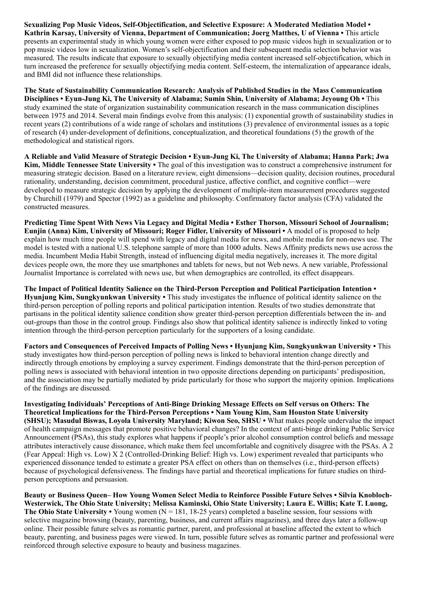Sexualizing Pop Music Videos, Self-Objectification, and Selective Exposure: A Moderated Mediation Model • Kathrin Karsay, University of Vienna, Department of Communication; Joerg Matthes, U of Vienna • This article presents an experimental study in which young women were either exposed to pop music videos high in sexualization or to pop music videos low in sexualization. Women's self-objectification and their subsequent media selection behavior was measured. The results indicate that exposure to sexually objectifying media content increased self-objectification, which in turn increased the preference for sexually objectifying media content. Self-esteem, the internalization of appearance ideals, and BMI did not influence these relationships.

The State of Sustainability Communication Research: Analysis of Published Studies in the Mass Communication Disciplines • Eyun-Jung Ki, The University of Alabama; Sumin Shin, University of Alabama; Jeyoung Oh • This study examined the state of organization sustainability communication research in the mass communication disciplines between 1975 and 2014. Several main findings evolve from this analysis: (1) exponential growth of sustainability studies in recent years (2) contributions of a wide range of scholars and institutions (3) prevalence of environmental issues as a topic of research (4) under-development of definitions, conceptualization, and theoretical foundations (5) the growth of the methodological and statistical rigors.

A Reliable and Valid Measure of Strategic Decision • Eyun-Jung Ki, The University of Alabama; Hanna Park; Jwa Kim, Middle Tennessee State University • The goal of this investigation was to construct a comprehensive instrument for measuring strategic decision. Based on a literature review, eight dimensions—decision quality, decision routines, procedural rationality, understanding, decision commitment, procedural justice, affective conflict, and cognitive conflict—were developed to measure strategic decision by applying the development of multiple-item measurement procedures suggested by Churchill (1979) and Spector (1992) as a guideline and philosophy. Confirmatory factor analysis (CFA) validated the constructed measures.

Predicting Time Spent With News Via Legacy and Digital Media • Esther Thorson, Missouri School of Journalism; Eunjin (Anna) Kim, University of Missouri; Roger Fidler, University of Missouri • A model of is proposed to help explain how much time people will spend with legacy and digital media for news, and mobile media for non-news use. The model is tested with a national U.S. telephone sample of more than 1000 adults. News Affinity predicts news use across the media. Incumbent Media Habit Strength, instead of influencing digital media negatively, increases it. The more digital devices people own, the more they use smartphones and tablets for news, but not Web news. A new variable, Professional Journalist Importance is correlated with news use, but when demographics are controlled, its effect disappears.

The Impact of Political Identity Salience on the Third-Person Perception and Political Participation Intention • Hyunjung Kim, Sungkyunkwan University • This study investigates the influence of political identity salience on the third-person perception of polling reports and political participation intention. Results of two studies demonstrate that partisans in the political identity salience condition show greater third-person perception differentials between the in- and out-groups than those in the control group. Findings also show that political identity salience is indirectly linked to voting intention through the third-person perception particularly for the supporters of a losing candidate.

Factors and Consequences of Perceived Impacts of Polling News • Hyunjung Kim, Sungkyunkwan University • This study investigates how third-person perception of polling news is linked to behavioral intention change directly and indirectly through emotions by employing a survey experiment. Findings demonstrate that the third-person perception of polling news is associated with behavioral intention in two opposite directions depending on participants' predisposition, and the association may be partially mediated by pride particularly for those who support the majority opinion. Implications of the findings are discussed.

Investigating Individuals' Perceptions of Anti-Binge Drinking Message Effects on Self versus on Others: The Theoretical Implications for the Third-Person Perceptions • Nam Young Kim, Sam Houston State University (SHSU); Masudul Biswas, Loyola University Maryland; Kiwon Seo, SHSU • What makes people undervalue the impact of health campaign messages that promote positive behavioral changes? In the context of anti-binge drinking Public Service Announcement (PSAs), this study explores what happens if people's prior alcohol consumption control beliefs and message attributes interactively cause dissonance, which make them feel uncomfortable and cognitively disagree with the PSAs. A 2 (Fear Appeal: High vs. Low) X 2 (Controlled-Drinking Belief: High vs. Low) experiment revealed that participants who experienced dissonance tended to estimate a greater PSA effect on others than on themselves (i.e., third-person effects) because of psychological defensiveness. The findings have partial and theoretical implications for future studies on thirdperson perceptions and persuasion.

Beauty or Business Queen– How Young Women Select Media to Reinforce Possible Future Selves • Silvia Knobloch-Westerwick, The Ohio State University; Melissa Kaminski, Ohio State University; Laura E. Willis; Kate T. Luong, The Ohio State University • Young women ( $N = 181$ , 18-25 years) completed a baseline session, four sessions with selective magazine browsing (beauty, parenting, business, and current affairs magazines), and three days later a follow-up online. Their possible future selves as romantic partner, parent, and professional at baseline affected the extent to which beauty, parenting, and business pages were viewed. In turn, possible future selves as romantic partner and professional were reinforced through selective exposure to beauty and business magazines.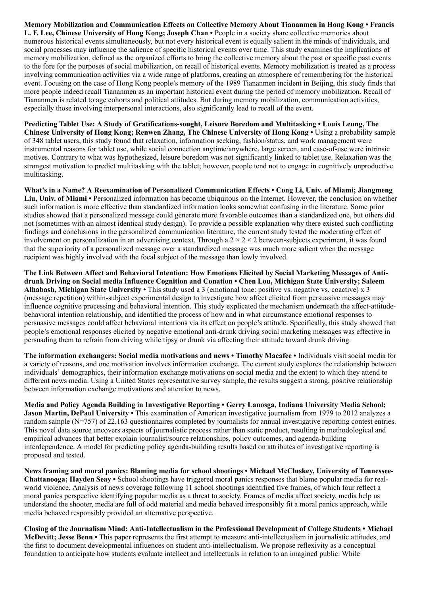Memory Mobilization and Communication Effects on Collective Memory About Tiananmen in Hong Kong • Francis L. F. Lee, Chinese University of Hong Kong; Joseph Chan • People in a society share collective memories about numerous historical events simultaneously, but not every historical event is equally salient in the minds of individuals, and social processes may influence the salience of specific historical events over time. This study examines the implications of memory mobilization, defined as the organized efforts to bring the collective memory about the past or specific past events to the fore for the purposes of social mobilization, on recall of historical events. Memory mobilization is treated as a process involving communication activities via a wide range of platforms, creating an atmosphere of remembering for the historical event. Focusing on the case of Hong Kong people's memory of the 1989 Tiananmen incident in Beijing, this study finds that more people indeed recall Tiananmen as an important historical event during the period of memory mobilization. Recall of Tiananmen is related to age cohorts and political attitudes. But during memory mobilization, communication activities, especially those involving interpersonal interactions, also significantly lead to recall of the event.

Predicting Tablet Use: A Study of Gratifications-sought, Leisure Boredom and Multitasking • Louis Leung, The Chinese University of Hong Kong; Renwen Zhang, The Chinese University of Hong Kong • Using a probability sample of 348 tablet users, this study found that relaxation, information seeking, fashion/status, and work management were instrumental reasons for tablet use, while social connection anytime/anywhere, large screen, and ease-of-use were intrinsic motives. Contrary to what was hypothesized, leisure boredom was not significantly linked to tablet use. Relaxation was the strongest motivation to predict multitasking with the tablet; however, people tend not to engage in cognitively unproductive multitasking.

What's in a Name? A Reexamination of Personalized Communication Effects • Cong Li, Univ. of Miami; Jiangmeng Liu, Univ. of Miami • Personalized information has become ubiquitous on the Internet. However, the conclusion on whether such information is more effective than standardized information looks somewhat confusing in the literature. Some prior studies showed that a personalized message could generate more favorable outcomes than a standardized one, but others did not (sometimes with an almost identical study design). To provide a possible explanation why there existed such conflicting findings and conclusions in the personalized communication literature, the current study tested the moderating effect of involvement on personalization in an advertising context. Through a  $2 \times 2 \times 2$  between-subjects experiment, it was found that the superiority of a personalized message over a standardized message was much more salient when the message recipient was highly involved with the focal subject of the message than lowly involved.

The Link Between Affect and Behavioral Intention: How Emotions Elicited by Social Marketing Messages of Antidrunk Driving on Social media Influence Cognition and Conation • Chen Lou, Michigan State University; Saleem Alhabash, Michigan State University • This study used a 3 (emotional tone: positive vs. negative vs. coactive) x 3 (message repetition) within-subject experimental design to investigate how affect elicited from persuasive messages may influence cognitive processing and behavioral intention. This study explicated the mechanism underneath the affect-attitudebehavioral intention relationship, and identified the process of how and in what circumstance emotional responses to persuasive messages could affect behavioral intentions via its effect on people's attitude. Specifically, this study showed that people's emotional responses elicited by negative emotional anti-drunk driving social marketing messages was effective in persuading them to refrain from driving while tipsy or drunk via affecting their attitude toward drunk driving.

The information exchangers: Social media motivations and news • Timothy Macafee • Individuals visit social media for a variety of reasons, and one motivation involves information exchange. The current study explores the relationship between individuals' demographics, their information exchange motivations on social media and the extent to which they attend to different news media. Using a United States representative survey sample, the results suggest a strong, positive relationship between information exchange motivations and attention to news.

Media and Policy Agenda Building in Investigative Reporting • Gerry Lanosga, Indiana University Media School; Jason Martin, DePaul University • This examination of American investigative journalism from 1979 to 2012 analyzes a random sample (N=757) of 22,163 questionnaires completed by journalists for annual investigative reporting contest entries. This novel data source uncovers aspects of journalistic process rather than static product, resulting in methodological and empirical advances that better explain journalist/source relationships, policy outcomes, and agenda-building interdependence. A model for predicting policy agenda-building results based on attributes of investigative reporting is proposed and tested.

News framing and moral panics: Blaming media for school shootings • Michael McCluskey, University of Tennessee-Chattanooga; Hayden Seay • School shootings have triggered moral panics responses that blame popular media for realworld violence. Analysis of news coverage following 11 school shootings identified five frames, of which four reflect a moral panics perspective identifying popular media as a threat to society. Frames of media affect society, media help us understand the shooter, media are full of odd material and media behaved irresponsibly fit a moral panics approach, while media behaved responsibly provided an alternative perspective.

Closing of the Journalism Mind: Anti-Intellectualism in the Professional Development of College Students • Michael McDevitt; Jesse Benn • This paper represents the first attempt to measure anti-intellectualism in journalistic attitudes, and the first to document developmental influences on student anti-intellectualism. We propose reflexivity as a conceptual foundation to anticipate how students evaluate intellect and intellectuals in relation to an imagined public. While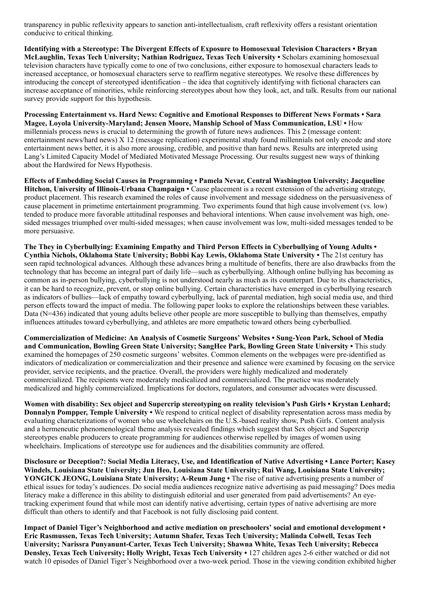transparency in public reflexivity appears to sanction anti-intellectualism, craft reflexivity offers a resistant orientation conducive to critical thinking.

Identifying with a Stereotype: The Divergent Effects of Exposure to Homosexual Television Characters • Bryan McLaughlin, Texas Tech University; Nathian Rodriguez, Texas Tech University • Scholars examining homosexual television characters have typically come to one of two conclusions, either exposure to homosexual characters leads to increased acceptance, or homosexual characters serve to reaffirm negative stereotypes. We resolve these differences by introducing the concept of stereotyped identification – the idea that cognitively identifying with fictional characters can increase acceptance of minorities, while reinforcing stereotypes about how they look, act, and talk. Results from our national survey provide support for this hypothesis.

Processing Entertainment vs. Hard News: Cognitive and Emotional Responses to Different News Formats • Sara Magee, Loyola University-Maryland; Jensen Moore, Manship School of Mass Communication, LSU • How millennials process news is crucial to determining the growth of future news audiences. This 2 (message content: entertainment news/hard news) X 12 (message replication) experimental study found millennials not only encode and store entertainment news better, it is also more arousing, credible, and positive than hard news. Results are interpreted using Lang's Limited Capacity Model of Mediated Motivated Message Processing. Our results suggest new ways of thinking about the Hardwired for News Hypothesis.

Effects of Embedding Social Causes in Programming • Pamela Nevar, Central Washington University; Jacqueline Hitchon, University of Illinois-Urbana Champaign • Cause placement is a recent extension of the advertising strategy, product placement. This research examined the roles of cause involvement and message sidedness on the persuasiveness of cause placement in primetime entertainment programming. Two experiments found that high cause involvement (vs. low) tended to produce more favorable attitudinal responses and behavioral intentions. When cause involvement was high, onesided messages triumphed over multi-sided messages; when cause involvement was low, multi-sided messages tended to be more persuasive.

The They in Cyberbullying: Examining Empathy and Third Person Effects in Cyberbullying of Young Adults • Cynthia Nichols, Oklahoma State University; Bobbi Kay Lewis, Oklahoma State University • The 21st century has seen rapid technological advances. Although these advances bring a multitude of benefits, there are also drawbacks from the technology that has become an integral part of daily life—such as cyberbullying. Although online bullying has becoming as common as in-person bullying, cyberbullying is not understood nearly as much as its counterpart. Due to its characteristics, it can be hard to recognize, prevent, or stop online bullying. Certain characteristics have emerged in cyberbullying research as indicators of bullies—lack of empathy toward cyberbullying, lack of parental mediation, high social media use, and third person effects toward the impact of media. The following paper looks to explore the relationships between these variables. Data (N=436) indicated that young adults believe other people are more susceptible to bullying than themselves, empathy influences attitudes toward cyberbullying, and athletes are more empathetic toward others being cyberbullied.

Commercialization of Medicine: An Analysis of Cosmetic Surgeons' Websites • Sung-Yeon Park, School of Media and Communication, Bowling Green State University; SangHee Park, Bowling Green State University • This study examined the homepages of 250 cosmetic surgeons' websites. Common elements on the webpages were pre-identified as indicators of medicalization or commercialization and their presence and salience were examined by focusing on the service provider, service recipients, and the practice. Overall, the providers were highly medicalized and moderately commercialized. The recipients were moderately medicalized and commercialized. The practice was moderately medicalized and highly commercialized. Implications for doctors, regulators, and consumer advocates were discussed.

Women with disability: Sex object and Supercrip stereotyping on reality television's Push Girls • Krystan Lenhard; Donnalyn Pompper, Temple University • We respond to critical neglect of disability representation across mass media by evaluating characterizations of women who use wheelchairs on the U.S.-based reality show, Push Girls. Content analysis and a hermeneutic phenomenological theme analysis revealed findings which suggest that Sex object and Supercrip stereotypes enable producers to create programming for audiences otherwise repelled by images of women using wheelchairs. Implications of stereotype use for audiences and the disabilities community are offered.

Disclosure or Deception?: Social Media Literacy, Use, and Identification of Native Advertising • Lance Porter; Kasey Windels, Louisiana State University; Jun Heo, Louisiana State University; Rui Wang, Louisiana State University; YONGICK JEONG, Louisiana State University; A-Reum Jung • The rise of native advertising presents a number of ethical issues for today's audiences. Do social media audiences recognize native advertising as paid messaging? Does media literacy make a difference in this ability to distinguish editorial and user generated from paid advertisements? An eyetracking experiment found that while most can identify native advertising, certain types of native advertising are more difficult than others to identify and that Facebook is not fully disclosing paid content.

Impact of Daniel Tiger's Neighborhood and active mediation on preschoolers' social and emotional development • Eric Rasmussen, Texas Tech University; Autumn Shafer, Texas Tech University; Malinda Colwell, Texas Tech University; Narissra Punyanunt-Carter, Texas Tech University; Shawna White, Texas Tech University; Rebecca Densley, Texas Tech University; Holly Wright, Texas Tech University • 127 children ages 2-6 either watched or did not watch 10 episodes of Daniel Tiger's Neighborhood over a two-week period. Those in the viewing condition exhibited higher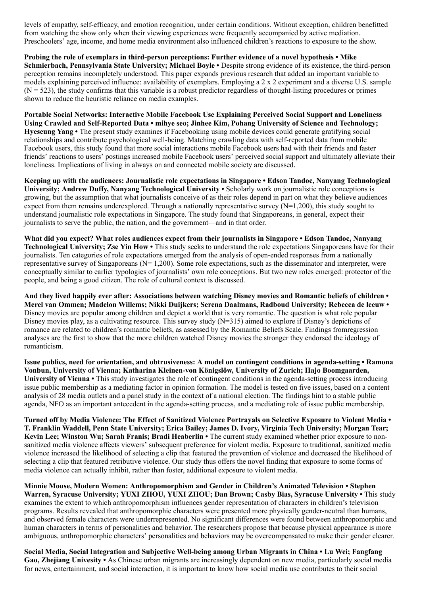levels of empathy, self-efficacy, and emotion recognition, under certain conditions. Without exception, children benefitted from watching the show only when their viewing experiences were frequently accompanied by active mediation. Preschoolers' age, income, and home media environment also influenced children's reactions to exposure to the show.

Probing the role of exemplars in third-person perceptions: Further evidence of a novel hypothesis • Mike Schmierbach, Pennsylvania State University; Michael Boyle • Despite strong evidence of its existence, the third-person perception remains incompletely understood. This paper expands previous research that added an important variable to models explaining perceived influence: availability of exemplars. Employing a 2 x 2 experiment and a diverse U.S. sample  $(N = 523)$ , the study confirms that this variable is a robust predictor regardless of thought-listing procedures or primes shown to reduce the heuristic reliance on media examples.

Portable Social Networks: Interactive Mobile Facebook Use Explaining Perceived Social Support and Loneliness Using Crawled and Self-Reported Data • mihye seo; Jinhee Kim, Pohang University of Science and Technology; Hyeseung Yang • The present study examines if Facebooking using mobile devices could generate gratifying social relationships and contribute psychological well-being. Matching crawling data with self-reported data from mobile Facebook users, this study found that more social interactions mobile Facebook users had with their friends and faster friends' reactions to users' postings increased mobile Facebook users' perceived social support and ultimately alleviate their loneliness. Implications of living in always on and connected mobile society are discussed.

Keeping up with the audiences: Journalistic role expectations in Singapore • Edson Tandoc, Nanyang Technological University; Andrew Duffy, Nanyang Technological University • Scholarly work on journalistic role conceptions is growing, but the assumption that what journalists conceive of as their roles depend in part on what they believe audiences expect from them remains underexplored. Through a nationally representative survey  $(N=1,200)$ , this study sought to understand journalistic role expectations in Singapore. The study found that Singaporeans, in general, expect their journalists to serve the public, the nation, and the government—and in that order.

What did you expect? What roles audiences expect from their journalists in Singapore • Edson Tandoc, Nanyang Technological University; Zse Yin How • This study seeks to understand the role expectations Singaporeans have for their journalists. Ten categories of role expectations emerged from the analysis of open-ended responses from a nationally representative survey of Singaporeans ( $N= 1,200$ ). Some role expectations, such as the disseminator and interpreter, were conceptually similar to earlier typologies of journalists' own role conceptions. But two new roles emerged: protector of the people, and being a good citizen. The role of cultural context is discussed.

And they lived happily ever after: Associations between watching Disney movies and Romantic beliefs of children • Merel van Ommen; Madelon Willems; Nikki Duijkers; Serena Daalmans, Radboud University; Rebecca de leeuw • Disney movies are popular among children and depict a world that is very romantic. The question is what role popular Disney movies play, as a cultivating resource. This survey study (N=315) aimed to explore if Disney's depictions of romance are related to children's romantic beliefs, as assessed by the Romantic Beliefs Scale. Findings fromregression analyses are the first to show that the more children watched Disney movies the stronger they endorsed the ideology of romanticism.

Issue publics, need for orientation, and obtrusiveness: A model on contingent conditions in agenda-setting • Ramona Vonbun, University of Vienna; Katharina Kleinen-von Königslöw, University of Zurich; Hajo Boomgaarden, University of Vienna • This study investigates the role of contingent conditions in the agenda-setting process introducing issue public membership as a mediating factor in opinion formation. The model is tested on five issues, based on a content analysis of 28 media outlets and a panel study in the context of a national election. The findings hint to a stable public agenda, NFO as an important antecedent in the agenda-setting process, and a mediating role of issue public membership.

Turned off by Media Violence: The Effect of Sanitized Violence Portrayals on Selective Exposure to Violent Media • T. Franklin Waddell, Penn State University; Erica Bailey; James D. Ivory, Virginia Tech University; Morgan Tear; Kevin Lee; Winston Wu; Sarah Franis; Bradi Heaberlin • The current study examined whether prior exposure to nonsanitized media violence affects viewers' subsequent preference for violent media. Exposure to traditional, sanitized media violence increased the likelihood of selecting a clip that featured the prevention of violence and decreased the likelihood of selecting a clip that featured retributive violence. Our study thus offers the novel finding that exposure to some forms of media violence can actually inhibit, rather than foster, additional exposure to violent media.

Minnie Mouse, Modern Women: Anthropomorphism and Gender in Children's Animated Television • Stephen Warren, Syracuse University; YUXI ZHOU, YUXI ZHOU; Dan Brown; Casby Bias, Syracuse University • This study examines the extent to which anthropomorphism influences gender representation of characters in children's television programs. Results revealed that anthropomorphic characters were presented more physically gender-neutral than humans, and observed female characters were underrepresented. No significant differences were found between anthropomorphic and human characters in terms of personalities and behavior. The researchers propose that because physical appearance is more ambiguous, anthropomorphic characters' personalities and behaviors may be overcompensated to make their gender clearer.

Social Media, Social Integration and Subjective Well-being among Urban Migrants in China • Lu Wei; Fangfang Gao, Zheijang Univesity • As Chinese urban migrants are increasingly dependent on new media, particularly social media for news, entertainment, and social interaction, it is important to know how social media use contributes to their social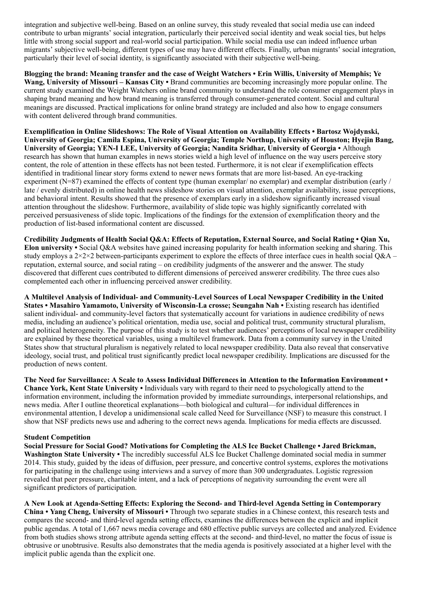integration and subjective well-being. Based on an online survey, this study revealed that social media use can indeed contribute to urban migrants' social integration, particularly their perceived social identity and weak social ties, but helps little with strong social support and real-world social participation. While social media use can indeed influence urban migrants' subjective well-being, different types of use may have different effects. Finally, urban migrants' social integration, particularly their level of social identity, is significantly associated with their subjective well-being.

Blogging the brand: Meaning transfer and the case of Weight Watchers • Erin Willis, University of Memphis; Ye Wang, University of Missouri – Kansas City • Brand communities are becoming increasingly more popular online. The current study examined the Weight Watchers online brand community to understand the role consumer engagement plays in shaping brand meaning and how brand meaning is transferred through consumer-generated content. Social and cultural meanings are discussed. Practical implications for online brand strategy are included and also how to engage consumers with content delivered through brand communities.

Exemplification in Online Slideshows: The Role of Visual Attention on Availability Effects • Bartosz Wojdynski, University of Georgia; Camila Espina, University of Georgia; Temple Northup, University of Houston; Hyejin Bang, University of Georgia; YEN-I LEE, University of Georgia; Nandita Sridhar, University of Georgia • Although research has shown that human examples in news stories wield a high level of influence on the way users perceive story content, the role of attention in these effects has not been tested. Furthermore, it is not clear if exemplification effects identified in traditional linear story forms extend to newer news formats that are more list-based. An eye-tracking experiment (N=87) examined the effects of content type (human exemplar/ no exemplar) and exemplar distribution (early / late / evenly distributed) in online health news slideshow stories on visual attention, exemplar availability, issue perceptions, and behavioral intent. Results showed that the presence of exemplars early in a slideshow significantly increased visual attention throughout the slideshow. Furthermore, availability of slide topic was highly significantly correlated with perceived persuasiveness of slide topic. Implications of the findings for the extension of exemplification theory and the production of list-based informational content are discussed.

Credibility Judgments of Health Social Q&A: Effects of Reputation, External Source, and Social Rating • Qian Xu, Elon university • Social Q&A websites have gained increasing popularity for health information seeking and sharing. This study employs a  $2 \times 2 \times 2$  between-participants experiment to explore the effects of three interface cues in health social Q&A – reputation, external source, and social rating – on credibility judgments of the answerer and the answer. The study discovered that different cues contributed to different dimensions of perceived answerer credibility. The three cues also complemented each other in influencing perceived answer credibility.

A Multilevel Analysis of Individual- and Community-Level Sources of Local Newspaper Credibility in the United States • Masahiro Yamamoto, University of Wisconsin-La crosse; Seungahn Nah • Existing research has identified salient individual- and community-level factors that systematically account for variations in audience credibility of news media, including an audience's political orientation, media use, social and political trust, community structural pluralism, and political heterogeneity. The purpose of this study is to test whether audiences' perceptions of local newspaper credibility are explained by these theoretical variables, using a multilevel framework. Data from a community survey in the United States show that structural pluralism is negatively related to local newspaper credibility. Data also reveal that conservative ideology, social trust, and political trust significantly predict local newspaper credibility. Implications are discussed for the production of news content.

The Need for Surveillance: A Scale to Assess Individual Differences in Attention to the Information Environment • Chance York, Kent State University • Individuals vary with regard to their need to psychologically attend to the information environment, including the information provided by immediate surroundings, interpersonal relationships, and news media. After I outline theoretical explanations—both biological and cultural—for individual differences in environmental attention, I develop a unidimensional scale called Need for Surveillance (NSF) to measure this construct. I show that NSF predicts news use and adhering to the correct news agenda. Implications for media effects are discussed.

#### Student Competition

Social Pressure for Social Good? Motivations for Completing the ALS Ice Bucket Challenge • Jared Brickman, Washington State University • The incredibly successful ALS Ice Bucket Challenge dominated social media in summer 2014. This study, guided by the ideas of diffusion, peer pressure, and concertive control systems, explores the motivations for participating in the challenge using interviews and a survey of more than 300 undergraduates. Logistic regression revealed that peer pressure, charitable intent, and a lack of perceptions of negativity surrounding the event were all significant predictors of participation.

A New Look at Agenda-Setting Effects: Exploring the Second- and Third-level Agenda Setting in Contemporary China • Yang Cheng, University of Missouri • Through two separate studies in a Chinese context, this research tests and compares the second- and third-level agenda setting effects, examines the differences between the explicit and implicit public agendas. A total of 1,667 news media coverage and 680 effective public surveys are collected and analyzed. Evidence from both studies shows strong attribute agenda setting effects at the second- and third-level, no matter the focus of issue is obtrusive or unobtrusive. Results also demonstrates that the media agenda is positively associated at a higher level with the implicit public agenda than the explicit one.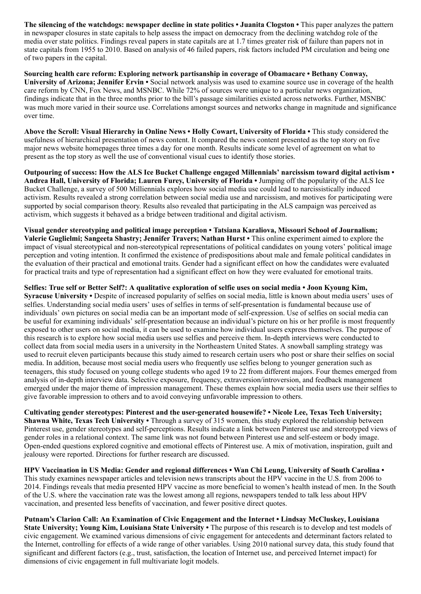The silencing of the watchdogs: newspaper decline in state politics • Juanita Clogston • This paper analyzes the pattern in newspaper closures in state capitals to help assess the impact on democracy from the declining watchdog role of the media over state politics. Findings reveal papers in state capitals are at 1.7 times greater risk of failure than papers not in state capitals from 1955 to 2010. Based on analysis of 46 failed papers, risk factors included PM circulation and being one of two papers in the capital.

Sourcing health care reform: Exploring network partisanship in coverage of Obamacare • Bethany Conway, University of Arizona; Jennifer Ervin • Social network analysis was used to examine source use in coverage of the health care reform by CNN, Fox News, and MSNBC. While 72% of sources were unique to a particular news organization, findings indicate that in the three months prior to the bill's passage similarities existed across networks. Further, MSNBC was much more varied in their source use. Correlations amongst sources and networks change in magnitude and significance over time.

Above the Scroll: Visual Hierarchy in Online News • Holly Cowart, University of Florida • This study considered the usefulness of hierarchical presentation of news content. It compared the news content presented as the top story on five major news website homepages three times a day for one month. Results indicate some level of agreement on what to present as the top story as well the use of conventional visual cues to identify those stories.

Outpouring of success: How the ALS Ice Bucket Challenge engaged Millennials' narcissism toward digital activism • Andrea Hall, University of Florida; Lauren Furey, University of Florida • Jumping off the popularity of the ALS Ice Bucket Challenge, a survey of 500 Milliennials explores how social media use could lead to narcissistically induced activism. Results revealed a strong correlation between social media use and narcissism, and motives for participating were supported by social comparison theory. Results also revealed that participating in the ALS campaign was perceived as activism, which suggests it behaved as a bridge between traditional and digital activism.

Visual gender stereotyping and political image perception • Tatsiana Karaliova, Missouri School of Journalism; Valerie Guglielmi; Sangeeta Shastry; Jennifer Travers; Nathan Hurst • This online experiment aimed to explore the impact of visual stereotypical and non-stereotypical representations of political candidates on young voters' political image perception and voting intention. It confirmed the existence of predispositions about male and female political candidates in the evaluation of their practical and emotional traits. Gender had a significant effect on how the candidates were evaluated for practical traits and type of representation had a significant effect on how they were evaluated for emotional traits.

#### Selfies: True self or Better Self?: A qualitative exploration of selfie uses on social media • Joon Kyoung Kim,

Syracuse University • Despite of increased popularity of selfies on social media, little is known about media users' uses of selfies. Understanding social media users' uses of selfies in terms of self-presentation is fundamental because use of individuals' own pictures on social media can be an important mode of self-expression. Use of selfies on social media can be useful for examining individuals' self-presentation because an individual's picture on his or her profile is most frequently exposed to other users on social media, it can be used to examine how individual users express themselves. The purpose of this research is to explore how social media users use selfies and perceive them. In-depth interviews were conducted to collect data from social media users in a university in the Northeastern United States. A snowball sampling strategy was used to recruit eleven participants because this study aimed to research certain users who post or share their selfies on social media. In addition, because most social media users who frequently use selfies belong to younger generation such as teenagers, this study focused on young college students who aged 19 to 22 from different majors. Four themes emerged from analysis of in-depth interview data. Selective exposure, frequency, extraversion/introversion, and feedback management emerged under the major theme of impression management. These themes explain how social media users use their selfies to give favorable impression to others and to avoid conveying unfavorable impression to others.

Cultivating gender stereotypes: Pinterest and the user-generated housewife? • Nicole Lee, Texas Tech University; Shawna White, Texas Tech University • Through a survey of 315 women, this study explored the relationship between Pinterest use, gender stereotypes and self-perceptions. Results indicate a link between Pinterest use and stereotyped views of gender roles in a relational context. The same link was not found between Pinterest use and self-esteem or body image. Open-ended questions explored cognitive and emotional effects of Pinterest use. A mix of motivation, inspiration, guilt and jealousy were reported. Directions for further research are discussed.

HPV Vaccination in US Media: Gender and regional differences • Wan Chi Leung, University of South Carolina • This study examines newspaper articles and television news transcripts about the HPV vaccine in the U.S. from 2006 to 2014. Findings reveals that media presented HPV vaccine as more beneficial to women's health instead of men. In the South of the U.S. where the vaccination rate was the lowest among all regions, newspapers tended to talk less about HPV vaccination, and presented less benefits of vaccination, and fewer positive direct quotes.

Putnam's Clarion Call: An Examination of Civic Engagement and the Internet • Lindsay McCluskey, Louisiana State University; Young Kim, Louisiana State University • The purpose of this research is to develop and test models of civic engagement. We examined various dimensions of civic engagement for antecedents and determinant factors related to the Internet, controlling for effects of a wide range of other variables. Using 2010 national survey data, this study found that significant and different factors (e.g., trust, satisfaction, the location of Internet use, and perceived Internet impact) for dimensions of civic engagement in full multivariate logit models.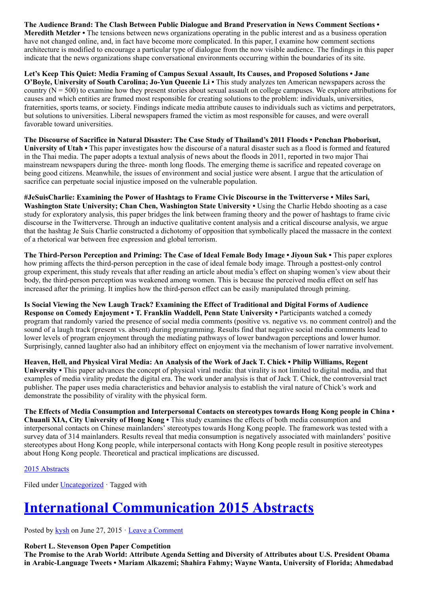The Audience Brand: The Clash Between Public Dialogue and Brand Preservation in News Comment Sections • Meredith Metzler • The tensions between news organizations operating in the public interest and as a business operation have not changed online, and, in fact have become more complicated. In this paper, I examine how comment sections architecture is modified to encourage a particular type of dialogue from the now visible audience. The findings in this paper indicate that the news organizations shape conversational environments occurring within the boundaries of its site.

Let's Keep This Quiet: Media Framing of Campus Sexual Assault, Its Causes, and Proposed Solutions • Jane O'Boyle, University of South Carolina; Jo-Yun Queenie Li • This study analyzes ten American newspapers across the country  $(N = 500)$  to examine how they present stories about sexual assault on college campuses. We explore attributions for causes and which entities are framed most responsible for creating solutions to the problem: individuals, universities, fraternities, sports teams, or society. Findings indicate media attribute causes to individuals such as victims and perpetrators, but solutions to universities. Liberal newspapers framed the victim as most responsible for causes, and were overall favorable toward universities.

The Discourse of Sacrifice in Natural Disaster: The Case Study of Thailand's 2011 Floods • Penchan Phoborisut, University of Utah • This paper investigates how the discourse of a natural disaster such as a flood is formed and featured in the Thai media. The paper adopts a textual analysis of news about the floods in 2011, reported in two major Thai mainstream newspapers during the three- month long floods. The emerging theme is sacrifice and repeated coverage on being good citizens. Meanwhile, the issues of environment and social justice were absent. I argue that the articulation of sacrifice can perpetuate social injustice imposed on the vulnerable population.

#JeSuisCharlie: Examining the Power of Hashtags to Frame Civic Discourse in the Twitterverse • Miles Sari, Washington State University; Chan Chen, Washington State University • Using the Charlie Hebdo shooting as a case study for exploratory analysis, this paper bridges the link between framing theory and the power of hashtags to frame civic discourse in the Twitterverse. Through an inductive qualitative content analysis and a critical discourse analysis, we argue that the hashtag Je Suis Charlie constructed a dichotomy of opposition that symbolically placed the massacre in the context of a rhetorical war between free expression and global terrorism.

The Third-Person Perception and Priming: The Case of Ideal Female Body Image • Jiyoun Suk • This paper explores how priming affects the third-person perception in the case of ideal female body image. Through a posttest-only control group experiment, this study reveals that after reading an article about media's effect on shaping women's view about their body, the third-person perception was weakened among women. This is because the perceived media effect on self has increased after the priming. It implies how the third-person effect can be easily manipulated through priming.

Is Social Viewing the New Laugh Track? Examining the Effect of Traditional and Digital Forms of Audience Response on Comedy Enjoyment • T. Franklin Waddell, Penn State University • Participants watched a comedy program that randomly varied the presence of social media comments (positive vs. negative vs. no comment control) and the sound of a laugh track (present vs. absent) during programming. Results find that negative social media comments lead to lower levels of program enjoyment through the mediating pathways of lower bandwagon perceptions and lower humor. Surprisingly, canned laughter also had an inhibitory effect on enjoyment via the mechanism of lower narrative involvement.

Heaven, Hell, and Physical Viral Media: An Analysis of the Work of Jack T. Chick • Philip Williams, Regent University • This paper advances the concept of physical viral media: that virality is not limited to digital media, and that examples of media virality predate the digital era. The work under analysis is that of Jack T. Chick, the controversial tract publisher. The paper uses media characteristics and behavior analysis to establish the viral nature of Chick's work and demonstrate the possibility of virality with the physical form.

The Effects of Media Consumption and Interpersonal Contacts on stereotypes towards Hong Kong people in China • Chuanli XIA, City University of Hong Kong • This study examines the effects of both media consumption and interpersonal contacts on Chinese mainlanders' stereotypes towards Hong Kong people. The framework was tested with a survey data of 314 mainlanders. Results reveal that media consumption is negatively associated with mainlanders' positive stereotypes about Hong Kong people, while interpersonal contacts with Hong Kong people result in positive stereotypes about Hong Kong people. Theoretical and practical implications are discussed.

### [2015 Abstracts](http://www.aejmc.org/home/2015/06/2015-abstracts/)

Filed under [Uncategorized](http://www.aejmc.org/home/category/uncategorized/) · Tagged with

# [International Communication 2015 Abstracts](http://www.aejmc.org/home/2015/06/intl-2015-abstracts/)

Posted by [kysh](http://www.aejmc.org/home/author/kyshiab/) on June 27, 2015 · [Leave a Comment](http://www.aejmc.org/home/2015/06/intl-2015-abstracts/#respond)

Robert L. Stevenson Open Paper Competition

The Promise to the Arab World: Attribute Agenda Setting and Diversity of Attributes about U.S. President Obama in Arabic-Language Tweets • Mariam Alkazemi; Shahira Fahmy; Wayne Wanta, University of Florida; Ahmedabad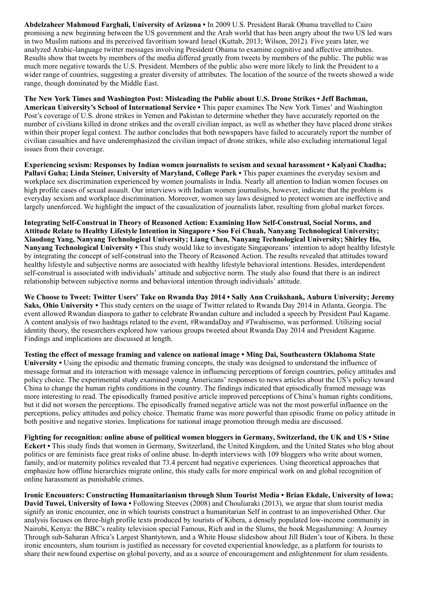Abdelzaheer Mahmoud Farghali, University of Arizona • In 2009 U.S. President Barak Obama travelled to Cairo promising a new beginning between the US government and the Arab world that has been angry about the two US led wars in two Muslim nations and its perceived favoritism toward Israel (Kuttab, 2013; Wilson, 2012). Five years later, we analyzed Arabic-language twitter messages involving President Obama to examine cognitive and affective attributes. Results show that tweets by members of the media differed greatly from tweets by members of the public. The public was much more negative towards the U.S. President. Members of the public also were more likely to link the President to a wider range of countries, suggesting a greater diversity of attributes. The location of the source of the tweets showed a wide range, though dominated by the Middle East.

The New York Times and Washington Post: Misleading the Public about U.S. Drone Strikes • Jeff Bachman, American University's School of International Service • This paper examines The New York Times' and Washington Post's coverage of U.S. drone strikes in Yemen and Pakistan to determine whether they have accurately reported on the number of civilians killed in drone strikes and the overall civilian impact, as well as whether they have placed drone strikes within their proper legal context. The author concludes that both newspapers have failed to accurately report the number of civilian casualties and have underemphasized the civilian impact of drone strikes, while also excluding international legal issues from their coverage.

Experiencing sexism: Responses by Indian women journalists to sexism and sexual harassment • Kalyani Chadha; Pallavi Guha; Linda Steiner, University of Maryland, College Park • This paper examines the everyday sexism and workplace sex discrimination experienced by women journalists in India. Nearly all attention to Indian women focuses on high profile cases of sexual assault. Our interviews with Indian women journalists, however, indicate that the problem is everyday sexism and workplace discrimination. Moreover, women say laws designed to protect women are ineffective and largely unenforced. We highlight the impact of the casualization of journalists labor, resulting from global market forces.

Integrating Self-Construal in Theory of Reasoned Action: Examining How Self-Construal, Social Norms, and Attitude Relate to Healthy Lifestyle Intention in Singapore • Soo Fei Chuah, Nanyang Technological University; Xiaodong Yang, Nanyang Technological University; Liang Chen, Nanyang Technological University; Shirley Ho, Nanyang Technological University • This study would like to investigate Singaporeans' intention to adopt healthy lifestyle by integrating the concept of self-construal into the Theory of Reasoned Action. The results revealed that attitudes toward healthy lifestyle and subjective norms are associated with healthy lifestyle behavioral intentions. Besides, interdependent self-construal is associated with individuals' attitude and subjective norm. The study also found that there is an indirect relationship between subjective norms and behavioral intention through individuals' attitude.

We Choose to Tweet: Twitter Users' Take on Rwanda Day 2014 • Sally Ann Cruikshank, Auburn University; Jeremy Saks, Ohio University • This study centers on the usage of Twitter related to Rwanda Day 2014 in Atlanta, Georgia. The event allowed Rwandan diaspora to gather to celebrate Rwandan culture and included a speech by President Paul Kagame. A content analysis of two hashtags related to the event, #RwandaDay and #Twahisemo, was performed. Utilizing social identity theory, the researchers explored how various groups tweeted about Rwanda Day 2014 and President Kagame. Findings and implications are discussed at length.

Testing the effect of message framing and valence on national image • Ming Dai, Southeastern Oklahoma State University • Using the episodic and thematic framing concepts, the study was designed to understand the influence of message format and its interaction with message valence in influencing perceptions of foreign countries, policy attitudes and policy choice. The experimental study examined young Americans' responses to news articles about the US's policy toward China to change the human rights conditions in the country. The findings indicated that episodically framed message was more interesting to read. The episodically framed positive article improved perceptions of China's human rights conditions, but it did not worsen the perceptions. The episodically framed negative article was not the most powerful influence on the perceptions, policy attitudes and policy choice. Thematic frame was more powerful than episodic frame on policy attitude in both positive and negative stories. Implications for national image promotion through media are discussed.

Fighting for recognition: online abuse of political women bloggers in Germany, Switzerland, the UK and US • Stine Eckert • This study finds that women in Germany, Switzerland, the United Kingdom, and the United States who blog about politics or are feminists face great risks of online abuse. In-depth interviews with 109 bloggers who write about women, family, and/or maternity politics revealed that 73.4 percent had negative experiences. Using theoretical approaches that emphasize how offline hierarchies migrate online, this study calls for more empirical work on and global recognition of online harassment as punishable crimes.

Ironic Encounters: Constructing Humanitarianism through Slum Tourist Media • Brian Ekdale, University of Iowa; David Tuwei, University of Iowa • Following Steeves (2008) and Chouliaraki (2013), we argue that slum tourist media signify an ironic encounter, one in which tourists construct a humanitarian Self in contrast to an impoverished Other. Our analysis focuses on three-high profile texts produced by tourists of Kibera, a densely populated low-income community in Nairobi, Kenya: the BBC's reality television special Famous, Rich and in the Slums, the book Megaslumming: A Journey Through sub-Saharan Africa's Largest Shantytown, and a White House slideshow about Jill Biden's tour of Kibera. In these ironic encounters, slum tourism is justified as necessary for coveted experiential knowledge, as a platform for tourists to share their newfound expertise on global poverty, and as a source of encouragement and enlightenment for slum residents.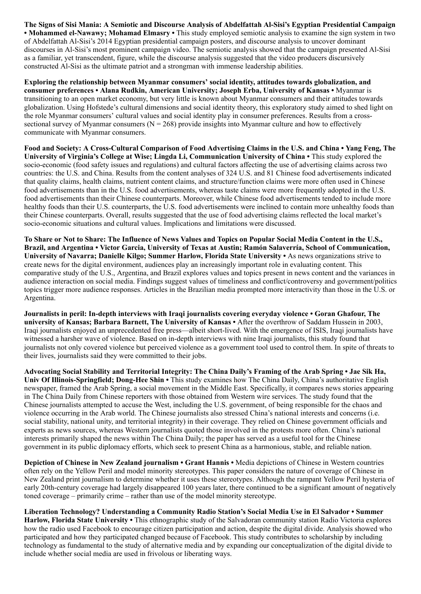The Signs of Sisi Mania: A Semiotic and Discourse Analysis of Abdelfattah Al-Sisi's Egyptian Presidential Campaign • Mohammed el-Nawawy; Mohamad Elmasry • This study employed semiotic analysis to examine the sign system in two of Abdelfattah Al-Sisi's 2014 Egyptian presidential campaign posters, and discourse analysis to uncover dominant discourses in Al-Sisi's most prominent campaign video. The semiotic analysis showed that the campaign presented Al-Sisi as a familiar, yet transcendent, figure, while the discourse analysis suggested that the video producers discursively constructed Al-Sisi as the ultimate patriot and a strongman with immense leadership abilities.

Exploring the relationship between Myanmar consumers' social identity, attitudes towards globalization, and consumer preferences • Alana Rudkin, American University; Joseph Erba, University of Kansas • Myanmar is transitioning to an open market economy, but very little is known about Myanmar consumers and their attitudes towards globalization. Using Hofstede's cultural dimensions and social identity theory, this exploratory study aimed to shed light on the role Myanmar consumers' cultural values and social identity play in consumer preferences. Results from a crosssectional survey of Myanmar consumers ( $N = 268$ ) provide insights into Myanmar culture and how to effectively communicate with Myanmar consumers.

Food and Society: A Cross-Cultural Comparison of Food Advertising Claims in the U.S. and China • Yang Feng, The University of Virginia's College at Wise; Lingda Li, Communication University of China • This study explored the socio-economic (food safety issues and regulations) and cultural factors affecting the use of advertising claims across two countries: the U.S. and China. Results from the content analyses of 324 U.S. and 81 Chinese food advertisements indicated that quality claims, health claims, nutrient content claims, and structure/function claims were more often used in Chinese food advertisements than in the U.S. food advertisements, whereas taste claims were more frequently adopted in the U.S. food advertisements than their Chinese counterparts. Moreover, while Chinese food advertisements tended to include more healthy foods than their U.S. counterparts, the U.S. food advertisements were inclined to contain more unhealthy foods than their Chinese counterparts. Overall, results suggested that the use of food advertising claims reflected the local market's socio-economic situations and cultural values. Implications and limitations were discussed.

To Share or Not to Share: The Influence of News Values and Topics on Popular Social Media Content in the U.S., Brazil, and Argentina • Victor Garcia, University of Texas at Austin; Ramón Salaverría, School of Communication, University of Navarra; Danielle Kilgo; Summer Harlow, Florida State University • As news organizations strive to create news for the digital environment, audiences play an increasingly important role in evaluating content. This comparative study of the U.S., Argentina, and Brazil explores values and topics present in news content and the variances in audience interaction on social media. Findings suggest values of timeliness and conflict/controversy and government/politics topics trigger more audience responses. Articles in the Brazilian media prompted more interactivity than those in the U.S. or Argentina.

Journalists in peril: In-depth interviews with Iraqi journalists covering everyday violence • Goran Ghafour, The university of Kansas; Barbara Barnett, The University of Kansas • After the overthrow of Saddam Hussein in 2003, Iraqi journalists enjoyed an unprecedented free press—albeit short-lived. With the emergence of ISIS, Iraqi journalists have witnessed a harsher wave of violence. Based on in-depth interviews with nine Iraqi journalists, this study found that journalists not only covered violence but perceived violence as a government tool used to control them. In spite of threats to their lives, journalists said they were committed to their jobs.

Advocating Social Stability and Territorial Integrity: The China Daily's Framing of the Arab Spring • Jae Sik Ha, Univ Of Illinois-Springfield; Dong-Hee Shin • This study examines how The China Daily, China's authoritative English newspaper, framed the Arab Spring, a social movement in the Middle East. Specifically, it compares news stories appearing in The China Daily from Chinese reporters with those obtained from Western wire services. The study found that the Chinese journalists attempted to accuse the West, including the U.S. government, of being responsible for the chaos and violence occurring in the Arab world. The Chinese journalists also stressed China's national interests and concerns (i.e. social stability, national unity, and territorial integrity) in their coverage. They relied on Chinese government officials and experts as news sources, whereas Western journalists quoted those involved in the protests more often. China's national interests primarily shaped the news within The China Daily; the paper has served as a useful tool for the Chinese government in its public diplomacy efforts, which seek to present China as a harmonious, stable, and reliable nation.

Depiction of Chinese in New Zealand journalism • Grant Hannis • Media depictions of Chinese in Western countries often rely on the Yellow Peril and model minority stereotypes. This paper considers the nature of coverage of Chinese in New Zealand print journalism to determine whether it uses these stereotypes. Although the rampant Yellow Peril hysteria of early 20th-century coverage had largely disappeared 100 years later, there continued to be a significant amount of negatively toned coverage – primarily crime – rather than use of the model minority stereotype.

Liberation Technology? Understanding a Community Radio Station's Social Media Use in El Salvador • Summer Harlow, Florida State University • This ethnographic study of the Salvadoran community station Radio Victoria explores how the radio used Facebook to encourage citizen participation and action, despite the digital divide. Analysis showed who participated and how they participated changed because of Facebook. This study contributes to scholarship by including technology as fundamental to the study of alternative media and by expanding our conceptualization of the digital divide to include whether social media are used in frivolous or liberating ways.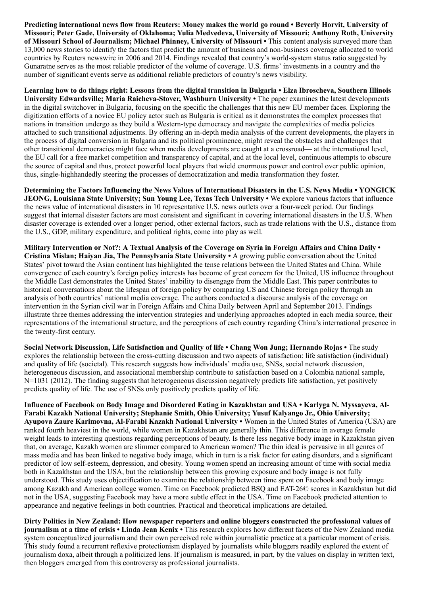Predicting international news flow from Reuters: Money makes the world go round • Beverly Horvit, University of Missouri; Peter Gade, University of Oklahoma; Yulia Medvedeva, University of Missouri; Anthony Roth, University of Missouri School of Journalism; Michael Phinney, University of Missouri • This content analysis surveyed more than 13,000 news stories to identify the factors that predict the amount of business and non-business coverage allocated to world countries by Reuters newswire in 2006 and 2014. Findings revealed that country's world-system status ratio suggested by Gunaratne serves as the most reliable predictor of the volume of coverage. U.S. firms' investments in a country and the number of significant events serve as additional reliable predictors of country's news visibility.

Learning how to do things right: Lessons from the digital transition in Bulgaria • Elza Ibroscheva, Southern Illinois University Edwardsville; Maria Raicheva-Stover, Washburn University • The paper examines the latest developments in the digital switchover in Bulgaria, focusing on the specific the challenges that this new EU member faces. Exploring the digitization efforts of a novice EU policy actor such as Bulgaria is critical as it demonstrates the complex processes that nations in transition undergo as they build a Western-type democracy and navigate the complexities of media policies attached to such transitional adjustments. By offering an in-depth media analysis of the current developments, the players in the process of digital conversion in Bulgaria and its political prominence, might reveal the obstacles and challenges that other transitional democracies might face when media developments are caught at a crossroad— at the international level, the EU call for a free market competition and transparency of capital, and at the local level, continuous attempts to obscure the source of capital and thus, protect powerful local players that wield enormous power and control over public opinion, thus, single-highhandedly steering the processes of democratization and media transformation they foster.

Determining the Factors Influencing the News Values of International Disasters in the U.S. News Media • YONGICK JEONG, Louisiana State University; Sun Young Lee, Texas Tech University • We explore various factors that influence the news value of international disasters in 10 representative U.S. news outlets over a four-week period. Our findings suggest that internal disaster factors are most consistent and significant in covering international disasters in the U.S. When disaster coverage is extended over a longer period, other external factors, such as trade relations with the U.S., distance from the U.S., GDP, military expenditure, and political rights, come into play as well.

Military Intervention or Not?: A Textual Analysis of the Coverage on Syria in Foreign Affairs and China Daily • Cristina Mislan; Haiyan Jia, The Pennsylvania State University • A growing public conversation about the United States' pivot toward the Asian continent has highlighted the tense relations between the United States and China. While convergence of each country's foreign policy interests has become of great concern for the United, US influence throughout the Middle East demonstrates the United States' inability to disengage from the Middle East. This paper contributes to historical conversations about the lifespan of foreign policy by comparing US and Chinese foreign policy through an analysis of both countries' national media coverage. The authors conducted a discourse analysis of the coverage on intervention in the Syrian civil war in Foreign Affairs and China Daily between April and September 2013. Findings illustrate three themes addressing the intervention strategies and underlying approaches adopted in each media source, their representations of the international structure, and the perceptions of each country regarding China's international presence in the twenty-first century.

Social Network Discussion, Life Satisfaction and Quality of life • Chang Won Jung; Hernando Rojas • The study explores the relationship between the cross-cutting discussion and two aspects of satisfaction: life satisfaction (individual) and quality of life (societal). This research suggests how individuals' media use, SNSs, social network discussion, heterogeneous discussion, and associational membership contribute to satisfaction based on a Colombia national sample, N=1031 (2012). The finding suggests that heterogeneous discussion negatively predicts life satisfaction, yet positively predicts quality of life. The use of SNSs only positively predicts quality of life.

Influence of Facebook on Body Image and Disordered Eating in Kazakhstan and USA • Karlyga N. Myssayeva, Al-Farabi Kazakh National University; Stephanie Smith, Ohio University; Yusuf Kalyango Jr., Ohio University; Ayupova Zaure Karimovna, Al-Farabi Kazakh National University • Women in the United States of America (USA) are ranked fourth heaviest in the world, while women in Kazakhstan are generally thin. This difference in average female weight leads to interesting questions regarding perceptions of beauty. Is there less negative body image in Kazakhstan given that, on average, Kazakh women are slimmer compared to American women? The thin ideal is pervasive in all genres of mass media and has been linked to negative body image, which in turn is a risk factor for eating disorders, and a significant predictor of low self-esteem, depression, and obesity. Young women spend an increasing amount of time with social media both in Kazakhstan and the USA, but the relationship between this growing exposure and body image is not fully understood. This study uses objectification to examine the relationship between time spent on Facebook and body image among Kazakh and American college women. Time on Facebook predicted BSQ and EAT-26© scores in Kazakhstan but did not in the USA, suggesting Facebook may have a more subtle effect in the USA. Time on Facebook predicted attention to appearance and negative feelings in both countries. Practical and theoretical implications are detailed.

Dirty Politics in New Zealand: How newspaper reporters and online bloggers constructed the professional values of journalism at a time of crisis • Linda Jean Kenix • This research explores how different facets of the New Zealand media system conceptualized journalism and their own perceived role within journalistic practice at a particular moment of crisis. This study found a recurrent reflexive protectionism displayed by journalists while bloggers readily explored the extent of journalism doxa, albeit through a politicized lens. If journalism is measured, in part, by the values on display in written text, then bloggers emerged from this controversy as professional journalists.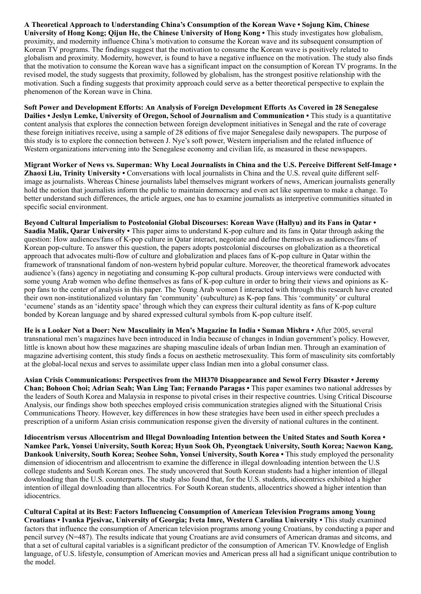A Theoretical Approach to Understanding China's Consumption of the Korean Wave • Sojung Kim, Chinese University of Hong Kong; Qijun He, the Chinese University of Hong Kong • This study investigates how globalism, proximity, and modernity influence China's motivation to consume the Korean wave and its subsequent consumption of Korean TV programs. The findings suggest that the motivation to consume the Korean wave is positively related to globalism and proximity. Modernity, however, is found to have a negative influence on the motivation. The study also finds that the motivation to consume the Korean wave has a significant impact on the consumption of Korean TV programs. In the revised model, the study suggests that proximity, followed by globalism, has the strongest positive relationship with the motivation. Such a finding suggests that proximity approach could serve as a better theoretical perspective to explain the phenomenon of the Korean wave in China.

Soft Power and Development Efforts: An Analysis of Foreign Development Efforts As Covered in 28 Senegalese Dailies • Jeslyn Lemke, University of Oregon, School of Journalism and Communication • This study is a quantitative content analysis that explores the connection between foreign development initiatives in Senegal and the rate of coverage these foreign initiatives receive, using a sample of 28 editions of five major Senegalese daily newspapers. The purpose of this study is to explore the connection between J. Nye's soft power, Western imperialism and the related influence of Western organizations intervening into the Senegalese economy and civilian life, as measured in these newspapers.

Migrant Worker of News vs. Superman: Why Local Journalists in China and the U.S. Perceive Different Self-Image • Zhaoxi Liu, Trinity University • Conversations with local journalists in China and the U.S. reveal quite different selfimage as journalists. Whereas Chinese journalists label themselves migrant workers of news, American journalists generally hold the notion that journalists inform the public to maintain democracy and even act like superman to make a change. To better understand such differences, the article argues, one has to examine journalists as interpretive communities situated in specific social environment.

Beyond Cultural Imperialism to Postcolonial Global Discourses: Korean Wave (Hallyu) and its Fans in Qatar • Saadia Malik, Qarar University • This paper aims to understand K-pop culture and its fans in Qatar through asking the question: How audiences/fans of K-pop culture in Qatar interact, negotiate and define themselves as audiences/fans of Korean pop-culture. To answer this question, the papers adopts postcolonial discourses on globalization as a theoretical approach that advocates multi-flow of culture and globalization and places fans of K-pop culture in Qatar within the framework of transnational fandom of non-western hybrid popular culture. Moreover, the theoretical framework advocates audience's (fans) agency in negotiating and consuming K-pop cultural products. Group interviews were conducted with some young Arab women who define themselves as fans of K-pop culture in order to bring their views and opinions as Kpop fans to the center of analysis in this paper. The Young Arab women I interacted with through this research have created their own non-institutionalized voluntary fan 'community' (subculture) as K-pop fans. This 'community' or cultural 'ecumene' stands as an 'identity space' through which they can express their cultural identity as fans of K-pop culture bonded by Korean language and by shared expressed cultural symbols from K-pop culture itself.

He is a Looker Not a Doer: New Masculinity in Men's Magazine In India • Suman Mishra • After 2005, several transnational men's magazines have been introduced in India because of changes in Indian government's policy. However, little is known about how these magazines are shaping masculine ideals of urban Indian men. Through an examination of magazine advertising content, this study finds a focus on aesthetic metrosexuality. This form of masculinity sits comfortably at the global-local nexus and serves to assimilate upper class Indian men into a global consumer class.

Asian Crisis Communications: Perspectives from the MH370 Disappearance and Sewol Ferry Disaster • Jeremy Chan; Bohoon Choi; Adrian Seah; Wan Ling Tan; Fernando Paragas • This paper examines two national addresses by the leaders of South Korea and Malaysia in response to pivotal crises in their respective countries. Using Critical Discourse Analysis, our findings show both speeches employed crisis communication strategies aligned with the Situational Crisis Communications Theory. However, key differences in how these strategies have been used in either speech precludes a prescription of a uniform Asian crisis communication response given the diversity of national cultures in the continent.

Idiocentrism versus Allocentrism and Illegal Downloading Intention between the United States and South Korea • Namkee Park, Yonsei University, South Korea; Hyun Sook Oh, Pyeongtaek University, South Korea; Naewon Kang, Dankook University, South Korea; Seohee Sohn, Yonsei University, South Korea • This study employed the personality dimension of idiocentrism and allocentrism to examine the difference in illegal downloading intention between the U.S college students and South Korean ones. The study uncovered that South Korean students had a higher intention of illegal downloading than the U.S. counterparts. The study also found that, for the U.S. students, idiocentrics exhibited a higher intention of illegal downloading than allocentrics. For South Korean students, allocentrics showed a higher intention than idiocentrics.

Cultural Capital at its Best: Factors Influencing Consumption of American Television Programs among Young Croatians • Ivanka Pjesivac, University of Georgia; Iveta Imre, Western Carolina University • This study examined factors that influence the consumption of American television programs among young Croatians, by conducting a paper and pencil survey (N=487). The results indicate that young Croatians are avid consumers of American dramas and sitcoms, and that a set of cultural capital variables is a significant predictor of the consumption of American TV. Knowledge of English language, of U.S. lifestyle, consumption of American movies and American press all had a significant unique contribution to the model.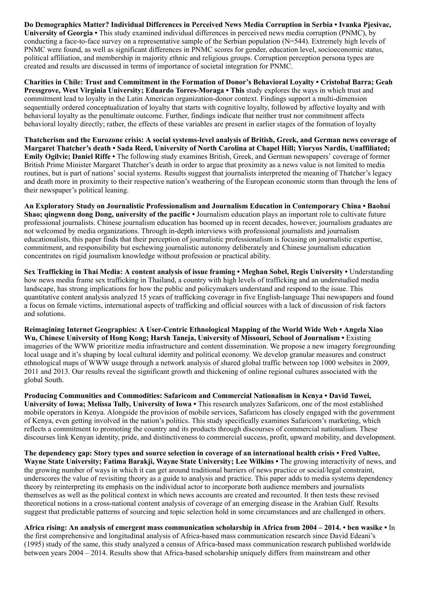Do Demographics Matter? Individual Differences in Perceived News Media Corruption in Serbia • Ivanka Pjesivac, University of Georgia • This study examined individual differences in perceived news media corruption (PNMC), by conducting a face-to-face survey on a representative sample of the Serbian population (N=544). Extremely high levels of PNMC were found, as well as significant differences in PNMC scores for gender, education level, socioeconomic status, political affiliation, and membership in majority ethnic and religious groups. Corruption perception persona types are created and results are discussed in terms of importance of societal integration for PNMC.

Charities in Chile: Trust and Commitment in the Formation of Donor's Behavioral Loyalty • Cristobal Barra; Geah Pressgrove, West Virginia University; Eduardo Torres-Moraga • This study explores the ways in which trust and commitment lead to loyalty in the Latin American organization-donor context. Findings support a multi-dimension sequentially ordered conceptualization of loyalty that starts with cognitive loyalty, followed by affective loyalty and with behavioral loyalty as the penultimate outcome. Further, findings indicate that neither trust nor commitment affects behavioral loyalty directly; rather, the effects of these variables are present in earlier stages of the formation of loyalty

Thatcherism and the Eurozone crisis: A social systems-level analysis of British, Greek, and German news coverage of Margaret Thatcher's death • Sada Reed, University of North Carolina at Chapel Hill; Yioryos Nardis, Unaffiliated; Emily Ogilvie; Daniel Riffe • The following study examines British, Greek, and German newspapers' coverage of former British Prime Minister Margaret Thatcher's death in order to argue that proximity as a news value is not limited to media routines, but is part of nations' social systems. Results suggest that journalists interpreted the meaning of Thatcher's legacy and death more in proximity to their respective nation's weathering of the European economic storm than through the lens of their newspaper's political leaning.

An Exploratory Study on Journalistic Professionalism and Journalism Education in Contemporary China • Baohui Shao; qingwenn dong Dong, university of the pacific • Journalism education plays an important role to cultivate future professional journalists. Chinese journalism education has boomed up in recent decades, however, journalism graduates are not welcomed by media organizations. Through in-depth interviews with professional journalists and journalism educationalists, this paper finds that their perception of journalistic professionalism is focusing on journalistic expertise, commitment, and responsibility but eschewing journalistic autonomy deliberately and Chinese journalism education concentrates on rigid journalism knowledge without profession or practical ability.

Sex Trafficking in Thai Media: A content analysis of issue framing • Meghan Sobel, Regis University • Understanding how news media frame sex trafficking in Thailand, a country with high levels of trafficking and an understudied media landscape, has strong implications for how the public and policymakers understand and respond to the issue. This quantitative content analysis analyzed 15 years of trafficking coverage in five English-language Thai newspapers and found a focus on female victims, international aspects of trafficking and official sources with a lack of discussion of risk factors and solutions.

Reimagining Internet Geographies: A User-Centric Ethnological Mapping of the World Wide Web • Angela Xiao Wu, Chinese University of Hong Kong; Harsh Taneja, University of Missouri, School of Journalism • Existing imageries of the WWW prioritize media infrastructure and content dissemination. We propose a new imagery foregrounding local usage and it's shaping by local cultural identity and political economy. We develop granular measures and construct ethnological maps of WWW usage through a network analysis of shared global traffic between top 1000 websites in 2009, 2011 and 2013. Our results reveal the significant growth and thickening of online regional cultures associated with the global South.

Producing Communities and Commodities: Safaricom and Commercial Nationalism in Kenya • David Tuwei, University of Iowa; Melissa Tully, University of Iowa • This research analyzes Safaricom, one of the most established mobile operators in Kenya. Alongside the provision of mobile services, Safaricom has closely engaged with the government of Kenya, even getting involved in the nation's politics. This study specifically examines Safaricom's marketing, which reflects a commitment to promoting the country and its products through discourses of commercial nationalism. These discourses link Kenyan identity, pride, and distinctiveness to commercial success, profit, upward mobility, and development.

The dependency gap: Story types and source selection in coverage of an international health crisis • Fred Vultee, Wayne State University; Fatima Barakji, Wayne State University; Lee Wilkins • The growing interactivity of news, and the growing number of ways in which it can get around traditional barriers of news practice or social/legal constraint, underscores the value of revisiting theory as a guide to analysis and practice. This paper adds to media systems dependency theory by reinterpreting its emphasis on the individual actor to incorporate both audience members and journalists themselves as well as the political context in which news accounts are created and recounted. It then tests these revised theoretical notions in a cross-national content analysis of coverage of an emerging disease in the Arabian Gulf. Results suggest that predictable patterns of sourcing and topic selection hold in some circumstances and are challenged in others.

Africa rising: An analysis of emergent mass communication scholarship in Africa from 2004 – 2014. • ben wasike • In the first comprehensive and longitudinal analysis of Africa-based mass communication research since David Edeani's (1995) study of the same, this study analyzed a census of Africa-based mass communication research published worldwide between years 2004 – 2014. Results show that Africa-based scholarship uniquely differs from mainstream and other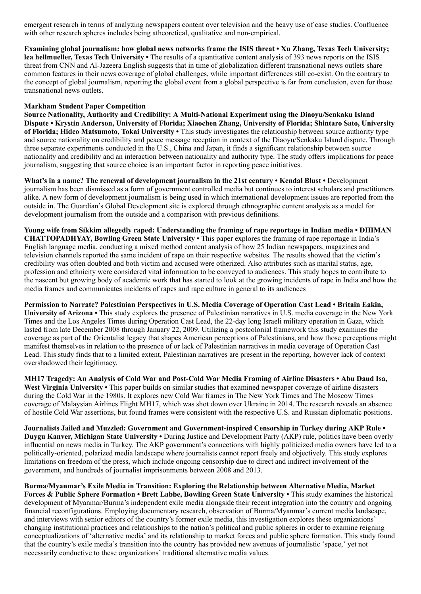emergent research in terms of analyzing newspapers content over television and the heavy use of case studies. Confluence with other research spheres includes being atheoretical, qualitative and non-empirical.

Examining global journalism: how global news networks frame the ISIS threat • Xu Zhang, Texas Tech University; lea hellmueller, Texas Tech University • The results of a quantitative content analysis of 393 news reports on the ISIS threat from CNN and Al-Jazeera English suggests that in time of globalization different transnational news outlets share common features in their news coverage of global challenges, while important differences still co-exist. On the contrary to the concept of global journalism, reporting the global event from a global perspective is far from conclusion, even for those transnational news outlets.

#### Markham Student Paper Competition

Source Nationality, Authority and Credibility: A Multi-National Experiment using the Diaoyu/Senkaku Island Dispute • Krystin Anderson, University of Florida; Xiaochen Zhang, University of Florida; Shintaro Sato, University of Florida; Hideo Matsumoto, Tokai University • This study investigates the relationship between source authority type and source nationality on credibility and peace message reception in context of the Diaoyu/Senkaku Island dispute. Through three separate experiments conducted in the U.S., China and Japan, it finds a significant relationship between source nationality and credibility and an interaction between nationality and authority type. The study offers implications for peace journalism, suggesting that source choice is an important factor in reporting peace initiatives.

What's in a name? The renewal of development journalism in the 21st century • Kendal Blust • Development journalism has been dismissed as a form of government controlled media but continues to interest scholars and practitioners alike. A new form of development journalism is being used in which international development issues are reported from the outside in. The Guardian's Global Development site is explored through ethnographic content analysis as a model for development journalism from the outside and a comparison with previous definitions.

Young wife from Sikkim allegedly raped: Understanding the framing of rape reportage in Indian media • DHIMAN CHATTOPADHYAY, Bowling Green State University • This paper explores the framing of rape reportage in India's English language media, conducting a mixed method content analysis of how 25 Indian newspapers, magazines and television channels reported the same incident of rape on their respective websites. The results showed that the victim's credibility was often doubted and both victim and accused were otherized. Also attributes such as marital status, age, profession and ethnicity were considered vital information to be conveyed to audiences. This study hopes to contribute to the nascent but growing body of academic work that has started to look at the growing incidents of rape in India and how the media frames and communicates incidents of rapes and rape culture in general to its audiences

Permission to Narrate? Palestinian Perspectives in U.S. Media Coverage of Operation Cast Lead • Britain Eakin, University of Arizona • This study explores the presence of Palestinian narratives in U.S. media coverage in the New York Times and the Los Angeles Times during Operation Cast Lead, the 22-day long Israeli military operation in Gaza, which lasted from late December 2008 through January 22, 2009. Utilizing a postcolonial framework this study examines the coverage as part of the Orientalist legacy that shapes American perceptions of Palestinians, and how those perceptions might manifest themselves in relation to the presence of or lack of Palestinian narratives in media coverage of Operation Cast Lead. This study finds that to a limited extent, Palestinian narratives are present in the reporting, however lack of context overshadowed their legitimacy.

MH17 Tragedy: An Analysis of Cold War and Post-Cold War Media Framing of Airline Disasters • Abu Daud Isa, West Virginia University • This paper builds on similar studies that examined newspaper coverage of airline disasters during the Cold War in the 1980s. It explores new Cold War frames in The New York Times and The Moscow Times coverage of Malaysian Airlines Flight MH17, which was shot down over Ukraine in 2014. The research reveals an absence of hostile Cold War assertions, but found frames were consistent with the respective U.S. and Russian diplomatic positions.

Journalists Jailed and Muzzled: Government and Government-inspired Censorship in Turkey during AKP Rule • Duygu Kanver, Michigan State University • During Justice and Development Party (AKP) rule, politics have been overly influential on news media in Turkey. The AKP government's connections with highly politicized media owners have led to a politically-oriented, polarized media landscape where journalists cannot report freely and objectively. This study explores limitations on freedom of the press, which include ongoing censorship due to direct and indirect involvement of the government, and hundreds of journalist imprisonments between 2008 and 2013.

Burma/Myanmar's Exile Media in Transition: Exploring the Relationship between Alternative Media, Market Forces & Public Sphere Formation • Brett Labbe, Bowling Green State University • This study examines the historical development of Myanmar/Burma's independent exile media alongside their recent integration into the country and ongoing financial reconfigurations. Employing documentary research, observation of Burma/Myanmar's current media landscape, and interviews with senior editors of the country's former exile media, this investigation explores these organizations' changing institutional practices and relationships to the nation's political and public spheres in order to examine reigning conceptualizations of 'alternative media' and its relationship to market forces and public sphere formation. This study found that the country's exile media's transition into the country has provided new avenues of journalistic 'space,' yet not necessarily conductive to these organizations' traditional alternative media values.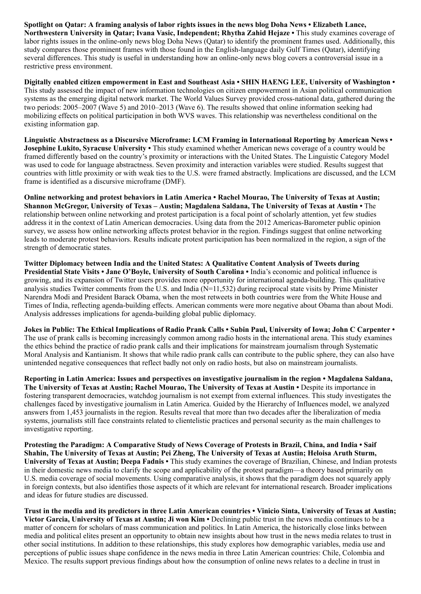Spotlight on Qatar: A framing analysis of labor rights issues in the news blog Doha News • Elizabeth Lance, Northwestern University in Qatar; Ivana Vasic, Independent; Rhytha Zahid Hejaze • This study examines coverage of labor rights issues in the online-only news blog Doha News (Qatar) to identify the prominent frames used. Additionally, this study compares those prominent frames with those found in the English-language daily Gulf Times (Qatar), identifying several differences. This study is useful in understanding how an online-only news blog covers a controversial issue in a restrictive press environment.

Digitally enabled citizen empowerment in East and Southeast Asia • SHIN HAENG LEE, University of Washington • This study assessed the impact of new information technologies on citizen empowerment in Asian political communication systems as the emerging digital network market. The World Values Survey provided cross-national data, gathered during the two periods: 2005–2007 (Wave 5) and 2010–2013 (Wave 6). The results showed that online information seeking had mobilizing effects on political participation in both WVS waves. This relationship was nevertheless conditional on the existing information gap.

Linguistic Abstractness as a Discursive Microframe: LCM Framing in International Reporting by American News • Josephine Lukito, Syracuse University • This study examined whether American news coverage of a country would be framed differently based on the country's proximity or interactions with the United States. The Linguistic Category Model was used to code for language abstractness. Seven proximity and interaction variables were studied. Results suggest that countries with little proximity or with weak ties to the U.S. were framed abstractly. Implications are discussed, and the LCM frame is identified as a discursive microframe (DMF).

Online networking and protest behaviors in Latin America • Rachel Mourao, The University of Texas at Austin; Shannon McGregor, University of Texas – Austin; Magdalena Saldana, The University of Texas at Austin • The relationship between online networking and protest participation is a focal point of scholarly attention, yet few studies address it in the context of Latin American democracies. Using data from the 2012 Americas-Barometer public opinion survey, we assess how online networking affects protest behavior in the region. Findings suggest that online networking leads to moderate protest behaviors. Results indicate protest participation has been normalized in the region, a sign of the strength of democratic states.

Twitter Diplomacy between India and the United States: A Qualitative Content Analysis of Tweets during Presidential State Visits • Jane O'Boyle, University of South Carolina • India's economic and political influence is growing, and its expansion of Twitter users provides more opportunity for international agenda-building. This qualitative analysis studies Twitter comments from the U.S. and India  $(N=11,532)$  during reciprocal state visits by Prime Minister Narendra Modi and President Barack Obama, when the most retweets in both countries were from the White House and Times of India, reflecting agenda-building effects. American comments were more negative about Obama than about Modi. Analysis addresses implications for agenda-building global public diplomacy.

Jokes in Public: The Ethical Implications of Radio Prank Calls • Subin Paul, University of Iowa; John C Carpenter • The use of prank calls is becoming increasingly common among radio hosts in the international arena. This study examines the ethics behind the practice of radio prank calls and their implications for mainstream journalism through Systematic Moral Analysis and Kantianism. It shows that while radio prank calls can contribute to the public sphere, they can also have unintended negative consequences that reflect badly not only on radio hosts, but also on mainstream journalists.

Reporting in Latin America: Issues and perspectives on investigative journalism in the region • Magdalena Saldana, The University of Texas at Austin; Rachel Mourao, The University of Texas at Austin • Despite its importance in fostering transparent democracies, watchdog journalism is not exempt from external influences. This study investigates the challenges faced by investigative journalism in Latin America. Guided by the Hierarchy of Influences model, we analyzed answers from 1,453 journalists in the region. Results reveal that more than two decades after the liberalization of media systems, journalists still face constraints related to clientelistic practices and personal security as the main challenges to investigative reporting.

Protesting the Paradigm: A Comparative Study of News Coverage of Protests in Brazil, China, and India • Saif Shahin, The University of Texas at Austin; Pei Zheng, The University of Texas at Austin; Heloisa Aruth Sturm, University of Texas at Austin; Deepa Fadnis • This study examines the coverage of Brazilian, Chinese, and Indian protests in their domestic news media to clarify the scope and applicability of the protest paradigm—a theory based primarily on U.S. media coverage of social movements. Using comparative analysis, it shows that the paradigm does not squarely apply in foreign contexts, but also identifies those aspects of it which are relevant for international research. Broader implications and ideas for future studies are discussed.

Trust in the media and its predictors in three Latin American countries • Vinicio Sinta, University of Texas at Austin; Victor Garcia, University of Texas at Austin; Ji won Kim • Declining public trust in the news media continues to be a matter of concern for scholars of mass communication and politics. In Latin America, the historically close links between media and political elites present an opportunity to obtain new insights about how trust in the news media relates to trust in other social institutions. In addition to these relationships, this study explores how demographic variables, media use and perceptions of public issues shape confidence in the news media in three Latin American countries: Chile, Colombia and Mexico. The results support previous findings about how the consumption of online news relates to a decline in trust in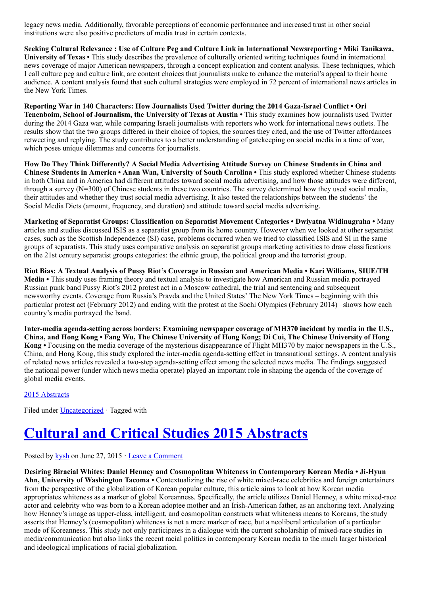legacy news media. Additionally, favorable perceptions of economic performance and increased trust in other social institutions were also positive predictors of media trust in certain contexts.

Seeking Cultural Relevance : Use of Culture Peg and Culture Link in International Newsreporting • Miki Tanikawa, University of Texas • This study describes the prevalence of culturally oriented writing techniques found in international news coverage of major American newspapers, through a concept explication and content analysis. These techniques, which I call culture peg and culture link, are content choices that journalists make to enhance the material's appeal to their home audience. A content analysis found that such cultural strategies were employed in 72 percent of international news articles in the New York Times.

Reporting War in 140 Characters: How Journalists Used Twitter during the 2014 Gaza-Israel Conflict • Ori Tenenboim, School of Journalism, the University of Texas at Austin • This study examines how journalists used Twitter during the 2014 Gaza war, while comparing Israeli journalists with reporters who work for international news outlets. The results show that the two groups differed in their choice of topics, the sources they cited, and the use of Twitter affordances – retweeting and replying. The study contributes to a better understanding of gatekeeping on social media in a time of war, which poses unique dilemmas and concerns for journalists.

How Do They Think Differently? A Social Media Advertising Attitude Survey on Chinese Students in China and Chinese Students in America • Anan Wan, University of South Carolina • This study explored whether Chinese students in both China and in America had different attitudes toward social media advertising, and how those attitudes were different, through a survey (N=300) of Chinese students in these two countries. The survey determined how they used social media, their attitudes and whether they trust social media advertising. It also tested the relationships between the students' the Social Media Diets (amount, frequency, and duration) and attitude toward social media advertising.

Marketing of Separatist Groups: Classification on Separatist Movement Categories • Dwiyatna Widinugraha • Many articles and studies discussed ISIS as a separatist group from its home country. However when we looked at other separatist cases, such as the Scottish Independence (SI) case, problems occurred when we tried to classified ISIS and SI in the same groups of separatists. This study uses comparative analysis on separatist groups marketing activities to draw classifications on the 21st century separatist groups categories: the ethnic group, the political group and the terrorist group.

Riot Bias: A Textual Analysis of Pussy Riot's Coverage in Russian and American Media • Kari Williams, SIUE/TH Media • This study uses framing theory and textual analysis to investigate how American and Russian media portrayed Russian punk band Pussy Riot's 2012 protest act in a Moscow cathedral, the trial and sentencing and subsequent newsworthy events. Coverage from Russia's Pravda and the United States' The New York Times – beginning with this particular protest act (February 2012) and ending with the protest at the Sochi Olympics (February 2014) –shows how each country's media portrayed the band.

Inter-media agenda-setting across borders: Examining newspaper coverage of MH370 incident by media in the U.S., China, and Hong Kong • Fang Wu, The Chinese University of Hong Kong; Di Cui, The Chinese University of Hong Kong • Focusing on the media coverage of the mysterious disappearance of Flight MH370 by major newspapers in the U.S., China, and Hong Kong, this study explored the inter-media agenda-setting effect in transnational settings. A content analysis of related news articles revealed a two-step agenda-setting effect among the selected news media. The findings suggested the national power (under which news media operate) played an important role in shaping the agenda of the coverage of global media events.

#### [2015 Abstracts](http://www.aejmc.org/home/2015/06/2015-abstracts/)

Filed under [Uncategorized](http://www.aejmc.org/home/category/uncategorized/) · Tagged with

# [Cultural and Critical Studies 2015 Abstracts](http://www.aejmc.org/home/2015/06/ccs-2015-abstracts/)

Posted by [kysh](http://www.aejmc.org/home/author/kyshiab/) on June 27, 2015 · [Leave a Comment](http://www.aejmc.org/home/2015/06/ccs-2015-abstracts/#respond)

Desiring Biracial Whites: Daniel Henney and Cosmopolitan Whiteness in Contemporary Korean Media • Ji-Hyun Ahn, University of Washington Tacoma • Contextualizing the rise of white mixed-race celebrities and foreign entertainers from the perspective of the globalization of Korean popular culture, this article aims to look at how Korean media appropriates whiteness as a marker of global Koreanness. Specifically, the article utilizes Daniel Henney, a white mixed-race actor and celebrity who was born to a Korean adoptee mother and an Irish-American father, as an anchoring text. Analyzing how Henney's image as upper-class, intelligent, and cosmopolitan constructs what whiteness means to Koreans, the study asserts that Henney's (cosmopolitan) whiteness is not a mere marker of race, but a neoliberal articulation of a particular mode of Koreanness. This study not only participates in a dialogue with the current scholarship of mixed-race studies in media/communication but also links the recent racial politics in contemporary Korean media to the much larger historical and ideological implications of racial globalization.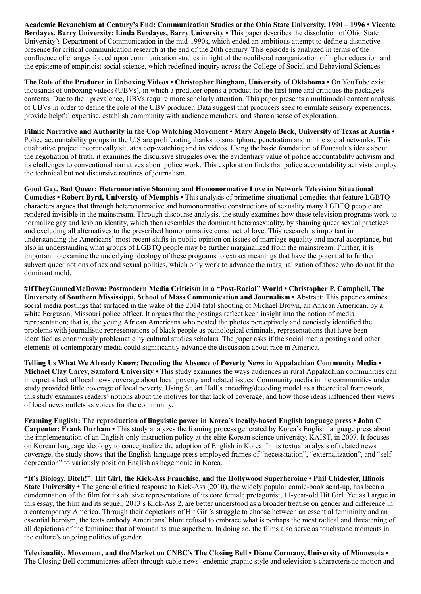Academic Revanchism at Century's End: Communication Studies at the Ohio State University, 1990 – 1996 • Vicente Berdayes, Barry University; Linda Berdayes, Barry University • This paper describes the dissolution of Ohio State University's Department of Communication in the mid-1990s, which ended an ambitious attempt to define a distinctive presence for critical communication research at the end of the 20th century. This episode is analyzed in terms of the confluence of changes forced upon communication studies in light of the neoliberal reorganization of higher education and the episteme of empiricist social science, which redefined inquiry across the College of Social and Behavioral Sciences.

The Role of the Producer in Unboxing Videos • Christopher Bingham, University of Oklahoma • On YouTube exist thousands of unboxing videos (UBVs), in which a producer opens a product for the first time and critiques the package's contents. Due to their prevalence, UBVs require more scholarly attention. This paper presents a multimodal content analysis of UBVs in order to define the role of the UBV producer. Data suggest that producers seek to emulate sensory experiences, provide helpful expertise, establish community with audience members, and share a sense of exploration.

Filmic Narrative and Authority in the Cop Watching Movement • Mary Angela Bock, University of Texas at Austin • Police accountability groups in the U.S are proliferating thanks to smartphone penetration and online social networks. This qualitative project theoretically situates cop-watching and its videos. Using the basic foundation of Foucault's ideas about the negotiation of truth, it examines the discursive struggles over the evidentiary value of police accountability activism and its challenges to conventional narratives about police work. This exploration finds that police accountability activists employ the technical but not discursive routines of journalism.

Good Gay, Bad Queer: Heteronormtive Shaming and Homonormative Love in Network Television Situational Comedies • Robert Byrd, University of Memphis • This analysis of primetime situational comedies that feature LGBTQ characters argues that through heteronormative and homonormative constructions of sexuality many LGBTQ people are rendered invisible in the mainstream. Through discourse analysis, the study examines how these television programs work to normalize gay and lesbian identity, which then resembles the dominant heterosexuality, by shaming queer sexual practices and excluding all alternatives to the prescribed homonormative construct of love. This research is important in understanding the Americans' most recent shifts in public opinion on issues of marriage equality and moral acceptance, but also in understanding what groups of LGBTQ people may be further marginalized from the mainstream. Further, it is important to examine the underlying ideology of these programs to extract meanings that have the potential to further subvert queer notions of sex and sexual politics, which only work to advance the marginalization of those who do not fit the dominant mold.

#IfTheyGunnedMeDown: Postmodern Media Criticism in a "Post-Racial" World • Christopher P. Campbell, The University of Southern Mississippi, School of Mass Communication and Journalism • Abstract: This paper examines social media postings that surfaced in the wake of the 2014 fatal shooting of Michael Brown, an African American, by a white Ferguson, Missouri police officer. It argues that the postings reflect keen insight into the notion of media representation; that is, the young African Americans who posted the photos perceptively and concisely identified the problems with journalistic representations of black people as pathological criminals, representations that have been identified as enormously problematic by cultural studies scholars. The paper asks if the social media postings and other elements of contemporary media could significantly advance the discussion about race in America.

Telling Us What We Already Know: Decoding the Absence of Poverty News in Appalachian Community Media • Michael Clay Carey, Samford University • This study examines the ways audiences in rural Appalachian communities can interpret a lack of local news coverage about local poverty and related issues. Community media in the communities under study provided little coverage of local poverty. Using Stuart Hall's encoding/decoding model as a theoretical framework, this study examines readers' notions about the motives for that lack of coverage, and how those ideas influenced their views of local news outlets as voices for the community.

Framing English: The reproduction of linguistic power in Korea's locally-based English language press • John C Carpenter; Frank Durham • This study analyzes the framing process generated by Korea's English language press about the implementation of an English-only instruction policy at the elite Korean science university, KAIST, in 2007. It focuses on Korean language ideology to conceptualize the adoption of English in Korea. In its textual analysis of related news coverage, the study shows that the English-language press employed frames of "necessitation", "externalization", and "selfdeprecation" to variously position English as hegemonic in Korea.

"It's Biology, Bitch!": Hit Girl, the Kick-Ass Franchise, and the Hollywood Superheroine • Phil Chidester, Illinois State University • The general critical response to Kick-Ass (2010), the widely popular comic-book send-up, has been a condemnation of the film for its abusive representations of its core female protagonist, 11-year-old Hit Girl. Yet as I argue in this essay, the film and its sequel, 2013's Kick-Ass 2, are better understood as a broader treatise on gender and difference in a contemporary America. Through their depictions of Hit Girl's struggle to choose between an essential femininity and an essential heroism, the texts embody Americans' blunt refusal to embrace what is perhaps the most radical and threatening of all depictions of the feminine: that of woman as true superhero. In doing so, the films also serve as touchstone moments in the culture's ongoing politics of gender.

Televisuality, Movement, and the Market on CNBC's The Closing Bell • Diane Cormany, University of Minnesota • The Closing Bell communicates affect through cable news' endemic graphic style and television's characteristic motion and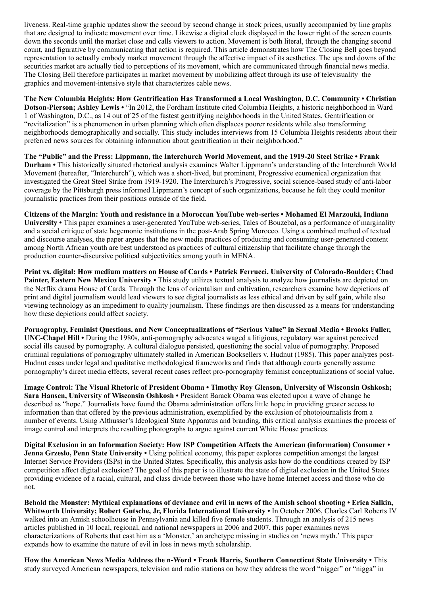liveness. Real-time graphic updates show the second by second change in stock prices, usually accompanied by line graphs that are designed to indicate movement over time. Likewise a digital clock displayed in the lower right of the screen counts down the seconds until the market close and calls viewers to action. Movement is both literal, through the changing second count, and figurative by communicating that action is required. This article demonstrates how The Closing Bell goes beyond representation to actually embody market movement through the affective impact of its aesthetics. The ups and downs of the securities market are actually tied to perceptions of its movement, which are communicated through financial news media. The Closing Bell therefore participates in market movement by mobilizing affect through its use of televisuality–the graphics and movement-intensive style that characterizes cable news.

The New Columbia Heights: How Gentrification Has Transformed a Local Washington, D.C. Community • Christian Dotson-Pierson; Ashley Lewis • "In 2012, the Fordham Institute cited Columbia Heights, a historic neighborhood in Ward 1 of Washington, D.C., as 14 out of 25 of the fastest gentrifying neighborhoods in the United States. Gentrification or "revitalization" is a phenomenon in urban planning which often displaces poorer residents while also transforming neighborhoods demographically and socially. This study includes interviews from 15 Columbia Heights residents about their preferred news sources for obtaining information about gentrification in their neighborhood."

The "Public" and the Press: Lippmann, the Interchurch World Movement, and the 1919-20 Steel Strike • Frank Durham • This historically situated rhetorical analysis examines Walter Lippmann's understanding of the Interchurch World Movement (hereafter, "Interchurch"), which was a short-lived, but prominent, Progressive ecumenical organization that investigated the Great Steel Strike from 1919-1920. The Interchurch's Progressive, social science-based study of anti-labor coverage by the Pittsburgh press informed Lippmann's concept of such organizations, because he felt they could monitor journalistic practices from their positions outside of the field.

Citizens of the Margin: Youth and resistance in a Moroccan YouTube web-series • Mohamed El Marzouki, Indiana University • This paper examines a user-generated YouTube web-series, Tales of Bouzebal, as a performance of marginality and a social critique of state hegemonic institutions in the post-Arab Spring Morocco. Using a combined method of textual and discourse analyses, the paper argues that the new media practices of producing and consuming user-generated content among North African youth are best understood as practices of cultural citizenship that facilitate change through the production counter-discursive political subjectivities among youth in MENA.

Print vs. digital: How medium matters on House of Cards • Patrick Ferrucci, University of Colorado-Boulder; Chad Painter, Eastern New Mexico University • This study utilizes textual analysis to analyze how journalists are depicted on the Netflix drama House of Cards. Through the lens of orientalism and cultivation, researchers examine how depictions of print and digital journalism would lead viewers to see digital journalists as less ethical and driven by self gain, while also viewing technology as an impediment to quality journalism. These findings are then discussed as a means for understanding how these depictions could affect society.

Pornography, Feminist Questions, and New Conceptualizations of "Serious Value" in Sexual Media • Brooks Fuller, UNC-Chapel Hill • During the 1980s, anti-pornography advocates waged a litigious, regulatory war against perceived social ills caused by pornography. A cultural dialogue persisted, questioning the social value of pornography. Proposed criminal regulations of pornography ultimately stalled in American Booksellers v. Hudnut (1985). This paper analyzes post-Hudnut cases under legal and qualitative methodological frameworks and finds that although courts generally assume pornography's direct media effects, several recent cases reflect pro-pornography feminist conceptualizations of social value.

Image Control: The Visual Rhetoric of President Obama • Timothy Roy Gleason, University of Wisconsin Oshkosh; Sara Hansen, University of Wisconsin Oshkosh • President Barack Obama was elected upon a wave of change he described as "hope." Journalists have found the Obama administration offers little hope in providing greater access to information than that offered by the previous administration, exemplified by the exclusion of photojournalists from a number of events. Using Althusser's Ideological State Apparatus and branding, this critical analysis examines the process of image control and interprets the resulting photographs to argue against current White House practices.

Digital Exclusion in an Information Society: How ISP Competition Affects the American (information) Consumer • Jenna Grzeslo, Penn State University • Using political economy, this paper explores competition amongst the largest Internet Service Providers (ISPs) in the United States. Specifically, this analysis asks how do the conditions created by ISP competition affect digital exclusion? The goal of this paper is to illustrate the state of digital exclusion in the United States providing evidence of a racial, cultural, and class divide between those who have home Internet access and those who do not.

Behold the Monster: Mythical explanations of deviance and evil in news of the Amish school shooting • Erica Salkin, Whitworth University; Robert Gutsche, Jr, Florida International University • In October 2006, Charles Carl Roberts IV walked into an Amish schoolhouse in Pennsylvania and killed five female students. Through an analysis of 215 news articles published in 10 local, regional, and national newspapers in 2006 and 2007, this paper examines news characterizations of Roberts that cast him as a 'Monster,' an archetype missing in studies on 'news myth.' This paper expands how to examine the nature of evil in loss in news myth scholarship.

How the American News Media Address the n-Word • Frank Harris, Southern Connecticut State University • This study surveyed American newspapers, television and radio stations on how they address the word "nigger" or "nigga" in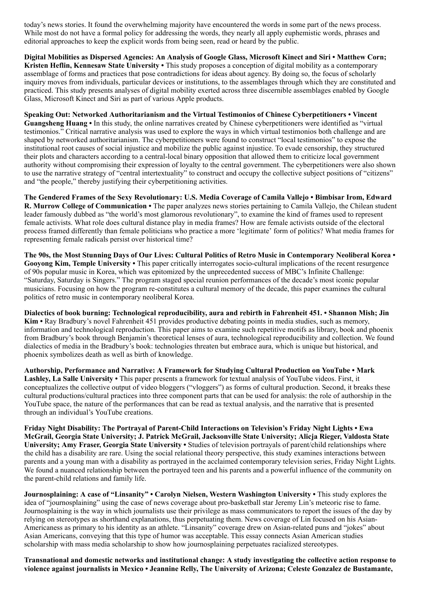today's news stories. It found the overwhelming majority have encountered the words in some part of the news process. While most do not have a formal policy for addressing the words, they nearly all apply euphemistic words, phrases and editorial approaches to keep the explicit words from being seen, read or heard by the public.

Digital Mobilities as Dispersed Agencies: An Analysis of Google Glass, Microsoft Kinect and Siri • Matthew Corn; Kristen Heflin, Kennesaw State University • This study proposes a conception of digital mobility as a contemporary assemblage of forms and practices that pose contradictions for ideas about agency. By doing so, the focus of scholarly inquiry moves from individuals, particular devices or institutions, to the assemblages through which they are constituted and practiced. This study presents analyses of digital mobility exerted across three discernible assemblages enabled by Google Glass, Microsoft Kinect and Siri as part of various Apple products.

Speaking Out: Networked Authoritarianism and the Virtual Testimonios of Chinese Cyberpetitioners • Vincent Guangsheng Huang • In this study, the online narratives created by Chinese cyberpetitioners were identified as "virtual testimonios." Critical narrative analysis was used to explore the ways in which virtual testimonios both challenge and are shaped by networked authoritarianism. The cyberpetitioners were found to construct "local testimonios" to expose the institutional root causes of social injustice and mobilize the public against injustice. To evade censorship, they structured their plots and characters according to a central-local binary opposition that allowed them to criticize local government authority without compromising their expression of loyalty to the central government. The cyberpetitioners were also shown to use the narrative strategy of "central intertextuality" to construct and occupy the collective subject positions of "citizens" and "the people," thereby justifying their cyberpetitioning activities.

The Gendered Frames of the Sexy Revolutionary: U.S. Media Coverage of Camila Vallejo • Bimbisar Irom, Edward R. Murrow College of Communication • The paper analyzes news stories pertaining to Camila Vallejo, the Chilean student leader famously dubbed as "the world's most glamorous revolutionary", to examine the kind of frames used to represent female activists. What role does cultural distance play in media frames? How are female activists outside of the electoral process framed differently than female politicians who practice a more 'legitimate' form of politics? What media frames for representing female radicals persist over historical time?

The 90s, the Most Stunning Days of Our Lives: Cultural Politics of Retro Music in Contemporary Neoliberal Korea • Gooyong Kim, Temple University • This paper critically interrogates socio-cultural implications of the recent resurgence of 90s popular music in Korea, which was epitomized by the unprecedented success of MBC's Infinite Challenge: "Saturday, Saturday is Singers." The program staged special reunion performances of the decade's most iconic popular musicians. Focusing on how the program re-constitutes a cultural memory of the decade, this paper examines the cultural politics of retro music in contemporary neoliberal Korea.

Dialectics of book burning: Technological reproducibility, aura and rebirth in Fahrenheit 451. • Shannon Mish; Jin Kim • Ray Bradbury's novel Fahrenheit 451 provides productive debating points in media studies, such as memory, information and technological reproduction. This paper aims to examine such repetitive motifs as library, book and phoenix from Bradbury's book through Benjamin's theoretical lenses of aura, technological reproducibility and collection. We found dialectics of media in the Bradbury's book: technologies threaten but embrace aura, which is unique but historical, and phoenix symbolizes death as well as birth of knowledge.

Authorship, Performance and Narrative: A Framework for Studying Cultural Production on YouTube • Mark Lashley, La Salle University • This paper presents a framework for textual analysis of YouTube videos. First, it conceptualizes the collective output of video bloggers ("vloggers") as forms of cultural production. Second, it breaks these cultural productions/cultural practices into three component parts that can be used for analysis: the role of authorship in the YouTube space, the nature of the performances that can be read as textual analysis, and the narrative that is presented through an individual's YouTube creations.

Friday Night Disability: The Portrayal of Parent-Child Interactions on Television's Friday Night Lights • Ewa McGrail, Georgia State University; J. Patrick McGrail, Jacksonville State University; Alicja Rieger, Valdosta State University; Amy Fraser, Georgia State University • Studies of television portrayals of parent/child relationships where the child has a disability are rare. Using the social relational theory perspective, this study examines interactions between parents and a young man with a disability as portrayed in the acclaimed contemporary television series, Friday Night Lights. We found a nuanced relationship between the portrayed teen and his parents and a powerful influence of the community on the parent-child relations and family life.

Journosplaining: A case of "Linsanity" • Carolyn Nielsen, Western Washington University • This study explores the idea of "journosplaining" using the case of news coverage about pro-basketball star Jeremy Lin's meteoric rise to fame. Journosplaining is the way in which journalists use their privilege as mass communicators to report the issues of the day by relying on stereotypes as shorthand explanations, thus perpetuating them. News coverage of Lin focused on his Asian-Americaness as primary to his identity as an athlete. "Linsanity" coverage drew on Asian-related puns and "jokes" about Asian Americans, conveying that this type of humor was acceptable. This essay connects Asian American studies scholarship with mass media scholarship to show how journosplaining perpetuates racialized stereotypes.

Transnational and domestic networks and institutional change: A study investigating the collective action response to violence against journalists in Mexico • Jeannine Relly, The University of Arizona; Celeste Gonzalez de Bustamante,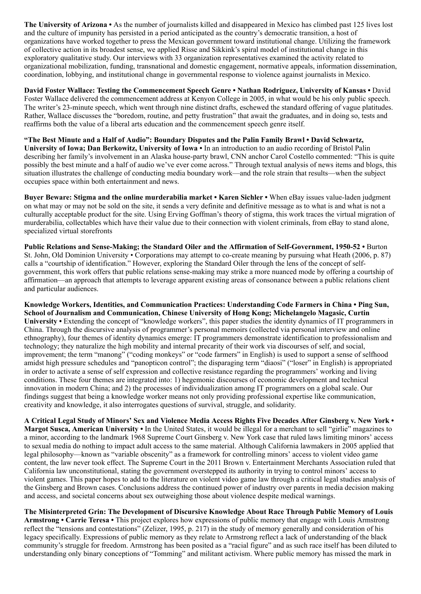The University of Arizona • As the number of journalists killed and disappeared in Mexico has climbed past 125 lives lost and the culture of impunity has persisted in a period anticipated as the country's democratic transition, a host of organizations have worked together to press the Mexican government toward institutional change. Utilizing the framework of collective action in its broadest sense, we applied Risse and Sikkink's spiral model of institutional change in this exploratory qualitative study. Our interviews with 33 organization representatives examined the activity related to organizational mobilization, funding, transnational and domestic engagement, normative appeals, information dissemination, coordination, lobbying, and institutional change in governmental response to violence against journalists in Mexico.

David Foster Wallace: Testing the Commencement Speech Genre • Nathan Rodriguez, University of Kansas • David Foster Wallace delivered the commencement address at Kenyon College in 2005, in what would be his only public speech. The writer's 23-minute speech, which went through nine distinct drafts, eschewed the standard offering of vague platitudes. Rather, Wallace discusses the "boredom, routine, and petty frustration" that await the graduates, and in doing so, tests and reaffirms both the value of a liberal arts education and the commencement speech genre itself.

"The Best Minute and a Half of Audio": Boundary Disputes and the Palin Family Brawl • David Schwartz, University of Iowa; Dan Berkowitz, University of Iowa • In an introduction to an audio recording of Bristol Palin describing her family's involvement in an Alaska house-party brawl, CNN anchor Carol Costello commented: "This is quite possibly the best minute and a half of audio we've ever come across." Through textual analysis of news items and blogs, this situation illustrates the challenge of conducting media boundary work—and the role strain that results—when the subject occupies space within both entertainment and news.

Buyer Beware: Stigma and the online murderabilia market • Karen Sichler • When eBay issues value-laden judgment on what may or may not be sold on the site, it sends a very definite and definitive message as to what is and what is not a culturally acceptable product for the site. Using Erving Goffman's theory of stigma, this work traces the virtual migration of murderabilia, collectables which have their value due to their connection with violent criminals, from eBay to stand alone, specialized virtual storefronts

Public Relations and Sense-Making; the Standard Oiler and the Affirmation of Self-Government, 1950-52 • Burton St. John, Old Dominion University • Corporations may attempt to co-create meaning by pursuing what Heath (2006, p. 87) calls a "courtship of identification." However, exploring the Standard Oiler through the lens of the concept of selfgovernment, this work offers that public relations sense-making may strike a more nuanced mode by offering a courtship of affirmation—an approach that attempts to leverage apparent existing areas of consonance between a public relations client and particular audiences.

Knowledge Workers, Identities, and Communication Practices: Understanding Code Farmers in China • Ping Sun, School of Journalism and Communication, Chinese University of Hong Kong; Michelangelo Magasic, Curtin University • Extending the concept of "knowledge workers", this paper studies the identity dynamics of IT programmers in China. Through the discursive analysis of programmer's personal memoirs (collected via personal interview and online ethnography), four themes of identity dynamics emerge: IT programmers demonstrate identification to professionalism and technology; they naturalize the high mobility and internal precarity of their work via discourses of self, and social, improvement; the term "manong" ("coding monkeys" or "code farmers" in English) is used to support a sense of selfhood amidst high pressure schedules and "panopticon control"; the disparaging term "diaosi" ("loser" in English) is appropriated in order to activate a sense of self expression and collective resistance regarding the programmers' working and living conditions. These four themes are integrated into: 1) hegemonic discourses of economic development and technical innovation in modern China; and 2) the processes of individualization among IT programmers on a global scale. Our findings suggest that being a knowledge worker means not only providing professional expertise like communication, creativity and knowledge, it also interrogates questions of survival, struggle, and solidarity.

A Critical Legal Study of Minors' Sex and Violence Media Access Rights Five Decades After Ginsberg v. New York • Margot Susca, American University • In the United States, it would be illegal for a merchant to sell "girlie" magazines to a minor, according to the landmark 1968 Supreme Court Ginsberg v. New York case that ruled laws limiting minors' access to sexual media do nothing to impact adult access to the same material. Although California lawmakers in 2005 applied that legal philosophy—known as "variable obscenity" as a framework for controlling minors' access to violent video game content, the law never took effect. The Supreme Court in the 2011 Brown v. Entertainment Merchants Association ruled that California law unconstitutional, stating the government overstepped its authority in trying to control minors' access to violent games. This paper hopes to add to the literature on violent video game law through a critical legal studies analysis of the Ginsberg and Brown cases. Conclusions address the continued power of industry over parents in media decision making and access, and societal concerns about sex outweighing those about violence despite medical warnings.

The Misinterpreted Grin: The Development of Discursive Knowledge About Race Through Public Memory of Louis Armstrong • Carrie Teresa • This project explores how expressions of public memory that engage with Louis Armstrong reflect the "tensions and contestations" (Zelizer, 1995, p. 217) in the study of memory generally and consideration of his legacy specifically. Expressions of public memory as they relate to Armstrong reflect a lack of understanding of the black community's struggle for freedom. Armstrong has been posited as a "racial figure" and as such race itself has been diluted to understanding only binary conceptions of "Tomming" and militant activism. Where public memory has missed the mark in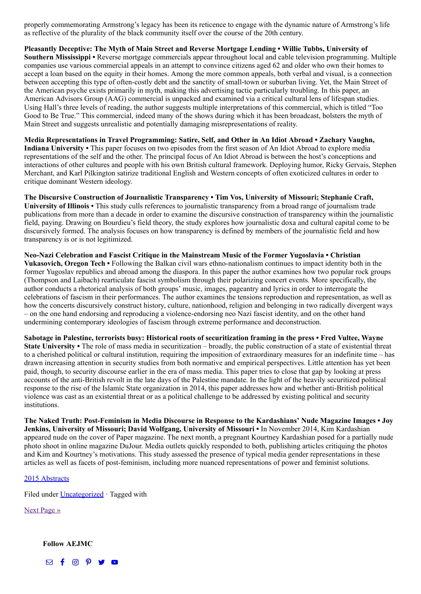properly commemorating Armstrong's legacy has been its reticence to engage with the dynamic nature of Armstrong's life as reflective of the plurality of the black community itself over the course of the 20th century.

Pleasantly Deceptive: The Myth of Main Street and Reverse Mortgage Lending • Willie Tubbs, University of Southern Mississippi • Reverse mortgage commercials appear throughout local and cable television programming. Multiple companies use various commercial appeals in an attempt to convince citizens aged 62 and older who own their homes to accept a loan based on the equity in their homes. Among the more common appeals, both verbal and visual, is a connection between accepting this type of often-costly debt and the sanctity of small-town or suburban living. Yet, the Main Street of the American psyche exists primarily in myth, making this advertising tactic particularly troubling. In this paper, an American Advisors Group (AAG) commercial is unpacked and examined via a critical cultural lens of lifespan studies. Using Hall's three levels of reading, the author suggests multiple interpretations of this commercial, which is titled "Too Good to Be True." This commercial, indeed many of the shows during which it has been broadcast, bolsters the myth of Main Street and suggests unrealistic and potentially damaging misrepresentations of reality.

Media Representations in Travel Programming: Satire, Self, and Other in An Idiot Abroad • Zachary Vaughn, Indiana University • This paper focuses on two episodes from the first season of An Idiot Abroad to explore media representations of the self and the other. The principal focus of An Idiot Abroad is between the host's conceptions and interactions of other cultures and people with his own British cultural framework. Deploying humor, Ricky Gervais, Stephen Merchant, and Karl Pilkington satirize traditional English and Western concepts of often exoticized cultures in order to critique dominant Western ideology.

The Discursive Construction of Journalistic Transparency • Tim Vos, University of Missouri; Stephanie Craft, University of Illinois • This study culls references to journalistic transparency from a broad range of journalism trade publications from more than a decade in order to examine the discursive construction of transparency within the journalistic field, paying. Drawing on Bourdieu's field theory, the study explores how journalistic doxa and cultural capital come to be discursively formed. The analysis focuses on how transparency is defined by members of the journalistic field and how transparency is or is not legitimized.

Neo-Nazi Celebration and Fascist Critique in the Mainstream Music of the Former Yugoslavia • Christian Vukasovich, Oregon Tech • Following the Balkan civil wars ethno-nationalism continues to impact identity both in the former Yugoslav republics and abroad among the diaspora. In this paper the author examines how two popular rock groups (Thompson and Laibach) rearticulate fascist symbolism through their polarizing concert events. More specifically, the author conducts a rhetorical analysis of both groups' music, images, pageantry and lyrics in order to interrogate the celebrations of fascism in their performances. The author examines the tensions reproduction and representation, as well as how the concerts discursively construct history, culture, nationhood, religion and belonging in two radically divergent ways – on the one hand endorsing and reproducing a violence-endorsing neo Nazi fascist identity, and on the other hand undermining contemporary ideologies of fascism through extreme performance and deconstruction.

Sabotage in Palestine, terrorists busy: Historical roots of securitization framing in the press • Fred Vultee, Wayne State University • The role of mass media in securitization – broadly, the public construction of a state of existential threat to a cherished political or cultural institution, requiring the imposition of extraordinary measures for an indefinite time – has drawn increasing attention in security studies from both normative and empirical perspectives. Little attention has yet been paid, though, to security discourse earlier in the era of mass media. This paper tries to close that gap by looking at press accounts of the anti-British revolt in the late days of the Palestine mandate. In the light of the heavily securitized political response to the rise of the Islamic State organization in 2014, this paper addresses how and whether anti-British political violence was cast as an existential threat or as a political challenge to be addressed by existing political and security institutions.

The Naked Truth: Post-Feminism in Media Discourse in Response to the Kardashians' Nude Magazine Images • Joy Jenkins, University of Missouri; David Wolfgang, University of Missouri • In November 2014, Kim Kardashian appeared nude on the cover of Paper magazine. The next month, a pregnant Kourtney Kardashian posed for a partially nude photo shoot in online magazine DuJour. Media outlets quickly responded to both, publishing articles critiquing the photos and Kim and Kourtney's motivations. This study assessed the presence of typical media gender representations in these articles as well as facets of post-feminism, including more nuanced representations of power and feminist solutions.

#### [2015 Abstracts](http://www.aejmc.org/home/2015/06/2015-abstracts/)

Filed under [Uncategorized](http://www.aejmc.org/home/category/uncategorized/) · Tagged with

[Next Page »](http://www.aejmc.org/home/page/2/?s=Mass+Communication+and+Society+2010)

Follow AEJMC

 $\boxdot$  f  $\textcircled{p}$  y o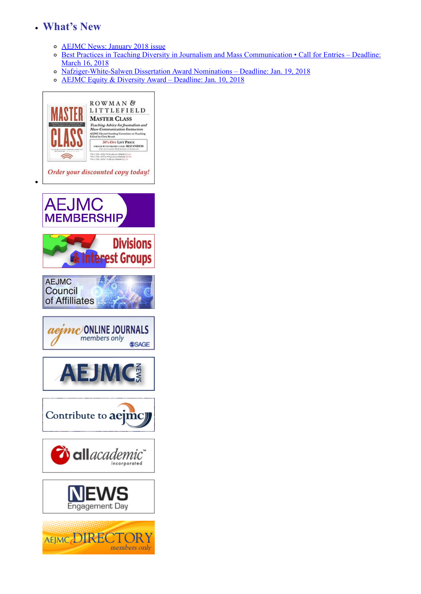## What's New

- [AEJMC News: January 2018 issue](http://www.aejmc.org/home/publications/aejmcnews/)
- o [Best Practices in Teaching Diversity in Journalism and Mass Communication Call for Entries Deadline:](http://www.aejmc.org/home/2017/12/best-practices-competition/) March 16, 2018
- [Nafziger-White-Salwen Dissertation Award Nominations Deadline: Jan. 19, 2018](http://www.aejmc.org/home/2017/10/nafziger-white-salwen/)
- o **[AEJMC Equity & Diversity Award Deadline: Jan. 10, 2018](http://www.aejmc.org/home/2017/09/aejmc-equity-diversity-award/)**